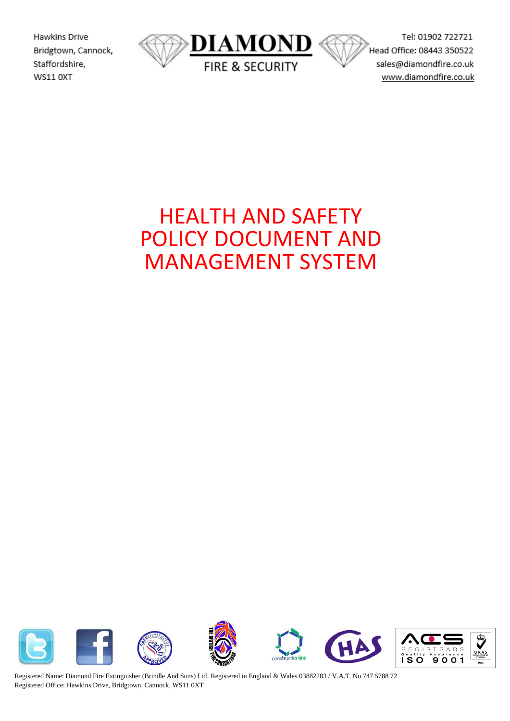

Tel: 01902 722721 Head Office: 08443 350522 sales@diamondfire.co.uk www.diamondfire.co.uk

# HEALTH AND SAFETY POLICY DOCUMENT AND MANAGEMENT SYSTEM

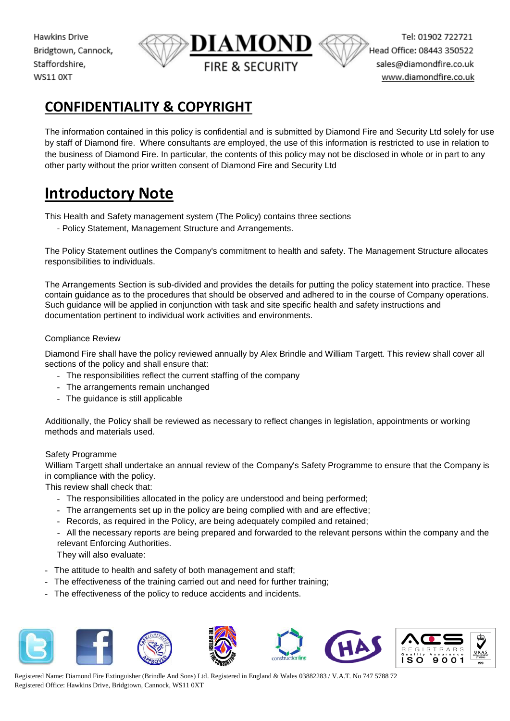

Tel: 01902 722721 Head Office: 08443 350522 sales@diamondfire.co.uk www.diamondfire.co.uk

## **CONFIDENTIALITY & COPYRIGHT**

The information contained in this policy is confidential and is submitted by Diamond Fire and Security Ltd solely for use by staff of Diamond fire. Where consultants are employed, the use of this information is restricted to use in relation to the business of Diamond Fire. In particular, the contents of this policy may not be disclosed in whole or in part to any other party without the prior written consent of Diamond Fire and Security Ltd

# **Introductory Note**

This Health and Safety management system (The Policy) contains three sections

- Policy Statement, Management Structure and Arrangements.

The Policy Statement outlines the Company's commitment to health and safety. The Management Structure allocates responsibilities to individuals.

The Arrangements Section is sub-divided and provides the details for putting the policy statement into practice. These contain guidance as to the procedures that should be observed and adhered to in the course of Company operations. Such guidance will be applied in conjunction with task and site specific health and safety instructions and documentation pertinent to individual work activities and environments.

#### Compliance Review

Diamond Fire shall have the policy reviewed annually by Alex Brindle and William Targett. This review shall cover all sections of the policy and shall ensure that:

- The responsibilities reflect the current staffing of the company
- The arrangements remain unchanged
- The guidance is still applicable

Additionally, the Policy shall be reviewed as necessary to reflect changes in legislation, appointments or working methods and materials used.

#### Safety Programme

William Targett shall undertake an annual review of the Company's Safety Programme to ensure that the Company is in compliance with the policy.

This review shall check that:

- The responsibilities allocated in the policy are understood and being performed;
- The arrangements set up in the policy are being complied with and are effective;
- Records, as required in the Policy, are being adequately compiled and retained;

- All the necessary reports are being prepared and forwarded to the relevant persons within the company and the relevant Enforcing Authorities.

They will also evaluate:

- The attitude to health and safety of both management and staff;
- The effectiveness of the training carried out and need for further training;
- The effectiveness of the policy to reduce accidents and incidents.

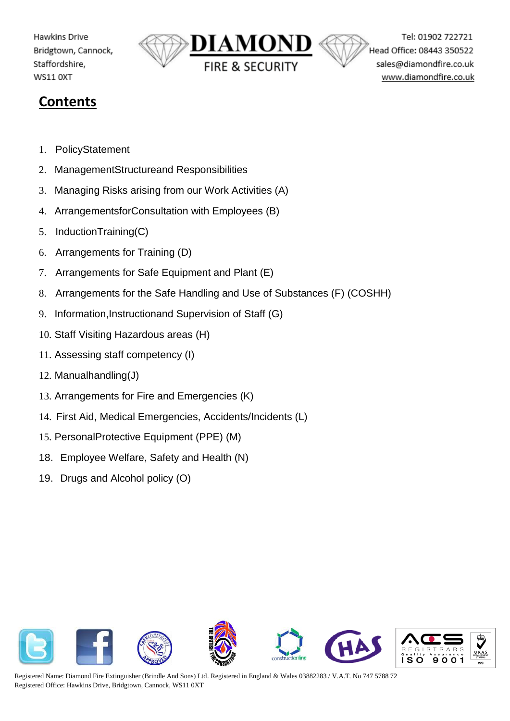

Tel: 01902 722721 Head Office: 08443 350522 sales@diamondfire.co.uk www.diamondfire.co.uk

# **Contents**

- 1. PolicyStatement
- 2. ManagementStructureand Responsibilities
- 3. Managing Risks arising from our Work Activities (A)
- 4. ArrangementsforConsultation with Employees (B)
- 5. InductionTraining(C)
- 6. Arrangements for Training (D)
- 7. Arrangements for Safe Equipment and Plant (E)
- 8. Arrangements for the Safe Handling and Use of Substances (F) (COSHH)
- 9. Information,Instructionand Supervision of Staff (G)
- 10. Staff Visiting Hazardous areas (H)
- 11. Assessing staff competency (I)
- 12. Manualhandling(J)
- 13. Arrangements for Fire and Emergencies (K)
- 14. First Aid, Medical Emergencies, Accidents/Incidents (L)
- 15. PersonalProtective Equipment (PPE) (M)
- 18. Employee Welfare, Safety and Health (N)
- 19. Drugs and Alcohol policy (O)

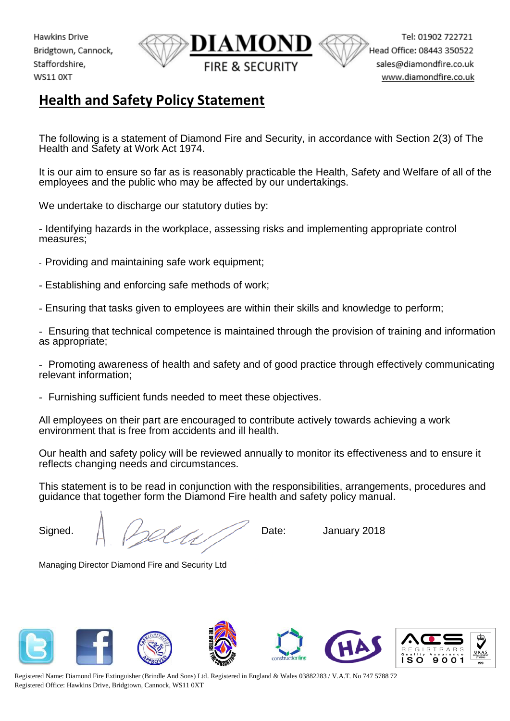

Tel: 01902 722721 lead Office: 08443 350522 sales@diamondfire.co.uk www.diamondfire.co.uk

## **Health and Safety Policy Statement**

The following is a statement of Diamond Fire and Security, in accordance with Section 2(3) of The Health and Safety at Work Act 1974.

It is our aim to ensure so far as is reasonably practicable the Health, Safety and Welfare of all of the employees and the public who may be affected by our undertakings.

We undertake to discharge our statutory duties by:

- Identifying hazards in the workplace, assessing risks and implementing appropriate control measures;

- Providing and maintaining safe work equipment;
- Establishing and enforcing safe methods of work;
- Ensuring that tasks given to employees are within their skills and knowledge to perform;

- Ensuring that technical competence is maintained through the provision of training and information as appropriate;

- Promoting awareness of health and safety and of good practice through effectively communicating relevant information;

- Furnishing sufficient funds needed to meet these objectives.

All employees on their part are encouraged to contribute actively towards achieving a work environment that is free from accidents and ill health.

Our health and safety policy will be reviewed annually to monitor its effectiveness and to ensure it reflects changing needs and circumstances.

This statement is to be read in conjunction with the responsibilities, arrangements, procedures and guidance that together form the Diamond Fire health and safety policy manual.

Signed.  $\left| \right|$   $\left| \right|$   $\left| \right|$   $\left| \right|$   $\left| \right|$   $\left| \right|$   $\left| \right|$   $\left| \right|$   $\left| \right|$   $\left| \right|$   $\left| \right|$   $\left| \right|$   $\left| \right|$   $\left| \right|$   $\left| \right|$   $\left| \right|$   $\left| \right|$   $\left| \right|$   $\left| \right|$   $\left| \right|$   $\left| \right|$   $\left| \right|$   $\left| \right|$   $\left| \right$ 

Managing Director Diamond Fire and Security Ltd

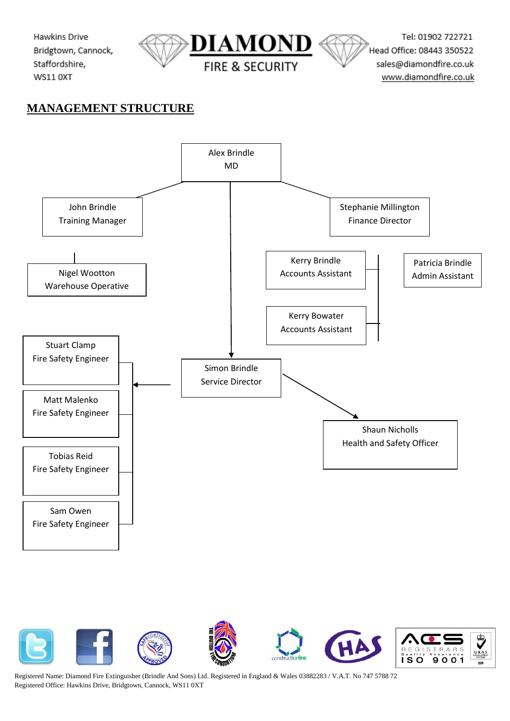

Tel: 01902 722721 Head Office: 08443 350522 sales@diamondfire.co.uk www.diamondfire.co.uk

### **MANAGEMENT STRUCTURE**



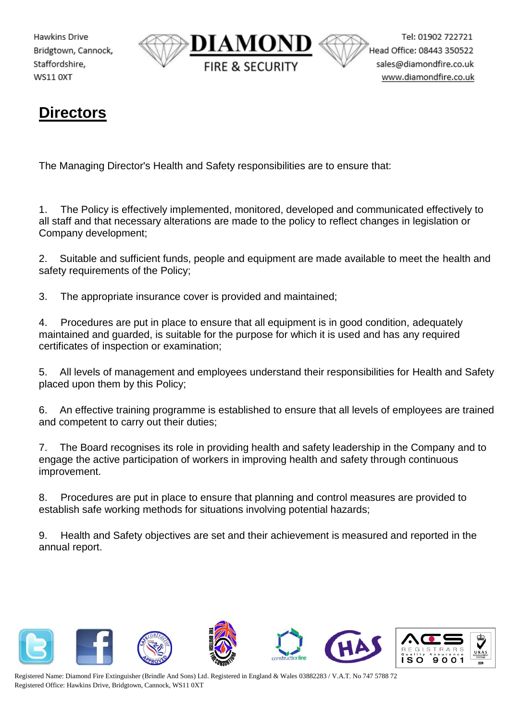

Tel: 01902 722721 lead Office: 08443 350522 sales@diamondfire.co.uk www.diamondfire.co.uk

# **Directors**

The Managing Director's Health and Safety responsibilities are to ensure that:

1. The Policy is effectively implemented, monitored, developed and communicated effectively to all staff and that necessary alterations are made to the policy to reflect changes in legislation or Company development;

2. Suitable and sufficient funds, people and equipment are made available to meet the health and safety requirements of the Policy;

3. The appropriate insurance cover is provided and maintained;

4. Procedures are put in place to ensure that all equipment is in good condition, adequately maintained and guarded, is suitable for the purpose for which it is used and has any required certificates of inspection or examination;

5. All levels of management and employees understand their responsibilities for Health and Safety placed upon them by this Policy;

6. An effective training programme is established to ensure that all levels of employees are trained and competent to carry out their duties;

7. The Board recognises its role in providing health and safety leadership in the Company and to engage the active participation of workers in improving health and safety through continuous improvement.

8. Procedures are put in place to ensure that planning and control measures are provided to establish safe working methods for situations involving potential hazards;

9. Health and Safety objectives are set and their achievement is measured and reported in the annual report.

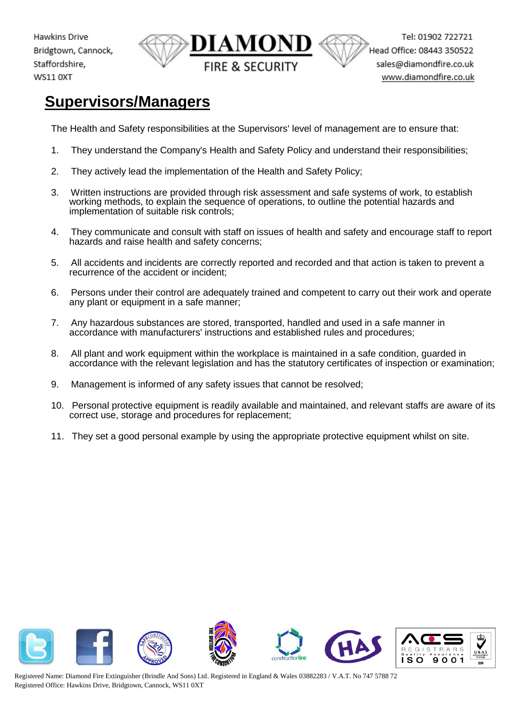

# **Supervisors/Managers**

The Health and Safety responsibilities at the Supervisors' level of management are to ensure that:

- 1. They understand the Company's Health and Safety Policy and understand their responsibilities;
- 2. They actively lead the implementation of the Health and Safety Policy;
- 3. Written instructions are provided through risk assessment and safe systems of work, to establish working methods, to explain the sequence of operations, to outline the potential hazards and implementation of suitable risk controls;
- 4. They communicate and consult with staff on issues of health and safety and encourage staff to report hazards and raise health and safety concerns:
- 5. All accidents and incidents are correctly reported and recorded and that action is taken to prevent a recurrence of the accident or incident;
- 6. Persons under their control are adequately trained and competent to carry out their work and operate any plant or equipment in a safe manner;
- 7. Any hazardous substances are stored, transported, handled and used in a safe manner in accordance with manufacturers' instructions and established rules and procedures;
- 8. All plant and work equipment within the workplace is maintained in a safe condition, guarded in accordance with the relevant legislation and has the statutory certificates of inspection or examination;
- 9. Management is informed of any safety issues that cannot be resolved;
- 10. Personal protective equipment is readily available and maintained, and relevant staffs are aware of its correct use, storage and procedures for replacement;
- 11. They set a good personal example by using the appropriate protective equipment whilst on site.

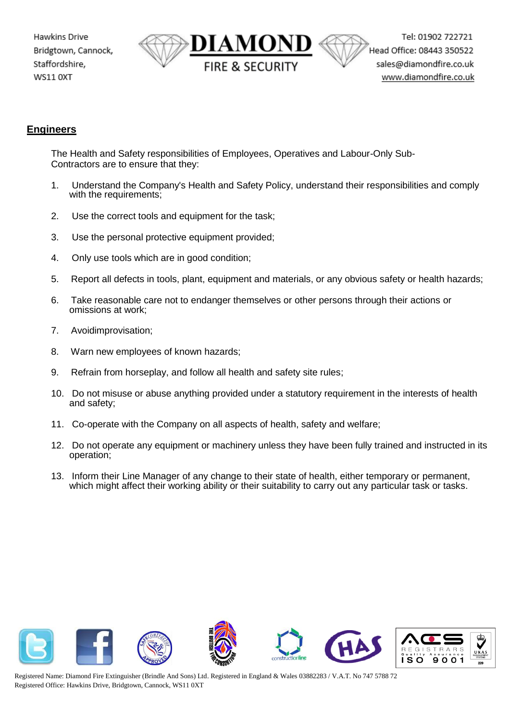

### **Engineers**

The Health and Safety responsibilities of Employees, Operatives and Labour-Only Sub-Contractors are to ensure that they:

- 1. Understand the Company's Health and Safety Policy, understand their responsibilities and comply with the requirements;
- 2. Use the correct tools and equipment for the task;
- 3. Use the personal protective equipment provided;
- 4. Only use tools which are in good condition;
- 5. Report all defects in tools, plant, equipment and materials, or any obvious safety or health hazards;
- 6. Take reasonable care not to endanger themselves or other persons through their actions or omissions at work;
- 7. Avoidimprovisation;
- 8. Warn new employees of known hazards;
- 9. Refrain from horseplay, and follow all health and safety site rules;
- 10. Do not misuse or abuse anything provided under a statutory requirement in the interests of health and safety;
- 11. Co-operate with the Company on all aspects of health, safety and welfare;
- 12. Do not operate any equipment or machinery unless they have been fully trained and instructed in its operation;
- 13. Inform their Line Manager of any change to their state of health, either temporary or permanent, which might affect their working ability or their suitability to carry out any particular task or tasks.

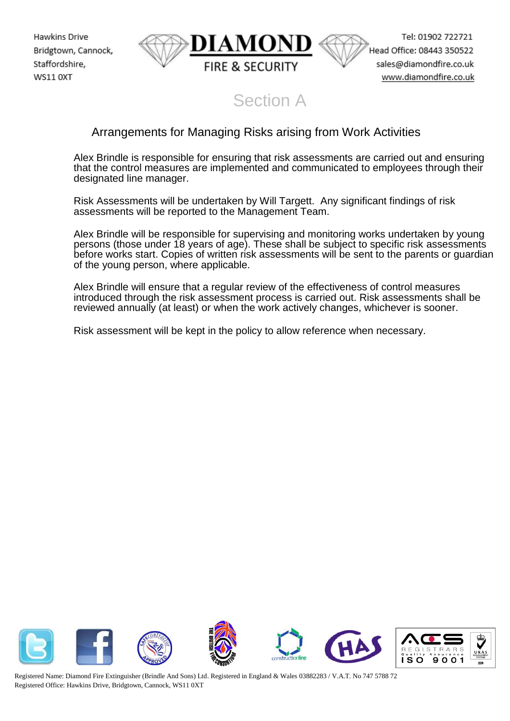

Tel: 01902 722721 lead Office: 08443 350522 sales@diamondfire.co.uk www.diamondfire.co.uk

# Section A

### Arrangements for Managing Risks arising from Work Activities

Alex Brindle is responsible for ensuring that risk assessments are carried out and ensuring that the control measures are implemented and communicated to employees through their designated line manager.

Risk Assessments will be undertaken by Will Targett. Any significant findings of risk assessments will be reported to the Management Team.

Alex Brindle will be responsible for supervising and monitoring works undertaken by young persons (those under 18 years of age). These shall be subject to specific risk assessments before works start. Copies of written risk assessments will be sent to the parents or guardian of the young person, where applicable.

Alex Brindle will ensure that a regular review of the effectiveness of control measures introduced through the risk assessment process is carried out. Risk assessments shall be reviewed annually (at least) or when the work actively changes, whichever is sooner.

Risk assessment will be kept in the policy to allow reference when necessary.

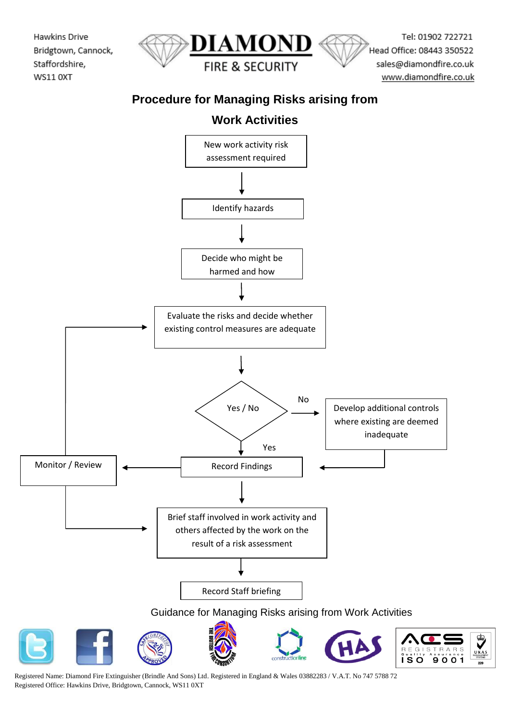DIAMOND **FIRE & SECURITY** 

Hawkins Drive

Staffordshire,

WS11 0XT

Bridgtown, Cannock,

Tel: 01902 722721 lead Office: 08443 350522 sales@diamondfire.co.uk www.diamondfire.co.uk

### **Procedure for Managing Risks arising from**

### **Work Activities**

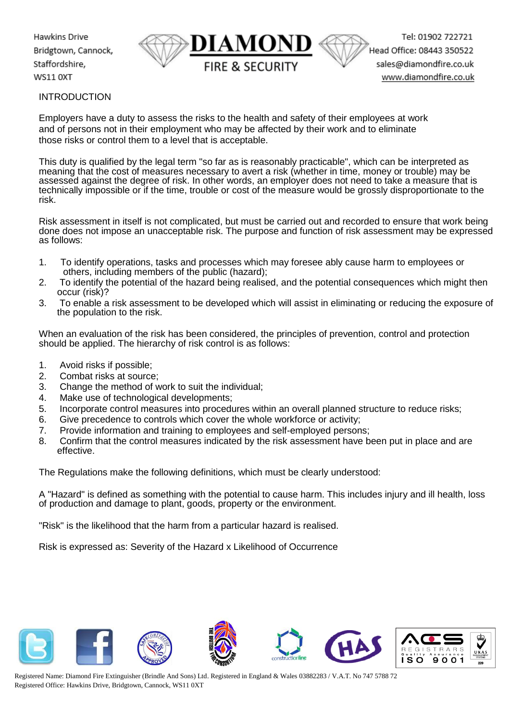

Tel: 01902 722721 lead Office: 08443 350522 sales@diamondfire.co.uk www.diamondfire.co.uk

#### INTRODUCTION

Employers have a duty to assess the risks to the health and safety of their employees at work and of persons not in their employment who may be affected by their work and to eliminate those risks or control them to a level that is acceptable.

This duty is qualified by the legal term "so far as is reasonably practicable", which can be interpreted as meaning that the cost of measures necessary to avert a risk (whether in time, money or trouble) may be assessed against the degree of risk. In other words, an employer does not need to take a measure that is technically impossible or if the time, trouble or cost of the measure would be grossly disproportionate to the risk.

Risk assessment in itself is not complicated, but must be carried out and recorded to ensure that work being done does not impose an unacceptable risk. The purpose and function of risk assessment may be expressed as follows:

- 1. To identify operations, tasks and processes which may foresee ably cause harm to employees or others, including members of the public (hazard);
- 2. To identify the potential of the hazard being realised, and the potential consequences which might then occur (risk)?
- 3. To enable a risk assessment to be developed which will assist in eliminating or reducing the exposure of the population to the risk.

When an evaluation of the risk has been considered, the principles of prevention, control and protection should be applied. The hierarchy of risk control is as follows:

- 1. Avoid risks if possible;
- 2. Combat risks at source;
- 3. Change the method of work to suit the individual;
- 4. Make use of technological developments;
- 5. Incorporate control measures into procedures within an overall planned structure to reduce risks;
- 6. Give precedence to controls which cover the whole workforce or activity;
- 7. Provide information and training to employees and self-employed persons;
- 8. Confirm that the control measures indicated by the risk assessment have been put in place and are effective.

The Regulations make the following definitions, which must be clearly understood:

A "Hazard" is defined as something with the potential to cause harm. This includes injury and ill health, loss of production and damage to plant, goods, property or the environment.

"Risk" is the likelihood that the harm from a particular hazard is realised.

Risk is expressed as: Severity of the Hazard x Likelihood of Occurrence

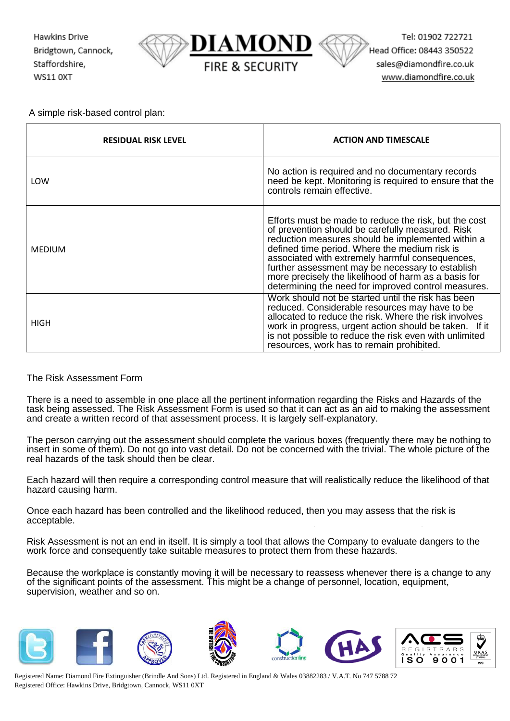

Tel: 01902 722721 lead Office: 08443 350522 sales@diamondfire.co.uk www.diamondfire.co.uk

#### A simple risk-based control plan:

| <b>RESIDUAL RISK LEVEL</b> | <b>ACTION AND TIMESCALE</b>                                                                                                                                                                                                                                                                                                                                                                                                           |
|----------------------------|---------------------------------------------------------------------------------------------------------------------------------------------------------------------------------------------------------------------------------------------------------------------------------------------------------------------------------------------------------------------------------------------------------------------------------------|
| LOW                        | No action is required and no documentary records<br>need be kept. Monitoring is required to ensure that the<br>controls remain effective.                                                                                                                                                                                                                                                                                             |
| <b>MEDIUM</b>              | Efforts must be made to reduce the risk, but the cost<br>of prevention should be carefully measured. Risk<br>reduction measures should be implemented within a<br>defined time period. Where the medium risk is<br>associated with extremely harmful consequences,<br>further assessment may be necessary to establish<br>more precisely the likelihood of harm as a basis for<br>determining the need for improved control measures. |
| <b>HIGH</b>                | Work should not be started until the risk has been<br>reduced. Considerable resources may have to be<br>allocated to reduce the risk. Where the risk involves<br>work in progress, urgent action should be taken. If it<br>is not possible to reduce the risk even with unlimited<br>resources, work has to remain prohibited.                                                                                                        |

#### The Risk Assessment Form

There is a need to assemble in one place all the pertinent information regarding the Risks and Hazards of the task being assessed. The Risk Assessment Form is used so that it can act as an aid to making the assessment and create a written record of that assessment process. It is largely self-explanatory.

The person carrying out the assessment should complete the various boxes (frequently there may be nothing to insert in some of them). Do not go into vast detail. Do not be concerned with the trivial. The whole picture of the real hazards of the task should then be clear.

Each hazard will then require a corresponding control measure that will realistically reduce the likelihood of that hazard causing harm.

Once each hazard has been controlled and the likelihood reduced, then you may assess that the risk is acceptable.

Risk Assessment is not an end in itself. It is simply a tool that allows the Company to evaluate dangers to the work force and consequently take suitable measures to protect them from these hazards.

Because the workplace is constantly moving it will be necessary to reassess whenever there is a change to any of the significant points of the assessment. This might be a change of personnel, location, equipment, supervision, weather and so on.

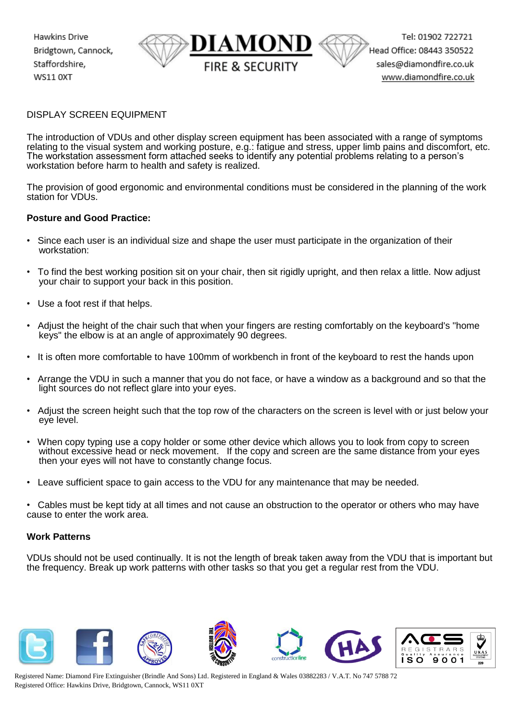

Tel: 01902 722721 Head Office: 08443 350522 sales@diamondfire.co.uk www.diamondfire.co.uk

#### DISPLAY SCREEN EQUIPMENT

The introduction of VDUs and other display screen equipment has been associated with a range of symptoms relating to the visual system and working posture, e.g.: fatigue and stress, upper limb pains and discomfort, etc. The workstation assessment form attached seeks to identify any potential problems relating to a person's workstation before harm to health and safety is realized.

The provision of good ergonomic and environmental conditions must be considered in the planning of the work station for VDUs.

#### **Posture and Good Practice:**

- Since each user is an individual size and shape the user must participate in the organization of their workstation:
- To find the best working position sit on your chair, then sit rigidly upright, and then relax a little. Now adjust your chair to support your back in this position.
- Use a foot rest if that helps.
- Adjust the height of the chair such that when your fingers are resting comfortably on the keyboard's "home keys" the elbow is at an angle of approximately 90 degrees.
- It is often more comfortable to have 100mm of workbench in front of the keyboard to rest the hands upon
- Arrange the VDU in such a manner that you do not face, or have a window as a background and so that the light sources do not reflect glare into your eyes.
- Adjust the screen height such that the top row of the characters on the screen is level with or just below your eye level.
- When copy typing use a copy holder or some other device which allows you to look from copy to screen without excessive head or neck movement. If the copy and screen are the same distance from your eyes then your eyes will not have to constantly change focus.
- Leave sufficient space to gain access to the VDU for any maintenance that may be needed.

• Cables must be kept tidy at all times and not cause an obstruction to the operator or others who may have cause to enter the work area.

#### **Work Patterns**

VDUs should not be used continually. It is not the length of break taken away from the VDU that is important but the frequency. Break up work patterns with other tasks so that you get a regular rest from the VDU.

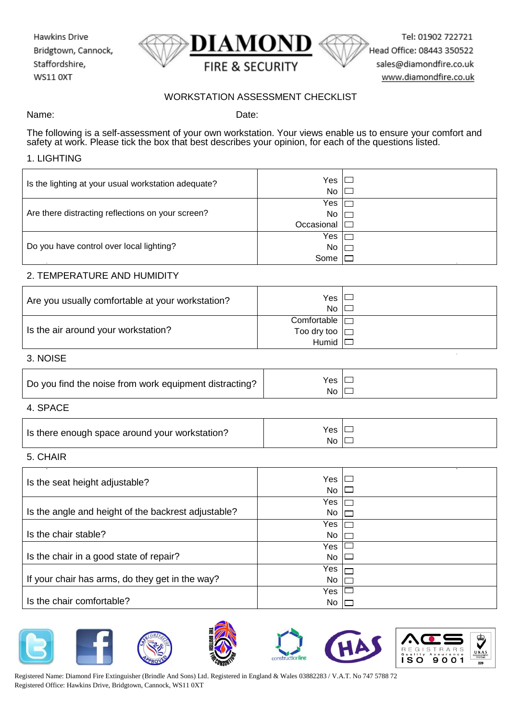

Tel: 01902 722721 Head Office: 08443 350522 sales@diamondfire.co.uk www.diamondfire.co.uk

### WORKSTATION ASSESSMENT CHECKLIST

Name: **Name:** Date: **Date: Date: Date: Date: Date: Date: Date: Date: Date: Date: Date: Date: Date: Date: Date: Date: Date: Date: Date: Date: Date: Date: Date: Date: Date: D** 

The following is a self-assessment of your own workstation. Your views enable us to ensure your comfort and safety at work. Please tick the box that best describes your opinion, for each of the questions listed.

#### 1. LIGHTING

| Is the lighting at your usual workstation adequate? | Yes I□<br>$\overline{N}$ o $\Box$ |  |
|-----------------------------------------------------|-----------------------------------|--|
|                                                     | Yes I⊟                            |  |
| Are there distracting reflections on your screen?   | No $\Box$                         |  |
|                                                     | Occasional $\square$              |  |
|                                                     | Yes $\Box$                        |  |
| Do you have control over local lighting?            | $No \Box$                         |  |
|                                                     | Some                              |  |

#### 2. TEMPERATURE AND HUMIDITY

| Are you usually comfortable at your workstation? | Yes $\Box$<br>$No \Box$ |  |
|--------------------------------------------------|-------------------------|--|
|                                                  | Comfortable $\Box$      |  |
| Is the air around your workstation?              | Too dry too $\Box$      |  |
|                                                  | Humid $\Box$            |  |

#### 3. NOISE

|  | Do you find the noise from work equipment distracting? | Yes<br>No. |  |
|--|--------------------------------------------------------|------------|--|
|--|--------------------------------------------------------|------------|--|

#### 4. SPACE

| Is there enough space around your workstation? | Yes<br>Nο |  |
|------------------------------------------------|-----------|--|
|------------------------------------------------|-----------|--|

#### 5. CHAIR

| Is the seat height adjustable?                      | Yes<br>No. |  |
|-----------------------------------------------------|------------|--|
| Is the angle and height of the backrest adjustable? | Yes        |  |
|                                                     | No.        |  |
|                                                     | Yes        |  |
| Is the chair stable?                                | No.        |  |
|                                                     | Yes        |  |
| Is the chair in a good state of repair?             | No.        |  |
|                                                     | Yes        |  |
| If your chair has arms, do they get in the way?     | No.        |  |
|                                                     | Yes        |  |
| Is the chair comfortable?                           | No         |  |

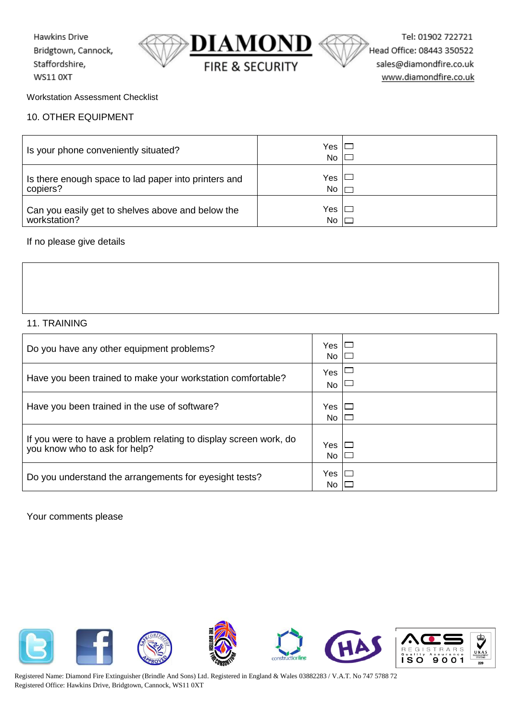



Workstation Assessment Checklist

#### 10. OTHER EQUIPMENT

| Is your phone conveniently situated?                              | Yes<br>No $\Box$ |  |
|-------------------------------------------------------------------|------------------|--|
| Is there enough space to lad paper into printers and<br>copiers?  | Yes<br>No.       |  |
| Can you easily get to shelves above and below the<br>workstation? | Yes<br>No.       |  |

If no please give details

#### 11. TRAINING

| Do you have any other equipment problems?                                                          | Yes<br>No. |  |
|----------------------------------------------------------------------------------------------------|------------|--|
| Have you been trained to make your workstation comfortable?                                        | Yes<br>No. |  |
| Have you been trained in the use of software?                                                      | Yes<br>No. |  |
| If you were to have a problem relating to display screen work, do<br>you know who to ask for help? | Yes<br>No. |  |
| Do you understand the arrangements for eyesight tests?                                             | Yes<br>No. |  |

Your comments please

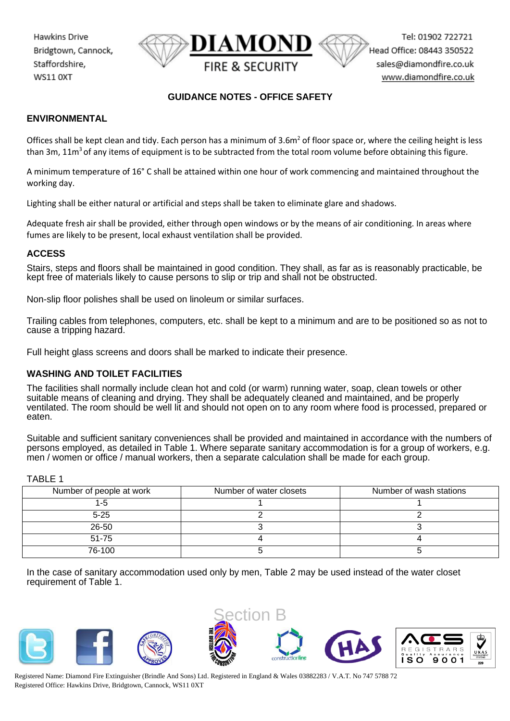

Tel: 01902 722721 lead Office: 08443 350522 sales@diamondfire.co.uk www.diamondfire.co.uk

#### **GUIDANCE NOTES - OFFICE SAFETY**

#### **ENVIRONMENTAL**

Offices shall be kept clean and tidy. Each person has a minimum of  $3.6m<sup>2</sup>$  of floor space or, where the ceiling height is less than 3m,  $11m<sup>3</sup>$  of any items of equipment is to be subtracted from the total room volume before obtaining this figure.

A minimum temperature of 16° C shall be attained within one hour of work commencing and maintained throughout the working day.

Lighting shall be either natural or artificial and steps shall be taken to eliminate glare and shadows.

Adequate fresh air shall be provided, either through open windows or by the means of air conditioning. In areas where fumes are likely to be present, local exhaust ventilation shall be provided.

#### **ACCESS**

Stairs, steps and floors shall be maintained in good condition. They shall, as far as is reasonably practicable, be kept free of materials likely to cause persons to slip or trip and shall not be obstructed.

Non-slip floor polishes shall be used on linoleum or similar surfaces.

Trailing cables from telephones, computers, etc. shall be kept to a minimum and are to be positioned so as not to cause a tripping hazard.

Full height glass screens and doors shall be marked to indicate their presence.

#### **WASHING AND TOILET FACILITIES**

The facilities shall normally include clean hot and cold (or warm) running water, soap, clean towels or other suitable means of cleaning and drying. They shall be adequately cleaned and maintained, and be properly ventilated. The room should be well lit and should not open on to any room where food is processed, prepared or eaten.

Suitable and sufficient sanitary conveniences shall be provided and maintained in accordance with the numbers of persons employed, as detailed in Table 1. Where separate sanitary accommodation is for a group of workers, e.g. men / women or office / manual workers, then a separate calculation shall be made for each group.

#### TABLE 1

| Number of people at work | Number of water closets | Number of wash stations |
|--------------------------|-------------------------|-------------------------|
| 1-5                      |                         |                         |
| $5 - 25$                 |                         |                         |
| 26-50                    |                         |                         |
| 51-75                    |                         |                         |
| 76-100                   |                         |                         |

In the case of sanitary accommodation used only by men, Table 2 may be used instead of the water closet requirement of Table 1.

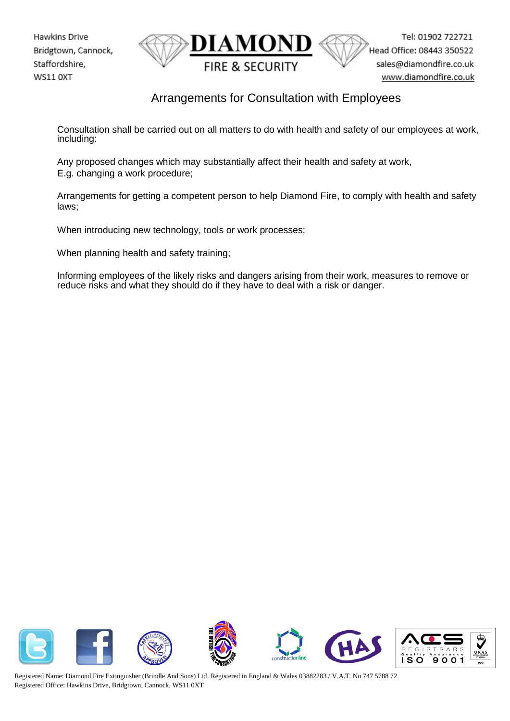

Tel: 01902 722721 lead Office: 08443 350522 sales@diamondfire.co.uk www.diamondfire.co.uk

### Arrangements for Consultation with Employees

Consultation shall be carried out on all matters to do with health and safety of our employees at work, including:

Any proposed changes which may substantially affect their health and safety at work, E.g. changing a work procedure;

Arrangements for getting a competent person to help Diamond Fire, to comply with health and safety laws;

When introducing new technology, tools or work processes;

When planning health and safety training;

Informing employees of the likely risks and dangers arising from their work, measures to remove or reduce risks and what they should do if they have to deal with a risk or danger.

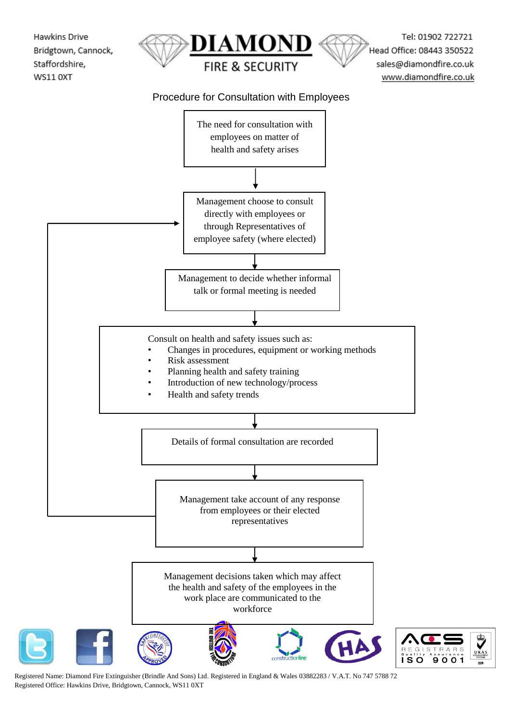

Registered Name: Diamond Fire Extinguisher (Brindle And Sons) Ltd. Registered in England & Wales 03882283 / V.A.T. No 747 5788 72 Registered Office: Hawkins Drive, Bridgtown, Cannock, WS11 0XT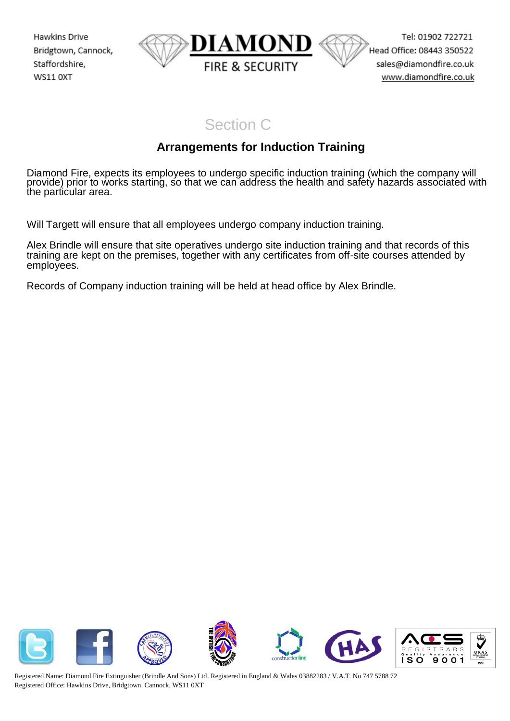

Tel: 01902 722721 Head Office: 08443 350522 sales@diamondfire.co.uk www.diamondfire.co.uk

# Section C

### **Arrangements for Induction Training**

Diamond Fire, expects its employees to undergo specific induction training (which the company will provide) prior to works starting, so that we can address the health and safety hazards associated with the particular area.

Will Targett will ensure that all employees undergo company induction training.

Alex Brindle will ensure that site operatives undergo site induction training and that records of this training are kept on the premises, together with any certificates from off-site courses attended by employees.

Records of Company induction training will be held at head office by Alex Brindle.

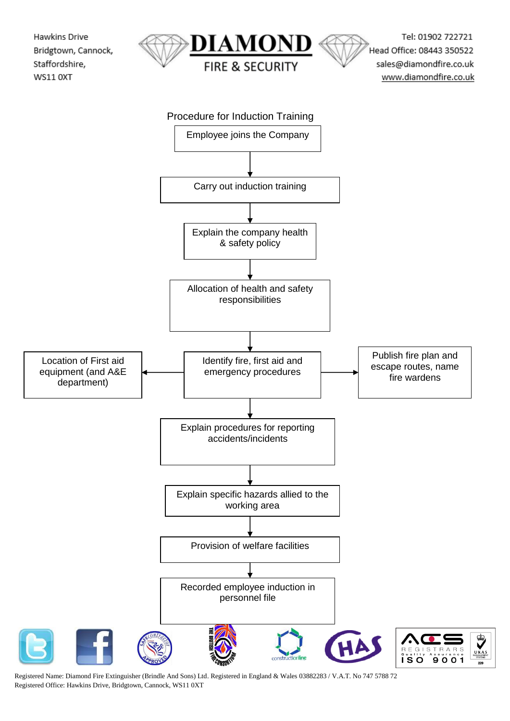

Registered Name: Diamond Fire Extinguisher (Brindle And Sons) Ltd. Registered in England & Wales 03882283 / V.A.T. No 747 5788 72 Registered Office: Hawkins Drive, Bridgtown, Cannock, WS11 0XT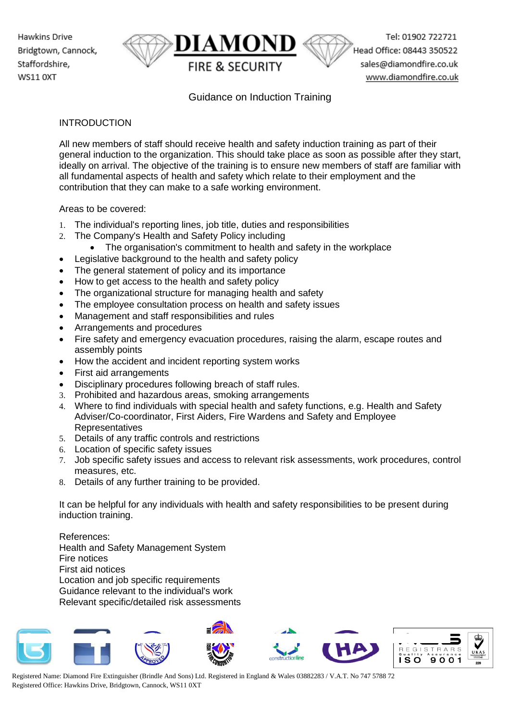

Tel: 01902 722721 Head Office: 08443 350522 sales@diamondfire.co.uk www.diamondfire.co.uk

Guidance on Induction Training

#### INTRODUCTION

All new members of staff should receive health and safety induction training as part of their general induction to the organization. This should take place as soon as possible after they start, ideally on arrival. The objective of the training is to ensure new members of staff are familiar with all fundamental aspects of health and safety which relate to their employment and the contribution that they can make to a safe working environment.

#### Areas to be covered:

- 1. The individual's reporting lines, job title, duties and responsibilities
- 2. The Company's Health and Safety Policy including
	- The organisation's commitment to health and safety in the workplace
- Legislative background to the health and safety policy
- The general statement of policy and its importance
- How to get access to the health and safety policy
- The organizational structure for managing health and safety
- The employee consultation process on health and safety issues
- Management and staff responsibilities and rules
- Arrangements and procedures
- Fire safety and emergency evacuation procedures, raising the alarm, escape routes and assembly points
- How the accident and incident reporting system works
- First aid arrangements
- Disciplinary procedures following breach of staff rules.
- 3. Prohibited and hazardous areas, smoking arrangements
- 4. Where to find individuals with special health and safety functions, e.g. Health and Safety Adviser/Co-coordinator, First Aiders, Fire Wardens and Safety and Employee **Representatives**
- 5. Details of any traffic controls and restrictions
- 6. Location of specific safety issues
- 7. Job specific safety issues and access to relevant risk assessments, work procedures, control measures, etc.
- 8. Details of any further training to be provided.

It can be helpful for any individuals with health and safety responsibilities to be present during induction training.

References: Health and Safety Management System Fire notices First aid notices Location and job specific requirements Guidance relevant to the individual's work Relevant specific/detailed risk assessments

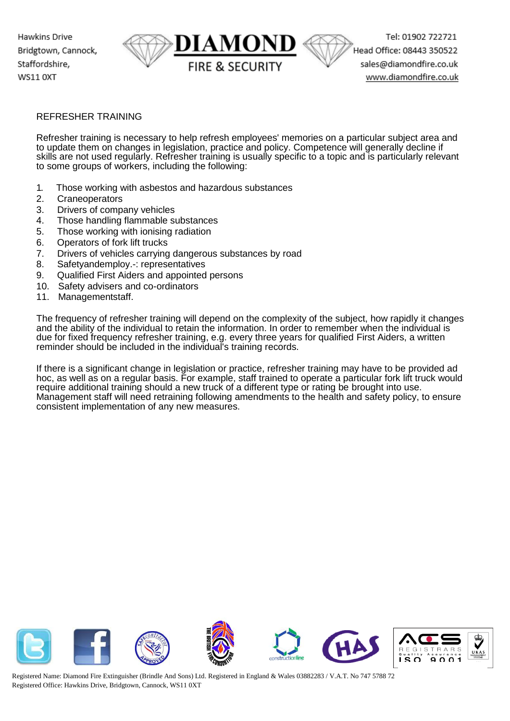

Tel: 01902 722721 Head Office: 08443 350522 sales@diamondfire.co.uk www.diamondfire.co.uk

#### REFRESHER TRAINING

Refresher training is necessary to help refresh employees' memories on a particular subject area and to update them on changes in legislation, practice and policy. Competence will generally decline if skills are not used regularly. Refresher training is usually specific to a topic and is particularly relevant to some groups of workers, including the following:

- 1. Those working with asbestos and hazardous substances
- 2. Craneoperators
- 3. Drivers of company vehicles
- 4. Those handling flammable substances
- 5. Those working with ionising radiation
- 6. Operators of fork lift trucks
- 7. Drivers of vehicles carrying dangerous substances by road
- 8. Safetyandemploy.-: representatives
- 9. Qualified First Aiders and appointed persons
- 10. Safety advisers and co-ordinators
- 11. Managementstaff.

The frequency of refresher training will depend on the complexity of the subject, how rapidly it changes and the ability of the individual to retain the information. In order to remember when the individual is due for fixed frequency refresher training, e.g. every three years for qualified First Aiders, a written reminder should be included in the individual's training records.

If there is a significant change in legislation or practice, refresher training may have to be provided ad hoc, as well as on a regular basis. For example, staff trained to operate a particular fork lift truck would require additional training should a new truck of a different type or rating be brought into use. Management staff will need retraining following amendments to the health and safety policy, to ensure consistent implementation of any new measures.

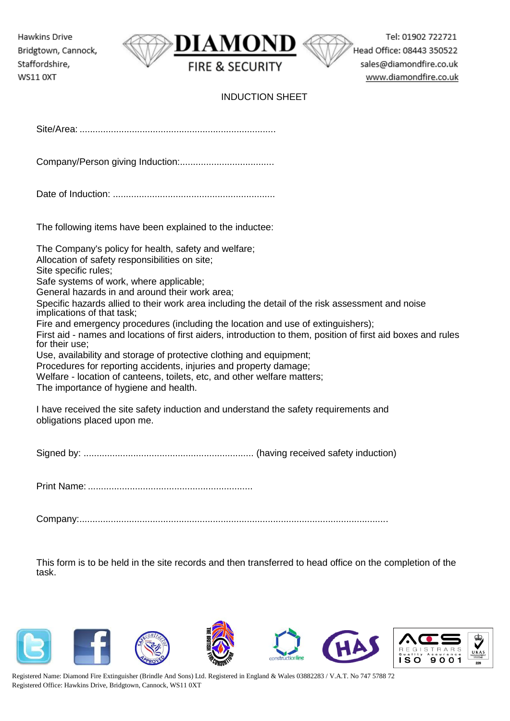

Tel: 01902 722721 Head Office: 08443 350522 sales@diamondfire.co.uk www.diamondfire.co.uk

#### INDUCTION SHEET

Site/Area: ...........................................................................

Company/Person giving Induction:....................................

Date of Induction: ..............................................................

The following items have been explained to the inductee:

The Company's policy for health, safety and welfare;

Allocation of safety responsibilities on site;

Site specific rules;

Safe systems of work, where applicable;

General hazards in and around their work area;

Specific hazards allied to their work area including the detail of the risk assessment and noise implications of that task;

Fire and emergency procedures (including the location and use of extinguishers);

First aid - names and locations of first aiders, introduction to them, position of first aid boxes and rules for their use:

Use, availability and storage of protective clothing and equipment;

Procedures for reporting accidents, injuries and property damage;

Welfare - location of canteens, toilets, etc, and other welfare matters;

The importance of hygiene and health.

I have received the site safety induction and understand the safety requirements and obligations placed upon me.

Signed by: ................................................................. (having received safety induction)

Print Name: ...............................................................

Company:......................................................................................................................

This form is to be held in the site records and then transferred to head office on the completion of the task.

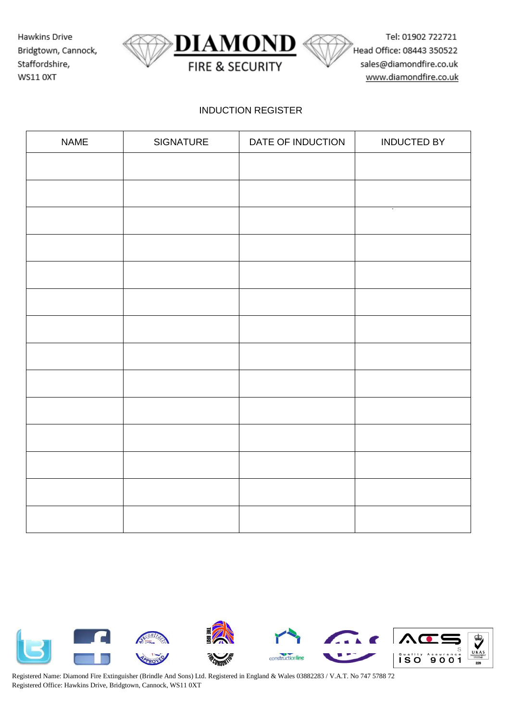

Tel: 01902 722721 Head Office: 08443 350522 sales@diamondfire.co.uk www.diamondfire.co.uk

#### INDUCTION REGISTER

| <b>NAME</b> | SIGNATURE | DATE OF INDUCTION | <b>INDUCTED BY</b> |
|-------------|-----------|-------------------|--------------------|
|             |           |                   |                    |
|             |           |                   |                    |
|             |           |                   |                    |
|             |           |                   |                    |
|             |           |                   |                    |
|             |           |                   |                    |
|             |           |                   |                    |
|             |           |                   |                    |
|             |           |                   |                    |
|             |           |                   |                    |
|             |           |                   |                    |
|             |           |                   |                    |
|             |           |                   |                    |
|             |           |                   |                    |

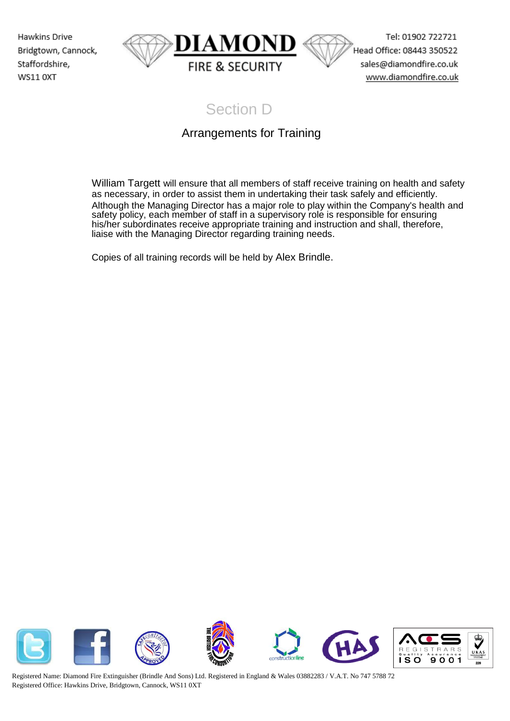

Tel: 01902 722721 Head Office: 08443 350522 sales@diamondfire.co.uk www.diamondfire.co.uk

Section D

### Arrangements for Training

William Targett will ensure that all members of staff receive training on health and safety as necessary, in order to assist them in undertaking their task safely and efficiently. Although the Managing Director has a major role to play within the Company's health and safety policy, each member of staff in a supervisory role is responsible for ensuring his/her subordinates receive appropriate training and instruction and shall, therefore, liaise with the Managing Director regarding training needs.

Copies of all training records will be held by Alex Brindle.

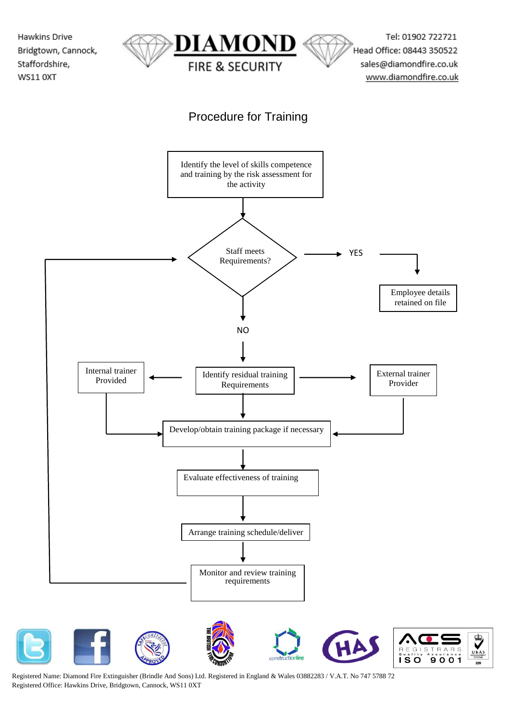

Registered Name: Diamond Fire Extinguisher (Brindle And Sons) Ltd. Registered in England & Wales 03882283 / V.A.T. No 747 5788 72 Registered Office: Hawkins Drive, Bridgtown, Cannock, WS11 0XT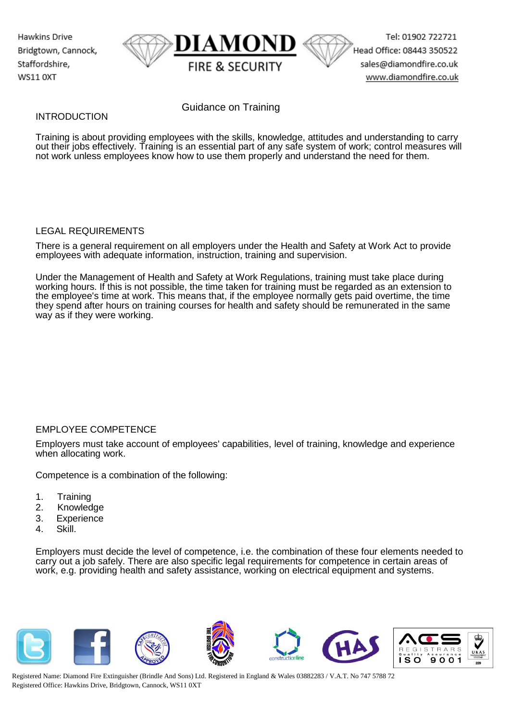

Tel: 01902 722721 Head Office: 08443 350522 sales@diamondfire.co.uk www.diamondfire.co.uk

Guidance on Training

#### INTRODUCTION

Training is about providing employees with the skills, knowledge, attitudes and understanding to carry out their jobs effectively. Training is an essential part of any safe system of work; control measures will not work unless employees know how to use them properly and understand the need for them.

#### LEGAL REQUIREMENTS

There is a general requirement on all employers under the Health and Safety at Work Act to provide employees with adequate information, instruction, training and supervision.

Under the Management of Health and Safety at Work Regulations, training must take place during working hours. If this is not possible, the time taken for training must be regarded as an extension to the employee's time at work. This means that, if the employee normally gets paid overtime, the time they spend after hours on training courses for health and safety should be remunerated in the same way as if they were working.

#### EMPLOYEE COMPETENCE

Employers must take account of employees' capabilities, level of training, knowledge and experience when allocating work.

Competence is a combination of the following:

- 1. Training
- 2. Knowledge
- 3. Experience
- 4. Skill.

Employers must decide the level of competence, i.e. the combination of these four elements needed to carry out a job safely. There are also specific legal requirements for competence in certain areas of work, e.g. providing health and safety assistance, working on electrical equipment and systems.

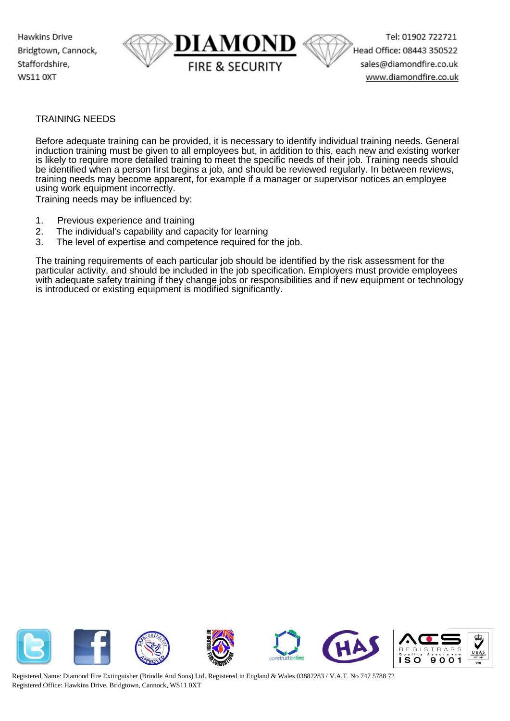

Tel: 01902 722721 Head Office: 08443 350522 sales@diamondfire.co.uk www.diamondfire.co.uk

#### TRAINING NEEDS

Before adequate training can be provided, it is necessary to identify individual training needs. General induction training must be given to all employees but, in addition to this, each new and existing worker is likely to require more detailed training to meet the specific needs of their job. Training needs should be identified when a person first begins a job, and should be reviewed regularly. In between reviews, training needs may become apparent, for example if a manager or supervisor notices an employee using work equipment incorrectly.

Training needs may be influenced by:

- 1. Previous experience and training
- 2. The individual's capability and capacity for learning
- 3. The level of expertise and competence required for the job.

The training requirements of each particular job should be identified by the risk assessment for the particular activity, and should be included in the job specification. Employers must provide employees with adequate safety training if they change jobs or responsibilities and if new equipment or technology is introduced or existing equipment is modified significantly.

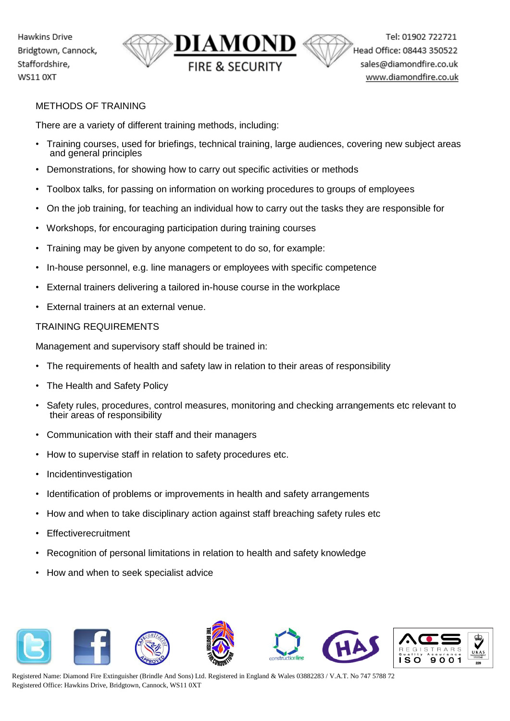

#### METHODS OF TRAINING

There are a variety of different training methods, including:

- Training courses, used for briefings, technical training, large audiences, covering new subject areas and general principles
- Demonstrations, for showing how to carry out specific activities or methods
- Toolbox talks, for passing on information on working procedures to groups of employees
- On the job training, for teaching an individual how to carry out the tasks they are responsible for
- Workshops, for encouraging participation during training courses
- Training may be given by anyone competent to do so, for example:
- In-house personnel, e.g. line managers or employees with specific competence
- External trainers delivering a tailored in-house course in the workplace
- External trainers at an external venue.

#### TRAINING REQUIREMENTS

Management and supervisory staff should be trained in:

- The requirements of health and safety law in relation to their areas of responsibility
- The Health and Safety Policy
- Safety rules, procedures, control measures, monitoring and checking arrangements etc relevant to their areas of responsibility
- Communication with their staff and their managers
- How to supervise staff in relation to safety procedures etc.
- **Incidentinvestigation**
- Identification of problems or improvements in health and safety arrangements
- How and when to take disciplinary action against staff breaching safety rules etc
- **Effectiverecruitment**
- Recognition of personal limitations in relation to health and safety knowledge
- How and when to seek specialist advice

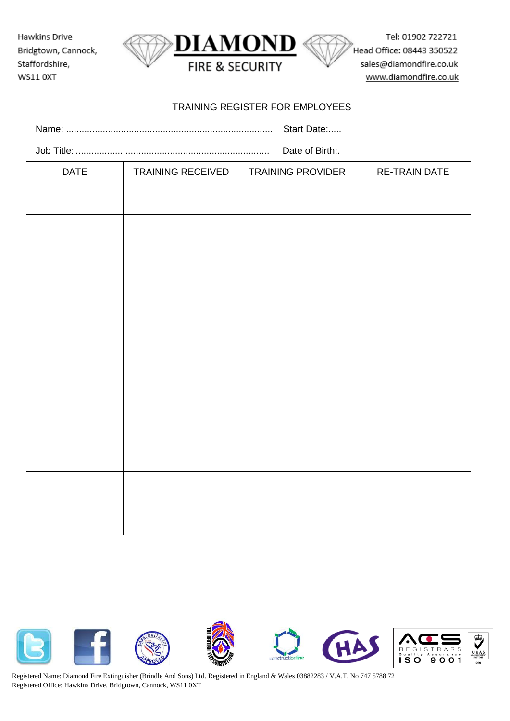

Tel: 01902 722721 Head Office: 08443 350522 sales@diamondfire.co.uk www.diamondfire.co.uk

#### TRAINING REGISTER FOR EMPLOYEES

Name: ............................................................................... Start Date:.....

Job Title: .......................................................................... Date of Birth:.

| <b>DATE</b> | <b>TRAINING RECEIVED</b> | <b>TRAINING PROVIDER</b> | <b>RE-TRAIN DATE</b> |
|-------------|--------------------------|--------------------------|----------------------|
|             |                          |                          |                      |
|             |                          |                          |                      |
|             |                          |                          |                      |
|             |                          |                          |                      |
|             |                          |                          |                      |
|             |                          |                          |                      |
|             |                          |                          |                      |
|             |                          |                          |                      |
|             |                          |                          |                      |
|             |                          |                          |                      |
|             |                          |                          |                      |
|             |                          |                          |                      |

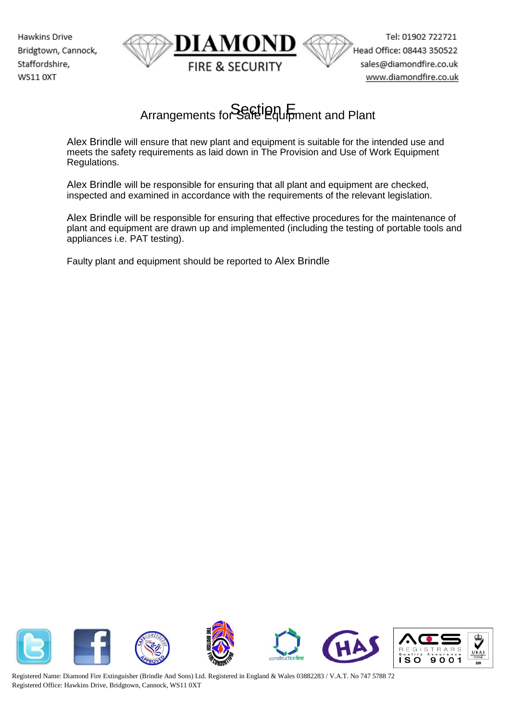

Tel: 01902 722721 Head Office: 08443 350522 sales@diamondfire.co.uk www.diamondfire.co.uk

# Arrangements for Section F<br>Arrangements for Safe Pquipment and Plant

Alex Brindle will ensure that new plant and equipment is suitable for the intended use and meets the safety requirements as laid down in The Provision and Use of Work Equipment Regulations.

Alex Brindle will be responsible for ensuring that all plant and equipment are checked, inspected and examined in accordance with the requirements of the relevant legislation.

Alex Brindle will be responsible for ensuring that effective procedures for the maintenance of plant and equipment are drawn up and implemented (including the testing of portable tools and appliances i.e. PAT testing).

Faulty plant and equipment should be reported to Alex Brindle

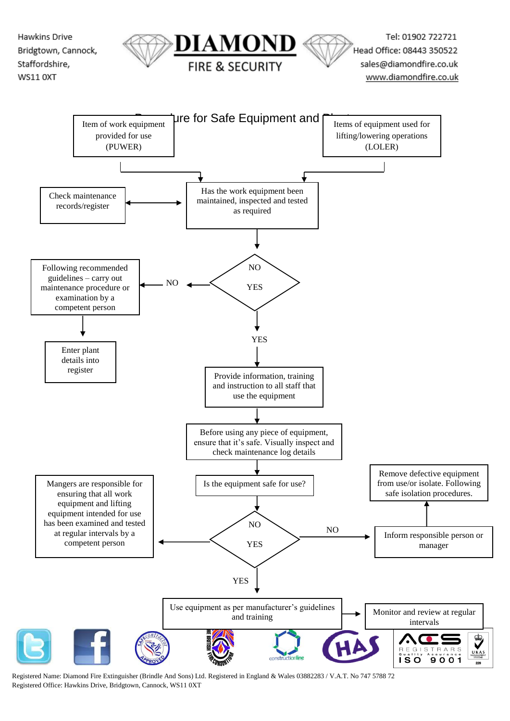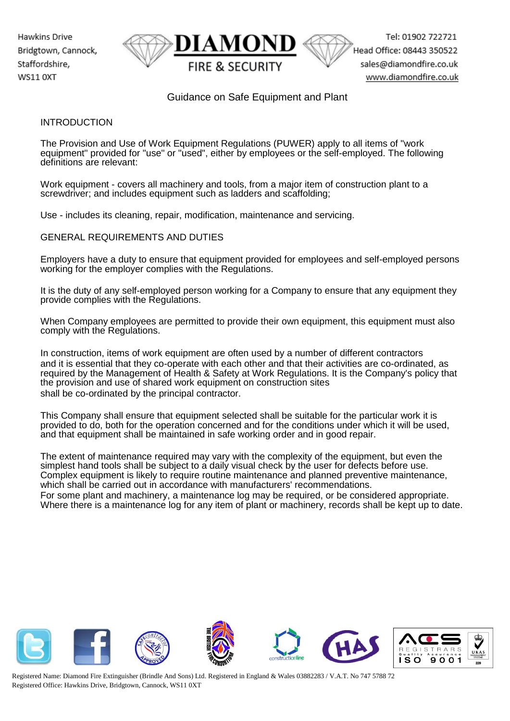

Tel: 01902 722721 Head Office: 08443 350522 sales@diamondfire.co.uk www.diamondfire.co.uk

#### Guidance on Safe Equipment and Plant

#### INTRODUCTION

The Provision and Use of Work Equipment Regulations (PUWER) apply to all items of "work equipment" provided for "use" or "used", either by employees or the self-employed. The following definitions are relevant:

Work equipment - covers all machinery and tools, from a major item of construction plant to a screwdriver; and includes equipment such as ladders and scaffolding;

Use - includes its cleaning, repair, modification, maintenance and servicing.

GENERAL REQUIREMENTS AND DUTIES

Employers have a duty to ensure that equipment provided for employees and self-employed persons working for the employer complies with the Regulations.

It is the duty of any self-employed person working for a Company to ensure that any equipment they provide complies with the Regulations.

When Company employees are permitted to provide their own equipment, this equipment must also comply with the Regulations.

In construction, items of work equipment are often used by a number of different contractors and it is essential that they co-operate with each other and that their activities are co-ordinated, as required by the Management of Health & Safety at Work Regulations. It is the Company's policy that the provision and use of shared work equipment on construction sites shall be co-ordinated by the principal contractor.

This Company shall ensure that equipment selected shall be suitable for the particular work it is provided to do, both for the operation concerned and for the conditions under which it will be used, and that equipment shall be maintained in safe working order and in good repair.

The extent of maintenance required may vary with the complexity of the equipment, but even the simplest hand tools shall be subject to a daily visual check by the user for defects before use. Complex equipment is likely to require routine maintenance and planned preventive maintenance, which shall be carried out in accordance with manufacturers' recommendations.

For some plant and machinery, a maintenance log may be required, or be considered appropriate. Where there is a maintenance log for any item of plant or machinery, records shall be kept up to date.

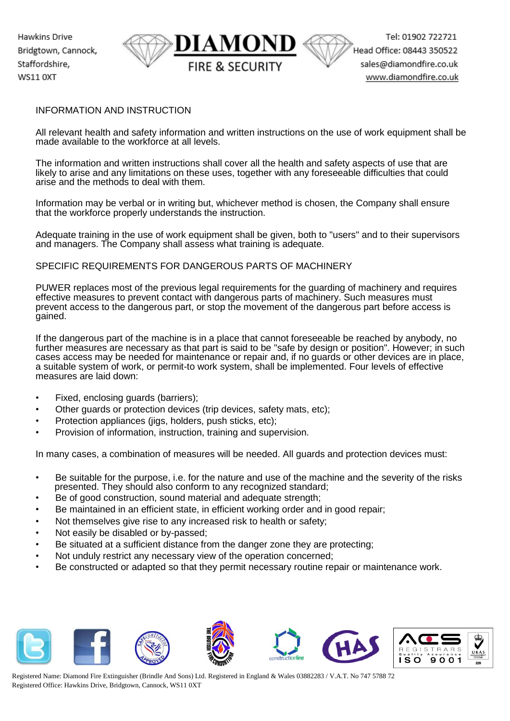

#### INFORMATION AND INSTRUCTION

All relevant health and safety information and written instructions on the use of work equipment shall be made available to the workforce at all levels.

The information and written instructions shall cover all the health and safety aspects of use that are likely to arise and any limitations on these uses, together with any foreseeable difficulties that could arise and the methods to deal with them.

Information may be verbal or in writing but, whichever method is chosen, the Company shall ensure that the workforce properly understands the instruction.

Adequate training in the use of work equipment shall be given, both to "users" and to their supervisors and managers. The Company shall assess what training is adequate.

#### SPECIFIC REQUIREMENTS FOR DANGEROUS PARTS OF MACHINERY

PUWER replaces most of the previous legal requirements for the guarding of machinery and requires effective measures to prevent contact with dangerous parts of machinery. Such measures must prevent access to the dangerous part, or stop the movement of the dangerous part before access is gained.

If the dangerous part of the machine is in a place that cannot foreseeable be reached by anybody, no further measures are necessary as that part is said to be "safe by design or position". However; in such cases access may be needed for maintenance or repair and, if no guards or other devices are in place, a suitable system of work, or permit-to work system, shall be implemented. Four levels of effective measures are laid down:

- Fixed, enclosing guards (barriers);
- Other guards or protection devices (trip devices, safety mats, etc);
- Protection appliances (jigs, holders, push sticks, etc);
- Provision of information, instruction, training and supervision.

In many cases, a combination of measures will be needed. All guards and protection devices must:

- Be suitable for the purpose, i.e. for the nature and use of the machine and the severity of the risks presented. They should also conform to any recognized standard;
- Be of good construction, sound material and adequate strength;
- Be maintained in an efficient state, in efficient working order and in good repair;
- Not themselves give rise to any increased risk to health or safety:
- Not easily be disabled or by-passed;
- Be situated at a sufficient distance from the danger zone they are protecting;
- Not unduly restrict any necessary view of the operation concerned;
- Be constructed or adapted so that they permit necessary routine repair or maintenance work.

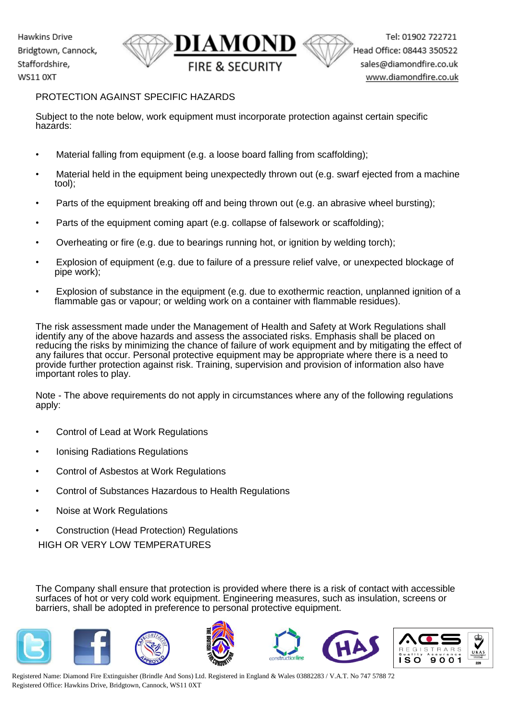

#### PROTECTION AGAINST SPECIFIC HAZARDS

Subject to the note below, work equipment must incorporate protection against certain specific hazards:

- Material falling from equipment (e.g. a loose board falling from scaffolding);
- Material held in the equipment being unexpectedly thrown out (e.g. swarf ejected from a machine tool);
- Parts of the equipment breaking off and being thrown out (e.g. an abrasive wheel bursting);
- Parts of the equipment coming apart (e.g. collapse of falsework or scaffolding);
- Overheating or fire (e.g. due to bearings running hot, or ignition by welding torch);
- Explosion of equipment (e.g. due to failure of a pressure relief valve, or unexpected blockage of pipe work);
- Explosion of substance in the equipment (e.g. due to exothermic reaction, unplanned ignition of a flammable gas or vapour; or welding work on a container with flammable residues).

The risk assessment made under the Management of Health and Safety at Work Regulations shall identify any of the above hazards and assess the associated risks. Emphasis shall be placed on reducing the risks by minimizing the chance of failure of work equipment and by mitigating the effect of any failures that occur. Personal protective equipment may be appropriate where there is a need to provide further protection against risk. Training, supervision and provision of information also have important roles to play.

Note - The above requirements do not apply in circumstances where any of the following regulations apply:

- Control of Lead at Work Regulations
- Ionising Radiations Regulations
- Control of Asbestos at Work Regulations
- Control of Substances Hazardous to Health Regulations
- Noise at Work Regulations
- Construction (Head Protection) Regulations

HIGH OR VERY LOW TEMPERATURES

The Company shall ensure that protection is provided where there is a risk of contact with accessible surfaces of hot or very cold work equipment. Engineering measures, such as insulation, screens or barriers, shall be adopted in preference to personal protective equipment.

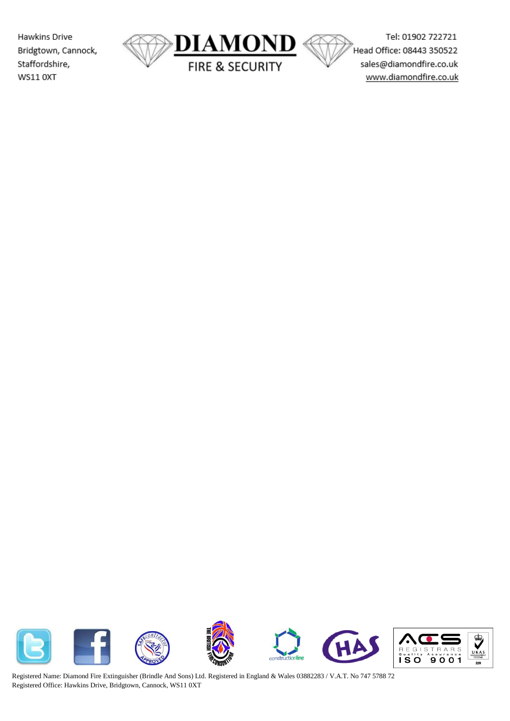

Tel: 01902 722721 Head Office: 08443 350522 sales@diamondfire.co.uk www.diamondfire.co.uk

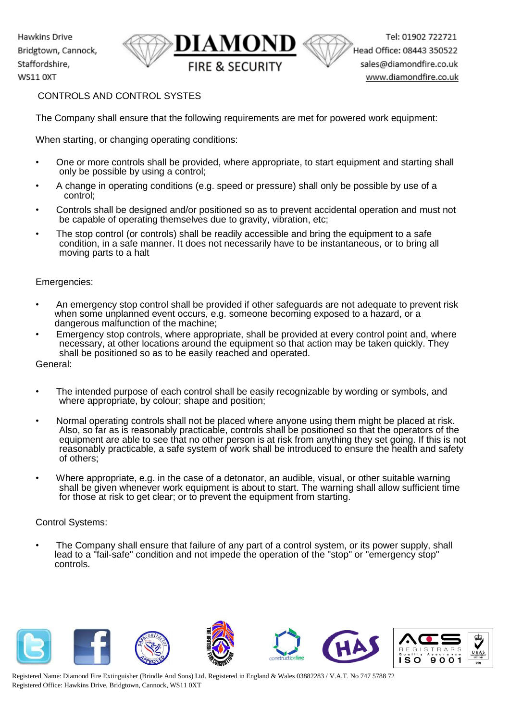

Tel: 01902 722721 Head Office: 08443 350522 sales@diamondfire.co.uk www.diamondfire.co.uk

#### CONTROLS AND CONTROL SYSTES

The Company shall ensure that the following requirements are met for powered work equipment:

When starting, or changing operating conditions:

- One or more controls shall be provided, where appropriate, to start equipment and starting shall only be possible by using a control;
- A change in operating conditions (e.g. speed or pressure) shall only be possible by use of a control;
- Controls shall be designed and/or positioned so as to prevent accidental operation and must not be capable of operating themselves due to gravity, vibration, etc;
- The stop control (or controls) shall be readily accessible and bring the equipment to a safe condition, in a safe manner. It does not necessarily have to be instantaneous, or to bring all moving parts to a halt

#### Emergencies:

- An emergency stop control shall be provided if other safeguards are not adequate to prevent risk when some unplanned event occurs, e.g. someone becoming exposed to a hazard, or a dangerous malfunction of the machine;
- Emergency stop controls, where appropriate, shall be provided at every control point and, where necessary, at other locations around the equipment so that action may be taken quickly. They shall be positioned so as to be easily reached and operated.

General:

- The intended purpose of each control shall be easily recognizable by wording or symbols, and where appropriate, by colour; shape and position;
- Normal operating controls shall not be placed where anyone using them might be placed at risk. Also, so far as is reasonably practicable, controls shall be positioned so that the operators of the equipment are able to see that no other person is at risk from anything they set going. If this is not reasonably practicable, a safe system of work shall be introduced to ensure the health and safety of others;
- Where appropriate, e.g. in the case of a detonator, an audible, visual, or other suitable warning shall be given whenever work equipment is about to start. The warning shall allow sufficient time for those at risk to get clear; or to prevent the equipment from starting.

#### Control Systems:

• The Company shall ensure that failure of any part of a control system, or its power supply, shall lead to a "fail-safe" condition and not impede the operation of the "stop" or "emergency stop" controls.

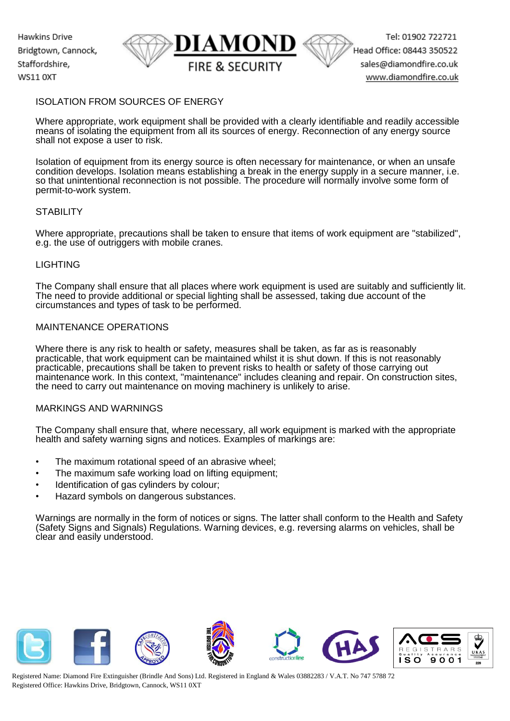

Tel: 01902 722721 Head Office: 08443 350522 sales@diamondfire.co.uk www.diamondfire.co.uk

#### ISOLATION FROM SOURCES OF ENERGY

Where appropriate, work equipment shall be provided with a clearly identifiable and readily accessible means of isolating the equipment from all its sources of energy. Reconnection of any energy source shall not expose a user to risk.

Isolation of equipment from its energy source is often necessary for maintenance, or when an unsafe condition develops. Isolation means establishing a break in the energy supply in a secure manner, i.e. so that unintentional reconnection is not possible. The procedure will normally involve some form of permit-to-work system.

#### **STABILITY**

Where appropriate, precautions shall be taken to ensure that items of work equipment are "stabilized", e.g. the use of outriggers with mobile cranes.

#### LIGHTING

The Company shall ensure that all places where work equipment is used are suitably and sufficiently lit. The need to provide additional or special lighting shall be assessed, taking due account of the circumstances and types of task to be performed.

#### MAINTENANCE OPERATIONS

Where there is any risk to health or safety, measures shall be taken, as far as is reasonably practicable, that work equipment can be maintained whilst it is shut down. If this is not reasonably practicable, precautions shall be taken to prevent risks to health or safety of those carrying out maintenance work. In this context, "maintenance" includes cleaning and repair. On construction sites, the need to carry out maintenance on moving machinery is unlikely to arise.

#### MARKINGS AND WARNINGS

The Company shall ensure that, where necessary, all work equipment is marked with the appropriate health and safety warning signs and notices. Examples of markings are:

- The maximum rotational speed of an abrasive wheel;
- The maximum safe working load on lifting equipment;
- Identification of gas cylinders by colour;
- Hazard symbols on dangerous substances.

Warnings are normally in the form of notices or signs. The latter shall conform to the Health and Safety (Safety Signs and Signals) Regulations. Warning devices, e.g. reversing alarms on vehicles, shall be clear and easily understood.

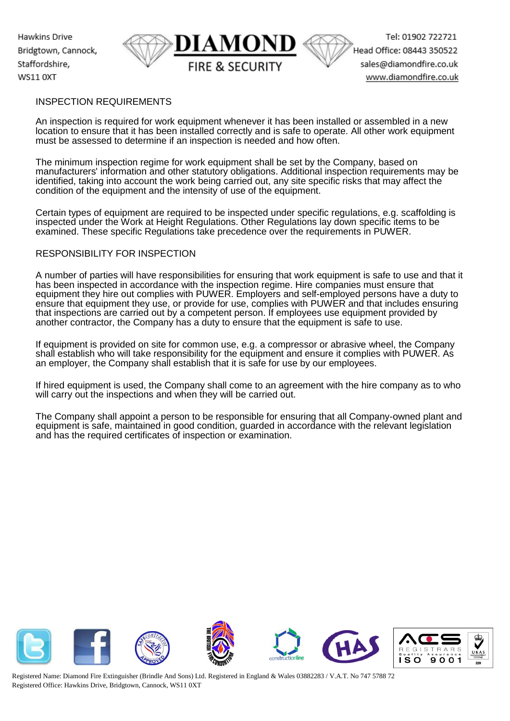

#### INSPECTION REQUIREMENTS

An inspection is required for work equipment whenever it has been installed or assembled in a new location to ensure that it has been installed correctly and is safe to operate. All other work equipment must be assessed to determine if an inspection is needed and how often.

The minimum inspection regime for work equipment shall be set by the Company, based on manufacturers' information and other statutory obligations. Additional inspection requirements may be identified, taking into account the work being carried out, any site specific risks that may affect the condition of the equipment and the intensity of use of the equipment.

Certain types of equipment are required to be inspected under specific regulations, e.g. scaffolding is inspected under the Work at Height Regulations. Other Regulations lay down specific items to be examined. These specific Regulations take precedence over the requirements in PUWER.

#### RESPONSIBILITY FOR INSPECTION

A number of parties will have responsibilities for ensuring that work equipment is safe to use and that it has been inspected in accordance with the inspection regime. Hire companies must ensure that equipment they hire out complies with PUWER. Employers and self-employed persons have a duty to ensure that equipment they use, or provide for use, complies with PUWER and that includes ensuring that inspections are carried out by a competent person. If employees use equipment provided by another contractor, the Company has a duty to ensure that the equipment is safe to use.

If equipment is provided on site for common use, e.g. a compressor or abrasive wheel, the Company shall establish who will take responsibility for the equipment and ensure it complies with PUWER. As an employer, the Company shall establish that it is safe for use by our employees.

If hired equipment is used, the Company shall come to an agreement with the hire company as to who will carry out the inspections and when they will be carried out.

The Company shall appoint a person to be responsible for ensuring that all Company-owned plant and equipment is safe, maintained in good condition, guarded in accordance with the relevant legislation and has the required certificates of inspection or examination.

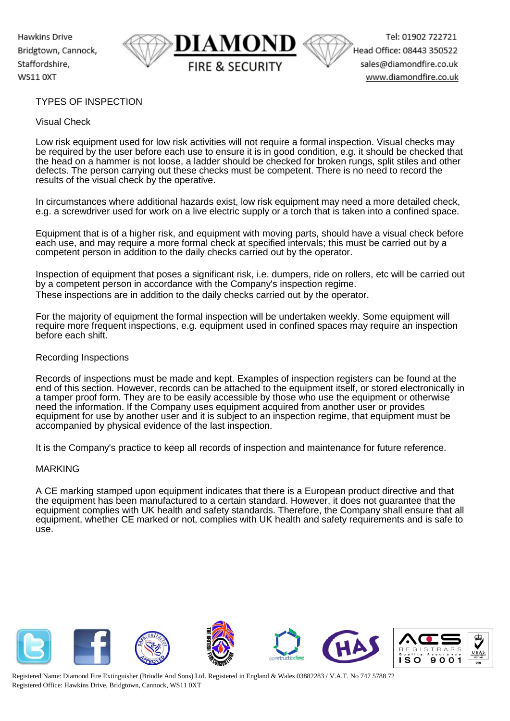

Tel: 01902 722721 Head Office: 08443 350522 sales@diamondfire.co.uk www.diamondfire.co.uk

TYPES OF INSPECTION

#### Visual Check

Low risk equipment used for low risk activities will not require a formal inspection. Visual checks may be required by the user before each use to ensure it is in good condition, e.g. it should be checked that the head on a hammer is not loose, a ladder should be checked for broken rungs, split stiles and other defects. The person carrying out these checks must be competent. There is no need to record the results of the visual check by the operative.

In circumstances where additional hazards exist, low risk equipment may need a more detailed check, e.g. a screwdriver used for work on a live electric supply or a torch that is taken into a confined space.

Equipment that is of a higher risk, and equipment with moving parts, should have a visual check before each use, and may require a more formal check at specified intervals; this must be carried out by a competent person in addition to the daily checks carried out by the operator.

Inspection of equipment that poses a significant risk, i.e. dumpers, ride on rollers, etc will be carried out by a competent person in accordance with the Company's inspection regime. These inspections are in addition to the daily checks carried out by the operator.

For the majority of equipment the formal inspection will be undertaken weekly. Some equipment will require more frequent inspections, e.g. equipment used in confined spaces may require an inspection before each shift.

#### Recording Inspections

Records of inspections must be made and kept. Examples of inspection registers can be found at the end of this section. However, records can be attached to the equipment itself, or stored electronically in a tamper proof form. They are to be easily accessible by those who use the equipment or otherwise need the information. If the Company uses equipment acquired from another user or provides equipment for use by another user and it is subject to an inspection regime, that equipment must be accompanied by physical evidence of the last inspection.

It is the Company's practice to keep all records of inspection and maintenance for future reference.

#### MARKING

A CE marking stamped upon equipment indicates that there is a European product directive and that the equipment has been manufactured to a certain standard. However, it does not guarantee that the equipment complies with UK health and safety standards. Therefore, the Company shall ensure that all equipment, whether CE marked or not, complies with UK health and safety requirements and is safe to use.

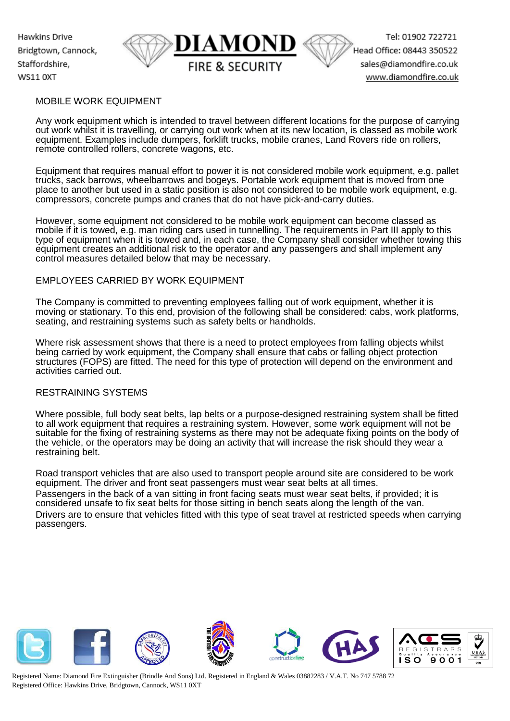

Tel: 01902 722721 Head Office: 08443 350522 sales@diamondfire.co.uk www.diamondfire.co.uk

#### MOBILE WORK EQUIPMENT

Any work equipment which is intended to travel between different locations for the purpose of carrying out work whilst it is travelling, or carrying out work when at its new location, is classed as mobile work equipment. Examples include dumpers, forklift trucks, mobile cranes, Land Rovers ride on rollers, remote controlled rollers, concrete wagons, etc.

Equipment that requires manual effort to power it is not considered mobile work equipment, e.g. pallet trucks, sack barrows, wheelbarrows and bogeys. Portable work equipment that is moved from one place to another but used in a static position is also not considered to be mobile work equipment, e.g. compressors, concrete pumps and cranes that do not have pick-and-carry duties.

However, some equipment not considered to be mobile work equipment can become classed as mobile if it is towed, e.g. man riding cars used in tunnelling. The requirements in Part III apply to this type of equipment when it is towed and, in each case, the Company shall consider whether towing this equipment creates an additional risk to the operator and any passengers and shall implement any control measures detailed below that may be necessary.

#### EMPLOYEES CARRIED BY WORK EQUIPMENT

The Company is committed to preventing employees falling out of work equipment, whether it is moving or stationary. To this end, provision of the following shall be considered: cabs, work platforms, seating, and restraining systems such as safety belts or handholds.

Where risk assessment shows that there is a need to protect employees from falling objects whilst being carried by work equipment, the Company shall ensure that cabs or falling object protection structures (FOPS) are fitted. The need for this type of protection will depend on the environment and activities carried out.

#### RESTRAINING SYSTEMS

Where possible, full body seat belts, lap belts or a purpose-designed restraining system shall be fitted to all work equipment that requires a restraining system. However, some work equipment will not be suitable for the fixing of restraining systems as there may not be adequate fixing points on the body of the vehicle, or the operators may be doing an activity that will increase the risk should they wear a restraining belt.

Road transport vehicles that are also used to transport people around site are considered to be work equipment. The driver and front seat passengers must wear seat belts at all times. Passengers in the back of a van sitting in front facing seats must wear seat belts, if provided; it is considered unsafe to fix seat belts for those sitting in bench seats along the length of the van. Drivers are to ensure that vehicles fitted with this type of seat travel at restricted speeds when carrying passengers.

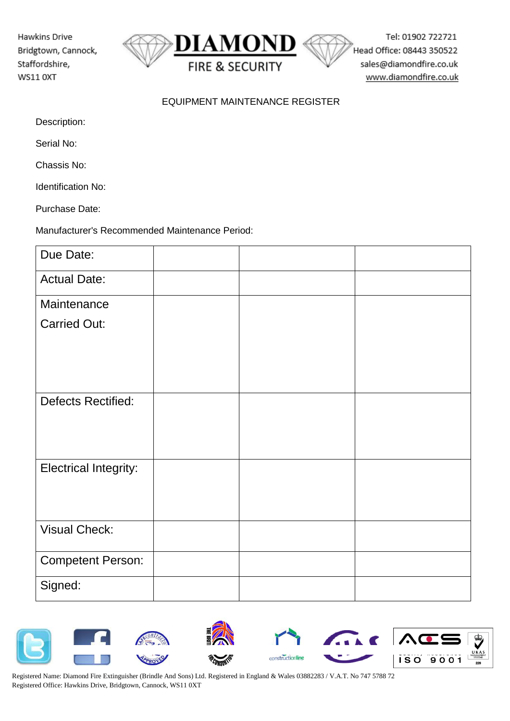

Tel: 01902 722721 Head Office: 08443 350522 sales@diamondfire.co.uk www.diamondfire.co.uk

#### EQUIPMENT MAINTENANCE REGISTER

Description:

Serial No:

Chassis No:

Identification No:

Purchase Date:

Manufacturer's Recommended Maintenance Period:

| Due Date:                    |  |  |
|------------------------------|--|--|
| <b>Actual Date:</b>          |  |  |
| Maintenance                  |  |  |
| <b>Carried Out:</b>          |  |  |
|                              |  |  |
|                              |  |  |
|                              |  |  |
| <b>Defects Rectified:</b>    |  |  |
|                              |  |  |
|                              |  |  |
|                              |  |  |
| <b>Electrical Integrity:</b> |  |  |
|                              |  |  |
|                              |  |  |
| <b>Visual Check:</b>         |  |  |
|                              |  |  |
| <b>Competent Person:</b>     |  |  |
| Signed:                      |  |  |

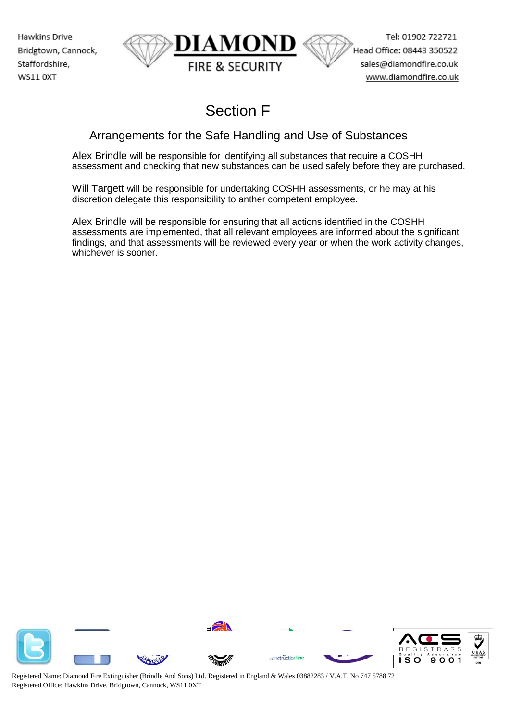

Tel: 01902 722721 Head Office: 08443 350522 sales@diamondfire.co.uk www.diamondfire.co.uk

# Section F

### Arrangements for the Safe Handling and Use of Substances

Alex Brindle will be responsible for identifying all substances that require a COSHH assessment and checking that new substances can be used safely before they are purchased.

Will Targett will be responsible for undertaking COSHH assessments, or he may at his discretion delegate this responsibility to anther competent employee.

Alex Brindle will be responsible for ensuring that all actions identified in the COSHH assessments are implemented, that all relevant employees are informed about the significant findings, and that assessments will be reviewed every year or when the work activity changes, whichever is sooner.

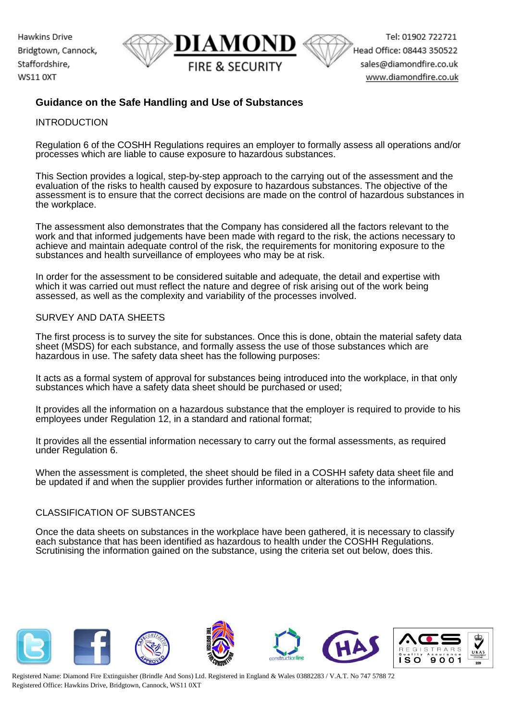

Tel: 01902 722721 Head Office: 08443 350522 sales@diamondfire.co.uk www.diamondfire.co.uk

#### **Guidance on the Safe Handling and Use of Substances**

#### INTRODUCTION

Regulation 6 of the COSHH Regulations requires an employer to formally assess all operations and/or processes which are liable to cause exposure to hazardous substances.

This Section provides a logical, step-by-step approach to the carrying out of the assessment and the evaluation of the risks to health caused by exposure to hazardous substances. The objective of the assessment is to ensure that the correct decisions are made on the control of hazardous substances in the workplace.

The assessment also demonstrates that the Company has considered all the factors relevant to the work and that informed judgements have been made with regard to the risk, the actions necessary to achieve and maintain adequate control of the risk, the requirements for monitoring exposure to the substances and health surveillance of employees who may be at risk.

In order for the assessment to be considered suitable and adequate, the detail and expertise with which it was carried out must reflect the nature and degree of risk arising out of the work being assessed, as well as the complexity and variability of the processes involved.

#### SURVEY AND DATA SHEETS

The first process is to survey the site for substances. Once this is done, obtain the material safety data sheet (MSDS) for each substance, and formally assess the use of those substances which are hazardous in use. The safety data sheet has the following purposes:

It acts as a formal system of approval for substances being introduced into the workplace, in that only substances which have a safety data sheet should be purchased or used;

It provides all the information on a hazardous substance that the employer is required to provide to his employees under Regulation 12, in a standard and rational format;

It provides all the essential information necessary to carry out the formal assessments, as required under Regulation 6.

When the assessment is completed, the sheet should be filed in a COSHH safety data sheet file and be updated if and when the supplier provides further information or alterations to the information.

#### CLASSIFICATION OF SUBSTANCES

Once the data sheets on substances in the workplace have been gathered, it is necessary to classify each substance that has been identified as hazardous to health under the COSHH Regulations. Scrutinising the information gained on the substance, using the criteria set out below, does this.

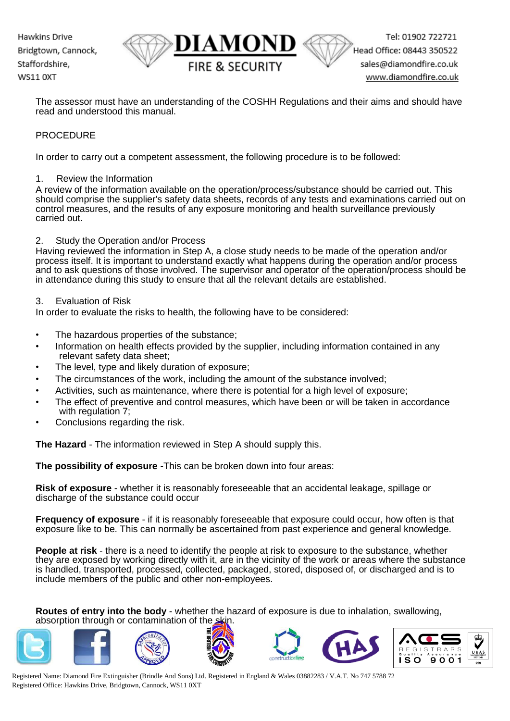

Tel: 01902 722721 Head Office: 08443 350522 sales@diamondfire.co.uk www.diamondfire.co.uk

The assessor must have an understanding of the COSHH Regulations and their aims and should have read and understood this manual.

#### PROCEDURE

In order to carry out a competent assessment, the following procedure is to be followed:

1. Review the Information

A review of the information available on the operation/process/substance should be carried out. This should comprise the supplier's safety data sheets, records of any tests and examinations carried out on control measures, and the results of any exposure monitoring and health surveillance previously carried out.

2. Study the Operation and/or Process

Having reviewed the information in Step A, a close study needs to be made of the operation and/or process itself. It is important to understand exactly what happens during the operation and/or process and to ask questions of those involved. The supervisor and operator of the operation/process should be in attendance during this study to ensure that all the relevant details are established.

#### 3. Evaluation of Risk

In order to evaluate the risks to health, the following have to be considered:

- The hazardous properties of the substance;
- Information on health effects provided by the supplier, including information contained in any relevant safety data sheet;
- The level, type and likely duration of exposure;
- The circumstances of the work, including the amount of the substance involved;
- Activities, such as maintenance, where there is potential for a high level of exposure;
- The effect of preventive and control measures, which have been or will be taken in accordance with regulation 7;
- Conclusions regarding the risk.

**The Hazard** - The information reviewed in Step A should supply this.

**The possibility of exposure** -This can be broken down into four areas:

**Risk of exposure** - whether it is reasonably foreseeable that an accidental leakage, spillage or discharge of the substance could occur

**Frequency of exposure** - if it is reasonably foreseeable that exposure could occur, how often is that exposure like to be. This can normally be ascertained from past experience and general knowledge.

**People at risk** - there is a need to identify the people at risk to exposure to the substance, whether they are exposed by working directly with it, are in the vicinity of the work or areas where the substance is handled, transported, processed, collected, packaged, stored, disposed of, or discharged and is to include members of the public and other non-employees.

**Routes of entry into the body** - whether the hazard of exposure is due to inhalation, swallowing, absorption through or contamination of the skin.









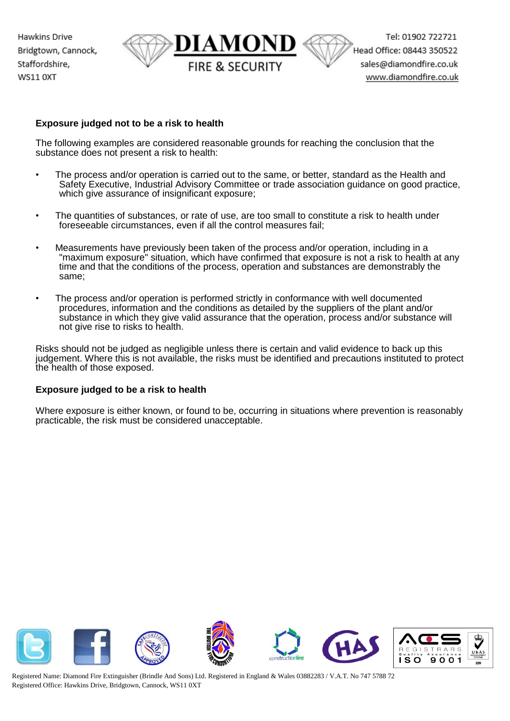

Tel: 01902 722721 Head Office: 08443 350522 sales@diamondfire.co.uk www.diamondfire.co.uk

#### **Exposure judged not to be a risk to health**

The following examples are considered reasonable grounds for reaching the conclusion that the substance does not present a risk to health:

- The process and/or operation is carried out to the same, or better, standard as the Health and Safety Executive, Industrial Advisory Committee or trade association guidance on good practice, which give assurance of insignificant exposure;
- The quantities of substances, or rate of use, are too small to constitute a risk to health under foreseeable circumstances, even if all the control measures fail;
- Measurements have previously been taken of the process and/or operation, including in a "maximum exposure" situation, which have confirmed that exposure is not a risk to health at any time and that the conditions of the process, operation and substances are demonstrably the same;
- The process and/or operation is performed strictly in conformance with well documented procedures, information and the conditions as detailed by the suppliers of the plant and/or substance in which they give valid assurance that the operation, process and/or substance will not give rise to risks to health.

Risks should not be judged as negligible unless there is certain and valid evidence to back up this judgement. Where this is not available, the risks must be identified and precautions instituted to protect the health of those exposed.

#### **Exposure judged to be a risk to health**

Where exposure is either known, or found to be, occurring in situations where prevention is reasonably practicable, the risk must be considered unacceptable.

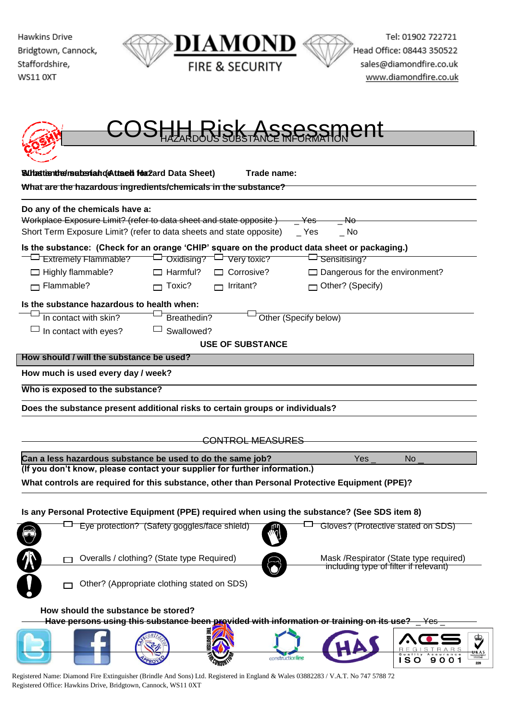

Tel: 01902 722721 Head Office: 08443 350522 sales@diamondfire.co.uk www.diamondfire.co.uk

| <b>Sutatianted reatestand extract foazard Data Sheet)</b>                     | Trade name:                                                                                                                                                  |                                                                                  |  |
|-------------------------------------------------------------------------------|--------------------------------------------------------------------------------------------------------------------------------------------------------------|----------------------------------------------------------------------------------|--|
|                                                                               | What are the hazardous ingredients/chemicals in the substance?                                                                                               |                                                                                  |  |
| Do any of the chemicals have a:                                               | Workplace Exposure Limit? (refer to data sheet and state opposite)<br>Short Term Exposure Limit? (refer to data sheets and state opposite)                   | —Yes—<br>—No<br>Yes<br>– No                                                      |  |
|                                                                               | Is the substance: (Check for an orange 'CHIP' square on the product data sheet or packaging.)<br><del>Fxtremely Flammable? D</del> Dxidising? DD Very toxic? | Sensitising?                                                                     |  |
| $\Box$ Highly flammable?                                                      | $\Box$ Harmful?<br>$\Box$ Corrosive?                                                                                                                         | $\Box$ Dangerous for the environment?                                            |  |
| ⊤ Flammable?                                                                  | $\Box$ Toxic?<br>$\Box$ Irritant?                                                                                                                            | $\Box$ Other? (Specify)                                                          |  |
| Is the substance hazardous to health when:                                    |                                                                                                                                                              |                                                                                  |  |
| In contact with skin?                                                         | Breathedin?                                                                                                                                                  | Other (Specify below)                                                            |  |
| $\Box$ In contact with eyes?                                                  | $\Box$ Swallowed?                                                                                                                                            |                                                                                  |  |
| How should / will the substance be used?                                      | <b>USE OF SUBSTANCE</b>                                                                                                                                      |                                                                                  |  |
| How much is used every day / week?                                            |                                                                                                                                                              |                                                                                  |  |
|                                                                               |                                                                                                                                                              |                                                                                  |  |
| Who is exposed to the substance?                                              |                                                                                                                                                              |                                                                                  |  |
| Does the substance present additional risks to certain groups or individuals? |                                                                                                                                                              |                                                                                  |  |
|                                                                               |                                                                                                                                                              |                                                                                  |  |
|                                                                               |                                                                                                                                                              |                                                                                  |  |
|                                                                               | <del>CONTROL MEASURES</del>                                                                                                                                  |                                                                                  |  |
|                                                                               | Can a less hazardous substance be used to do the same job?                                                                                                   | Yes<br>No.                                                                       |  |
|                                                                               | (If you don't know, please contact your supplier for further information.)                                                                                   |                                                                                  |  |
|                                                                               | What controls are required for this substance, other than Personal Protective Equipment (PPE)?                                                               |                                                                                  |  |
|                                                                               |                                                                                                                                                              |                                                                                  |  |
|                                                                               | Is any Personal Protective Equipment (PPE) required when using the substance? (See SDS item 8)                                                               |                                                                                  |  |
|                                                                               | Eye protection? (Safety goggles/face shield)                                                                                                                 | Gloves? (Protective stated on SDS)                                               |  |
|                                                                               |                                                                                                                                                              |                                                                                  |  |
|                                                                               | Overalls / clothing? (State type Required)                                                                                                                   | Mask / Respirator (State type required)<br>including type of filter if relevant) |  |
|                                                                               |                                                                                                                                                              |                                                                                  |  |
|                                                                               | Other? (Appropriate clothing stated on SDS)                                                                                                                  |                                                                                  |  |
| How should the substance be stored?                                           |                                                                                                                                                              |                                                                                  |  |
|                                                                               | Have persons using this substance been provided with information or training on its use? $\_$ Yes $\_$                                                       |                                                                                  |  |
|                                                                               |                                                                                                                                                              |                                                                                  |  |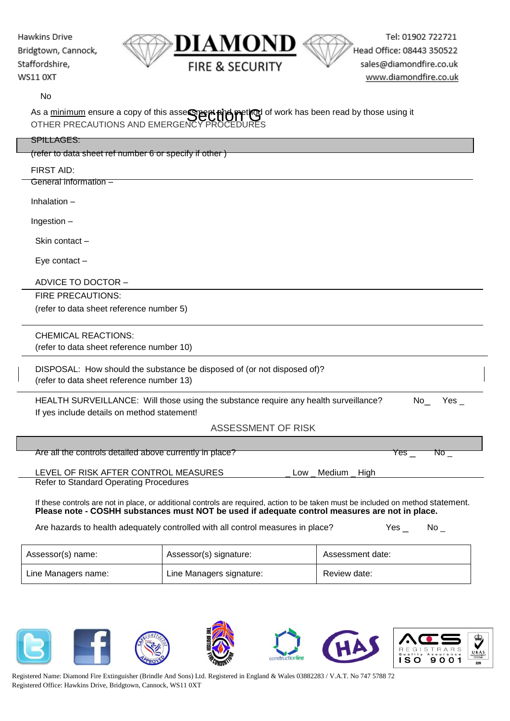| Hawkins Drive<br>Bridgtown, Cannock,<br>Staffordshire,<br>WS11 0XT                    | DIAMOND<br><b>FIRE &amp; SECURITY</b>                                                                                                                                                                                               | Tel: 01902 722721<br>Head Office: 08443 350522<br>sales@diamondfire.co.uk<br>www.diamondfire.co.uk |
|---------------------------------------------------------------------------------------|-------------------------------------------------------------------------------------------------------------------------------------------------------------------------------------------------------------------------------------|----------------------------------------------------------------------------------------------------|
| No<br>OTHER PRECAUTIONS AND EMERGENCY PROCEDURES                                      | As a minimum ensure a copy of this asseSpept pipe met od of work has been read by those using it                                                                                                                                    |                                                                                                    |
| <b>SPILLAGES:</b>                                                                     |                                                                                                                                                                                                                                     |                                                                                                    |
| (refer to data sheet ref number 6 or specify if other)                                |                                                                                                                                                                                                                                     |                                                                                                    |
| FIRST AID:<br>General information -                                                   |                                                                                                                                                                                                                                     |                                                                                                    |
| Inhalation $-$                                                                        |                                                                                                                                                                                                                                     |                                                                                                    |
| Ingestion -                                                                           |                                                                                                                                                                                                                                     |                                                                                                    |
| Skin contact-                                                                         |                                                                                                                                                                                                                                     |                                                                                                    |
| Eye contact $-$                                                                       |                                                                                                                                                                                                                                     |                                                                                                    |
| ADVICE TO DOCTOR -                                                                    |                                                                                                                                                                                                                                     |                                                                                                    |
| <b>FIRE PRECAUTIONS:</b>                                                              |                                                                                                                                                                                                                                     |                                                                                                    |
| (refer to data sheet reference number 5)                                              |                                                                                                                                                                                                                                     |                                                                                                    |
| <b>CHEMICAL REACTIONS:</b><br>(refer to data sheet reference number 10)               |                                                                                                                                                                                                                                     |                                                                                                    |
| (refer to data sheet reference number 13)                                             | DISPOSAL: How should the substance be disposed of (or not disposed of)?                                                                                                                                                             |                                                                                                    |
| If yes include details on method statement!                                           | HEALTH SURVEILLANCE: Will those using the substance require any health surveillance?                                                                                                                                                | No<br>Yes                                                                                          |
|                                                                                       | <b>ASSESSMENT OF RISK</b>                                                                                                                                                                                                           |                                                                                                    |
| Are all the controls detailed above currently in place?                               |                                                                                                                                                                                                                                     | $\overline{\texttt{No}}\_$<br>Yes—                                                                 |
| LEVEL OF RISK AFTER CONTROL MEASURES<br><b>Refer to Standard Operating Procedures</b> |                                                                                                                                                                                                                                     | Low _ Medium _ High                                                                                |
|                                                                                       | If these controls are not in place, or additional controls are required, action to be taken must be included on method statement.<br>Please note - COSHH substances must NOT be used if adequate control measures are not in place. |                                                                                                    |
|                                                                                       | Are hazards to health adequately controlled with all control measures in place?                                                                                                                                                     | No l<br>Yes                                                                                        |
| Assessor(s) name:                                                                     | Assessor(s) signature:                                                                                                                                                                                                              | Assessment date:                                                                                   |
| Line Managers name:                                                                   | Line Managers signature:                                                                                                                                                                                                            | Review date:                                                                                       |

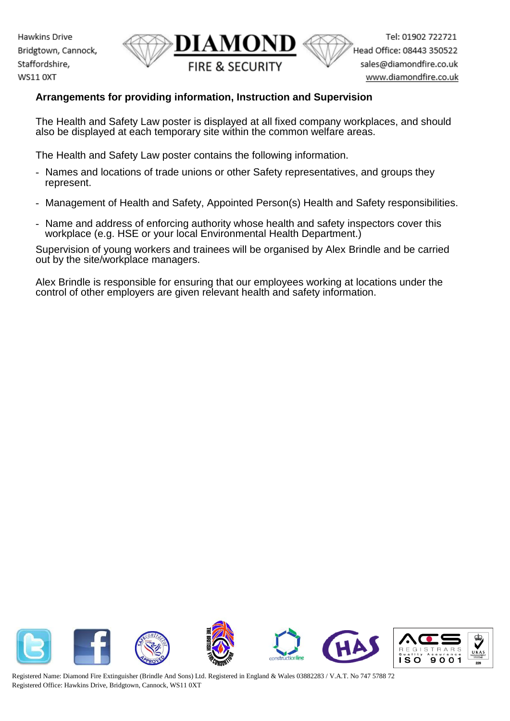

Tel: 01902 722721 Head Office: 08443 350522 sales@diamondfire.co.uk www.diamondfire.co.uk

#### **Arrangements for providing information, Instruction and Supervision**

The Health and Safety Law poster is displayed at all fixed company workplaces, and should also be displayed at each temporary site within the common welfare areas.

The Health and Safety Law poster contains the following information.

- Names and locations of trade unions or other Safety representatives, and groups they represent.
- Management of Health and Safety, Appointed Person(s) Health and Safety responsibilities.
- Name and address of enforcing authority whose health and safety inspectors cover this workplace (e.g. HSE or your local Environmental Health Department.)

Supervision of young workers and trainees will be organised by Alex Brindle and be carried out by the site/workplace managers.

Alex Brindle is responsible for ensuring that our employees working at locations under the control of other employers are given relevant health and safety information.

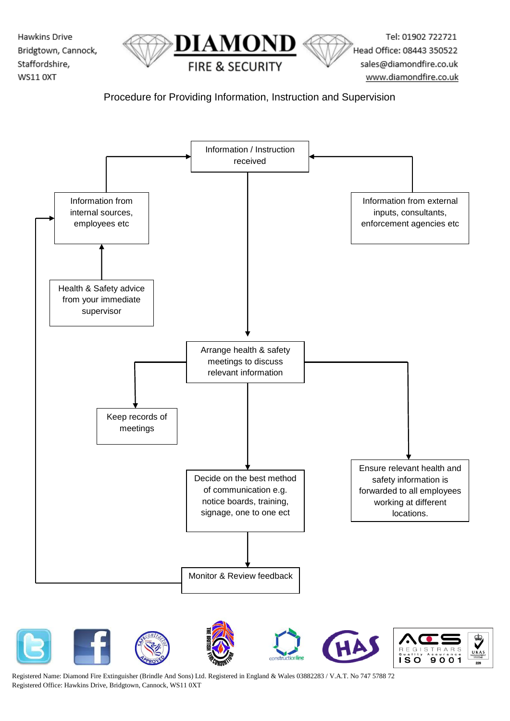

Tel: 01902 722721 Head Office: 08443 350522 sales@diamondfire.co.uk www.diamondfire.co.uk

Procedure for Providing Information, Instruction and Supervision

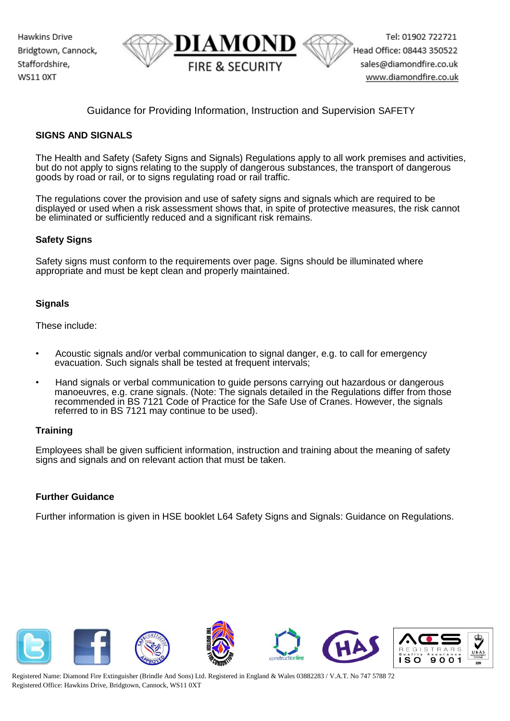

Tel: 01902 722721 Head Office: 08443 350522 sales@diamondfire.co.uk www.diamondfire.co.uk

#### Guidance for Providing Information, Instruction and Supervision SAFETY

#### **SIGNS AND SIGNALS**

The Health and Safety (Safety Signs and Signals) Regulations apply to all work premises and activities, but do not apply to signs relating to the supply of dangerous substances, the transport of dangerous goods by road or rail, or to signs regulating road or rail traffic.

The regulations cover the provision and use of safety signs and signals which are required to be displayed or used when a risk assessment shows that, in spite of protective measures, the risk cannot be eliminated or sufficiently reduced and a significant risk remains.

#### **Safety Signs**

Safety signs must conform to the requirements over page. Signs should be illuminated where appropriate and must be kept clean and properly maintained.

#### **Signals**

These include:

- Acoustic signals and/or verbal communication to signal danger, e.g. to call for emergency evacuation. Such signals shall be tested at frequent intervals;
- Hand signals or verbal communication to guide persons carrying out hazardous or dangerous manoeuvres, e.g. crane signals. (Note: The signals detailed in the Regulations differ from those recommended in BS 7121 Code of Practice for the Safe Use of Cranes. However, the signals referred to in BS 7121 may continue to be used).

#### **Training**

Employees shall be given sufficient information, instruction and training about the meaning of safety signs and signals and on relevant action that must be taken.

#### **Further Guidance**

Further information is given in HSE booklet L64 Safety Signs and Signals: Guidance on Regulations.

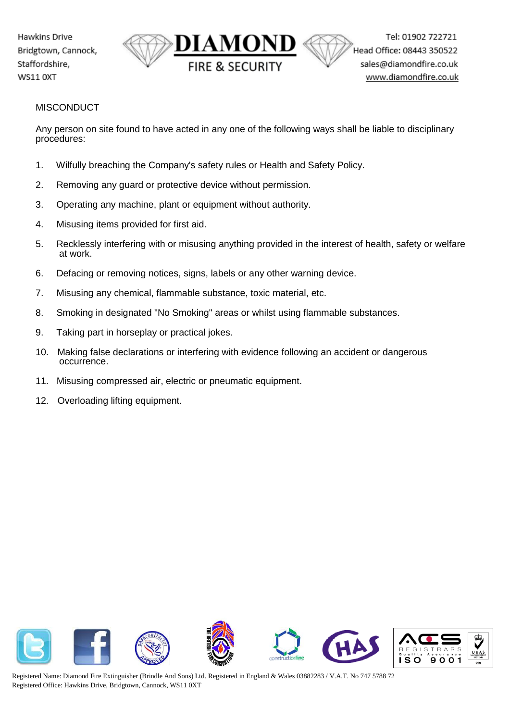

#### **MISCONDUCT**

Any person on site found to have acted in any one of the following ways shall be liable to disciplinary procedures:

- 1. Wilfully breaching the Company's safety rules or Health and Safety Policy.
- 2. Removing any guard or protective device without permission.
- 3. Operating any machine, plant or equipment without authority.
- 4. Misusing items provided for first aid.
- 5. Recklessly interfering with or misusing anything provided in the interest of health, safety or welfare at work.
- 6. Defacing or removing notices, signs, labels or any other warning device.
- 7. Misusing any chemical, flammable substance, toxic material, etc.
- 8. Smoking in designated "No Smoking" areas or whilst using flammable substances.
- 9. Taking part in horseplay or practical jokes.
- 10. Making false declarations or interfering with evidence following an accident or dangerous occurrence.
- 11. Misusing compressed air, electric or pneumatic equipment.
- 12. Overloading lifting equipment.

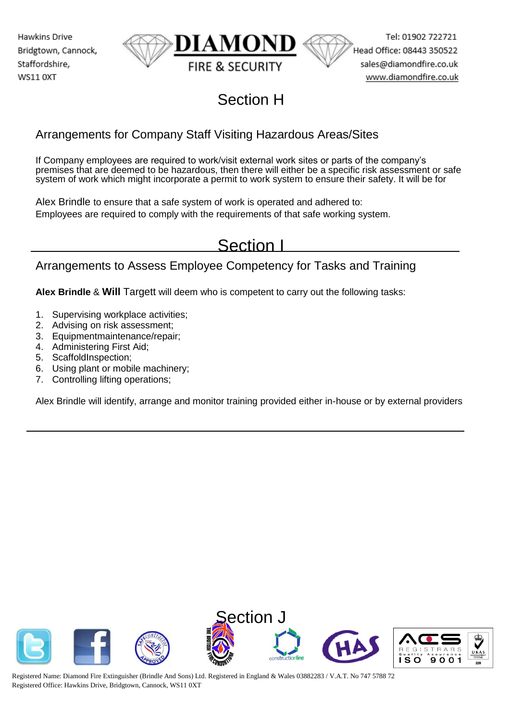

Tel: 01902 722721 Head Office: 08443 350522 sales@diamondfire.co.uk www.diamondfire.co.uk

# Section H

# Arrangements for Company Staff Visiting Hazardous Areas/Sites

If Company employees are required to work/visit external work sites or parts of the company's premises that are deemed to be hazardous, then there will either be a specific risk assessment or safe system of work which might incorporate a permit to work system to ensure their safety. It will be for

Alex Brindle to ensure that a safe system of work is operated and adhered to: Employees are required to comply with the requirements of that safe working system.

# Section I

## Arrangements to Assess Employee Competency for Tasks and Training

**Alex Brindle** & **Will** Targett will deem who is competent to carry out the following tasks:

- 1. Supervising workplace activities;
- 2. Advising on risk assessment;
- 3. Equipmentmaintenance/repair;
- 4. Administering First Aid;
- 5. ScaffoldInspection;
- 6. Using plant or mobile machinery;
- 7. Controlling lifting operations;

Alex Brindle will identify, arrange and monitor training provided either in-house or by external providers

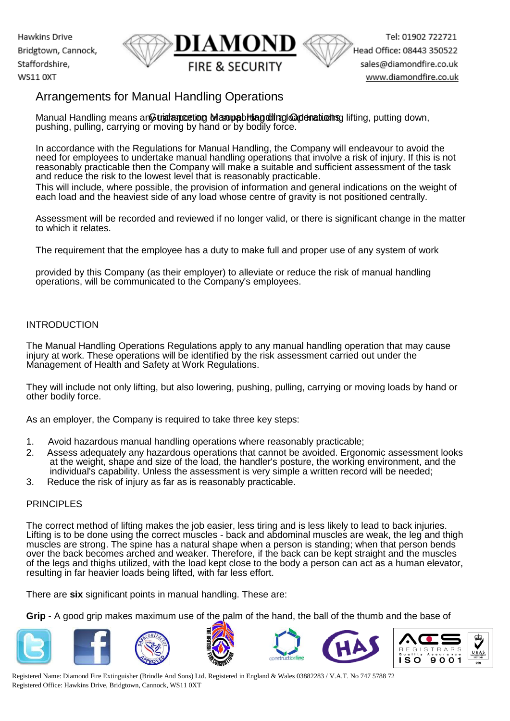

## Arrangements for Manual Handling Operations

Manual Handling means an Guidas proceting Manupablitagod fragional influiting lifting, putting down, pushing, pulling, carrying or moving by hand or by bodily force.

In accordance with the Regulations for Manual Handling, the Company will endeavour to avoid the need for employees to undertake manual handling operations that involve a risk of injury. If this is not reasonably practicable then the Company will make a suitable and sufficient assessment of the task and reduce the risk to the lowest level that is reasonably practicable.

This will include, where possible, the provision of information and general indications on the weight of each load and the heaviest side of any load whose centre of gravity is not positioned centrally.

Assessment will be recorded and reviewed if no longer valid, or there is significant change in the matter to which it relates.

The requirement that the employee has a duty to make full and proper use of any system of work

provided by this Company (as their employer) to alleviate or reduce the risk of manual handling operations, will be communicated to the Company's employees.

#### INTRODUCTION

The Manual Handling Operations Regulations apply to any manual handling operation that may cause injury at work. These operations will be identified by the risk assessment carried out under the Management of Health and Safety at Work Regulations.

They will include not only lifting, but also lowering, pushing, pulling, carrying or moving loads by hand or other bodily force.

As an employer, the Company is required to take three key steps:

- 1. Avoid hazardous manual handling operations where reasonably practicable;
- 2. Assess adequately any hazardous operations that cannot be avoided. Ergonomic assessment looks at the weight, shape and size of the load, the handler's posture, the working environment, and the individual's capability. Unless the assessment is very simple a written record will be needed;
- 3. Reduce the risk of injury as far as is reasonably practicable.

#### PRINCIPLES

The correct method of lifting makes the job easier, less tiring and is less likely to lead to back injuries. Lifting is to be done using the correct muscles - back and abdominal muscles are weak, the leg and thigh muscles are strong. The spine has a natural shape when a person is standing; when that person bends over the back becomes arched and weaker. Therefore, if the back can be kept straight and the muscles of the legs and thighs utilized, with the load kept close to the body a person can act as a human elevator, resulting in far heavier loads being lifted, with far less effort.

There are **six** significant points in manual handling. These are:

**Grip** - A good grip makes maximum use of the palm of the hand, the ball of the thumb and the base of

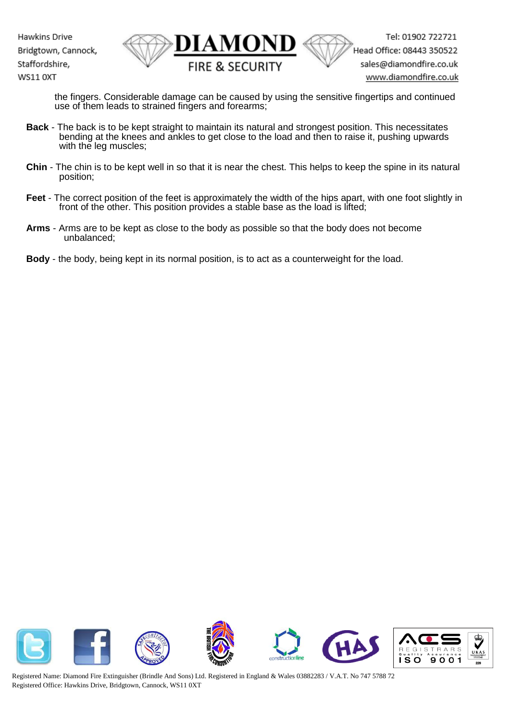

Tel: 01902 722721 Head Office: 08443 350522 sales@diamondfire.co.uk www.diamondfire.co.uk

the fingers. Considerable damage can be caused by using the sensitive fingertips and continued use of them leads to strained fingers and forearms;

- **Back** The back is to be kept straight to maintain its natural and strongest position. This necessitates bending at the knees and ankles to get close to the load and then to raise it, pushing upwards with the leg muscles;
- **Chin** The chin is to be kept well in so that it is near the chest. This helps to keep the spine in its natural position;
- **Feet** The correct position of the feet is approximately the width of the hips apart, with one foot slightly in front of the other. This position provides a stable base as the load is lifted;
- **Arms** Arms are to be kept as close to the body as possible so that the body does not become unbalanced;
- **Body** the body, being kept in its normal position, is to act as a counterweight for the load.

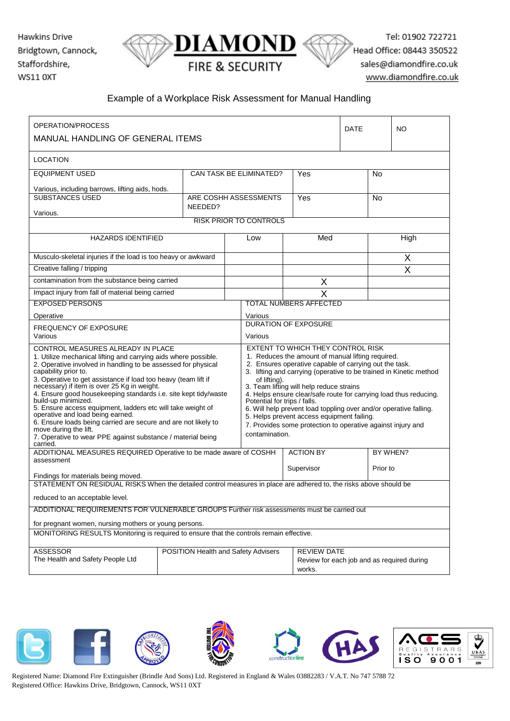

Tel: 01902 722721 Head Office: 08443 350522 sales@diamondfire.co.uk www.diamondfire.co.uk

#### Example of a Workplace Risk Assessment for Manual Handling

| OPERATION/PROCESS<br>MANUAL HANDLING OF GENERAL ITEMS                                                                                                                                                                                                                                                                                                                                                                                                                                                                                                                                                                                                                             |                                  |                                                                |                                                                                                                                                                                                                                                                                                                                                                                                                                                                                                                                  |                        | <b>DATE</b><br>NO                                                |          |      |
|-----------------------------------------------------------------------------------------------------------------------------------------------------------------------------------------------------------------------------------------------------------------------------------------------------------------------------------------------------------------------------------------------------------------------------------------------------------------------------------------------------------------------------------------------------------------------------------------------------------------------------------------------------------------------------------|----------------------------------|----------------------------------------------------------------|----------------------------------------------------------------------------------------------------------------------------------------------------------------------------------------------------------------------------------------------------------------------------------------------------------------------------------------------------------------------------------------------------------------------------------------------------------------------------------------------------------------------------------|------------------------|------------------------------------------------------------------|----------|------|
| <b>LOCATION</b>                                                                                                                                                                                                                                                                                                                                                                                                                                                                                                                                                                                                                                                                   |                                  |                                                                |                                                                                                                                                                                                                                                                                                                                                                                                                                                                                                                                  |                        |                                                                  |          |      |
| <b>EQUIPMENT USED</b>                                                                                                                                                                                                                                                                                                                                                                                                                                                                                                                                                                                                                                                             |                                  |                                                                | <b>CAN TASK BE ELIMINATED?</b>                                                                                                                                                                                                                                                                                                                                                                                                                                                                                                   | Yes                    | No                                                               |          |      |
| Various, including barrows, lifting aids, hods.                                                                                                                                                                                                                                                                                                                                                                                                                                                                                                                                                                                                                                   |                                  |                                                                |                                                                                                                                                                                                                                                                                                                                                                                                                                                                                                                                  |                        |                                                                  |          |      |
| <b>SUBSTANCES USED</b>                                                                                                                                                                                                                                                                                                                                                                                                                                                                                                                                                                                                                                                            | ARE COSHH ASSESSMENTS<br>NEEDED? |                                                                |                                                                                                                                                                                                                                                                                                                                                                                                                                                                                                                                  | Yes                    | No                                                               |          |      |
| Various.                                                                                                                                                                                                                                                                                                                                                                                                                                                                                                                                                                                                                                                                          |                                  |                                                                | <b>RISK PRIOR TO CONTROLS</b>                                                                                                                                                                                                                                                                                                                                                                                                                                                                                                    |                        |                                                                  |          |      |
|                                                                                                                                                                                                                                                                                                                                                                                                                                                                                                                                                                                                                                                                                   |                                  |                                                                |                                                                                                                                                                                                                                                                                                                                                                                                                                                                                                                                  |                        |                                                                  |          |      |
| <b>HAZARDS IDENTIFIED</b>                                                                                                                                                                                                                                                                                                                                                                                                                                                                                                                                                                                                                                                         |                                  |                                                                | Low                                                                                                                                                                                                                                                                                                                                                                                                                                                                                                                              | Med                    |                                                                  |          | High |
| Musculo-skeletal injuries if the load is too heavy or awkward                                                                                                                                                                                                                                                                                                                                                                                                                                                                                                                                                                                                                     |                                  |                                                                |                                                                                                                                                                                                                                                                                                                                                                                                                                                                                                                                  |                        |                                                                  |          | X    |
| Creative falling / tripping                                                                                                                                                                                                                                                                                                                                                                                                                                                                                                                                                                                                                                                       |                                  |                                                                |                                                                                                                                                                                                                                                                                                                                                                                                                                                                                                                                  |                        |                                                                  |          | X    |
| contamination from the substance being carried                                                                                                                                                                                                                                                                                                                                                                                                                                                                                                                                                                                                                                    |                                  |                                                                |                                                                                                                                                                                                                                                                                                                                                                                                                                                                                                                                  | Χ                      |                                                                  |          |      |
| Impact injury from fall of material being carried                                                                                                                                                                                                                                                                                                                                                                                                                                                                                                                                                                                                                                 |                                  |                                                                |                                                                                                                                                                                                                                                                                                                                                                                                                                                                                                                                  | X                      |                                                                  |          |      |
| <b>EXPOSED PERSONS</b>                                                                                                                                                                                                                                                                                                                                                                                                                                                                                                                                                                                                                                                            |                                  |                                                                |                                                                                                                                                                                                                                                                                                                                                                                                                                                                                                                                  | TOTAL NUMBERS AFFECTED |                                                                  |          |      |
| Operative                                                                                                                                                                                                                                                                                                                                                                                                                                                                                                                                                                                                                                                                         |                                  |                                                                | Various<br><b>DURATION OF EXPOSURE</b>                                                                                                                                                                                                                                                                                                                                                                                                                                                                                           |                        |                                                                  |          |      |
| <b>FREQUENCY OF EXPOSURE</b><br>Various                                                                                                                                                                                                                                                                                                                                                                                                                                                                                                                                                                                                                                           |                                  | Various                                                        |                                                                                                                                                                                                                                                                                                                                                                                                                                                                                                                                  |                        |                                                                  |          |      |
| CONTROL MEASURES ALREADY IN PLACE<br>1. Utilize mechanical lifting and carrying aids where possible.<br>2. Operative involved in handling to be assessed for physical<br>capability prior to.<br>3. Operative to get assistance if load too heavy (team lift if<br>necessary) if item is over 25 Kg in weight.<br>4. Ensure good housekeeping standards i.e. site kept tidy/waste<br>build-up minimized.<br>5. Ensure access equipment, ladders etc will take weight of<br>operative and load being earned.<br>6. Ensure loads being carried are secure and are not likely to<br>move during the lift.<br>7. Operative to wear PPE against substance / material being<br>carried. |                                  | of lifting).<br>Potential for trips / falls.<br>contamination. | <b>EXTENT TO WHICH THEY CONTROL RISK</b><br>1. Reduces the amount of manual lifting required.<br>2. Ensures operative capable of carrying out the task.<br>3. lifting and carrying (operative to be trained in Kinetic method<br>3. Team lifting will help reduce strains<br>4. Helps ensure clear/safe route for carrying load thus reducing.<br>6. Will help prevent load toppling over and/or operative falling.<br>5. Helps prevent access equipment failing.<br>7. Provides some protection to operative against injury and |                        |                                                                  |          |      |
| ADDITIONAL MEASURES REQUIRED Operative to be made aware of COSHH<br>assessment                                                                                                                                                                                                                                                                                                                                                                                                                                                                                                                                                                                                    |                                  |                                                                |                                                                                                                                                                                                                                                                                                                                                                                                                                                                                                                                  | <b>ACTION BY</b>       |                                                                  | BY WHEN? |      |
|                                                                                                                                                                                                                                                                                                                                                                                                                                                                                                                                                                                                                                                                                   |                                  |                                                                | Supervisor<br>Prior to                                                                                                                                                                                                                                                                                                                                                                                                                                                                                                           |                        |                                                                  |          |      |
| Findings for materials being moved.<br>STATEMENT ON RESIDUAL RISKS When the detailed control measures in place are adhered to, the risks above should be                                                                                                                                                                                                                                                                                                                                                                                                                                                                                                                          |                                  |                                                                |                                                                                                                                                                                                                                                                                                                                                                                                                                                                                                                                  |                        |                                                                  |          |      |
| reduced to an acceptable level.                                                                                                                                                                                                                                                                                                                                                                                                                                                                                                                                                                                                                                                   |                                  |                                                                |                                                                                                                                                                                                                                                                                                                                                                                                                                                                                                                                  |                        |                                                                  |          |      |
| ADDITIONAL REQUIREMENTS FOR VULNERABLE GROUPS Further risk assessments must be carried out                                                                                                                                                                                                                                                                                                                                                                                                                                                                                                                                                                                        |                                  |                                                                |                                                                                                                                                                                                                                                                                                                                                                                                                                                                                                                                  |                        |                                                                  |          |      |
| for pregnant women, nursing mothers or young persons.                                                                                                                                                                                                                                                                                                                                                                                                                                                                                                                                                                                                                             |                                  |                                                                |                                                                                                                                                                                                                                                                                                                                                                                                                                                                                                                                  |                        |                                                                  |          |      |
| MONITORING RESULTS Monitoring is required to ensure that the controls remain effective.                                                                                                                                                                                                                                                                                                                                                                                                                                                                                                                                                                                           |                                  |                                                                |                                                                                                                                                                                                                                                                                                                                                                                                                                                                                                                                  |                        |                                                                  |          |      |
| <b>POSITION Health and Safety Advisers</b><br><b>ASSESSOR</b><br>The Health and Safety People Ltd                                                                                                                                                                                                                                                                                                                                                                                                                                                                                                                                                                                 |                                  |                                                                |                                                                                                                                                                                                                                                                                                                                                                                                                                                                                                                                  | works.                 | <b>REVIEW DATE</b><br>Review for each job and as required during |          |      |

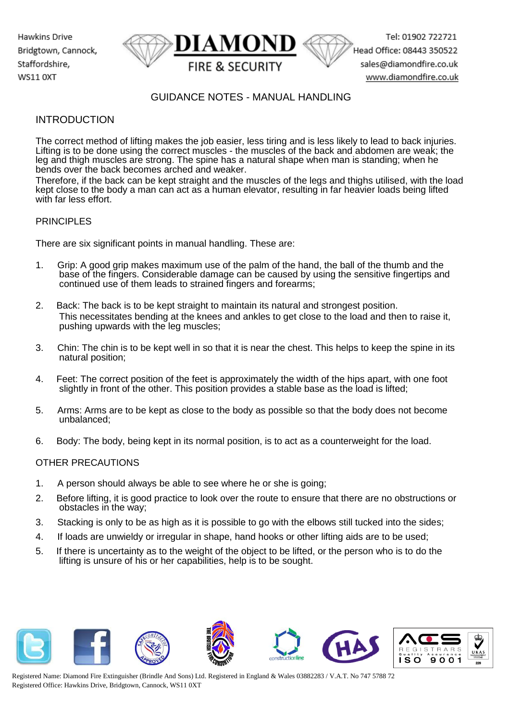

Tel: 01902 722721 Head Office: 08443 350522 sales@diamondfire.co.uk www.diamondfire.co.uk

#### GUIDANCE NOTES - MANUAL HANDLING

#### INTRODUCTION

The correct method of lifting makes the job easier, less tiring and is less likely to lead to back injuries. Lifting is to be done using the correct muscles - the muscles of the back and abdomen are weak; the leg and thigh muscles are strong. The spine has a natural shape when man is standing; when he bends over the back becomes arched and weaker.

Therefore, if the back can be kept straight and the muscles of the legs and thighs utilised, with the load kept close to the body a man can act as a human elevator, resulting in far heavier loads being lifted with far less effort.

#### PRINCIPLES

There are six significant points in manual handling. These are:

- 1. Grip: A good grip makes maximum use of the palm of the hand, the ball of the thumb and the base of the fingers. Considerable damage can be caused by using the sensitive fingertips and continued use of them leads to strained fingers and forearms;
- 2. Back: The back is to be kept straight to maintain its natural and strongest position. This necessitates bending at the knees and ankles to get close to the load and then to raise it, pushing upwards with the leg muscles;
- 3. Chin: The chin is to be kept well in so that it is near the chest. This helps to keep the spine in its natural position;
- 4. Feet: The correct position of the feet is approximately the width of the hips apart, with one foot slightly in front of the other. This position provides a stable base as the load is lifted;
- 5. Arms: Arms are to be kept as close to the body as possible so that the body does not become unbalanced;
- 6. Body: The body, being kept in its normal position, is to act as a counterweight for the load.

#### OTHER PRECAUTIONS

- 1. A person should always be able to see where he or she is going;
- 2. Before lifting, it is good practice to look over the route to ensure that there are no obstructions or obstacles in the way;
- 3. Stacking is only to be as high as it is possible to go with the elbows still tucked into the sides;
- 4. If loads are unwieldy or irregular in shape, hand hooks or other lifting aids are to be used;
- 5. If there is uncertainty as to the weight of the object to be lifted, or the person who is to do the lifting is unsure of his or her capabilities, help is to be sought.

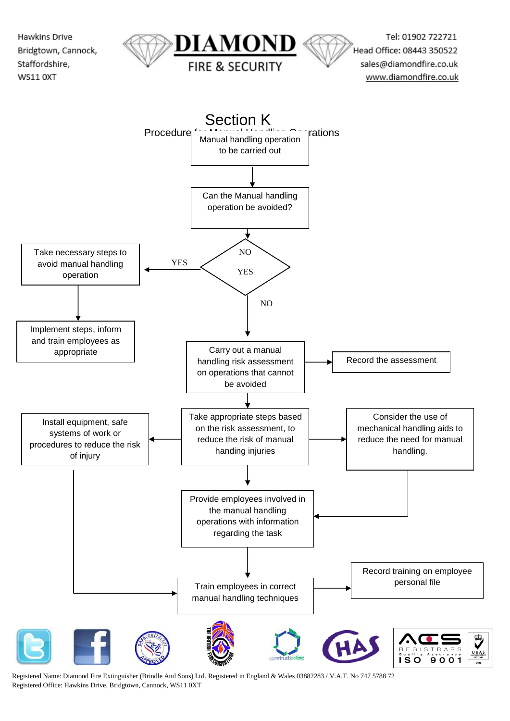

Registered Name: Diamond Fire Extinguisher (Brindle And Sons) Ltd. Registered in England & Wales 03882283 / V.A.T. No 747 5788 72 Registered Office: Hawkins Drive, Bridgtown, Cannock, WS11 0XT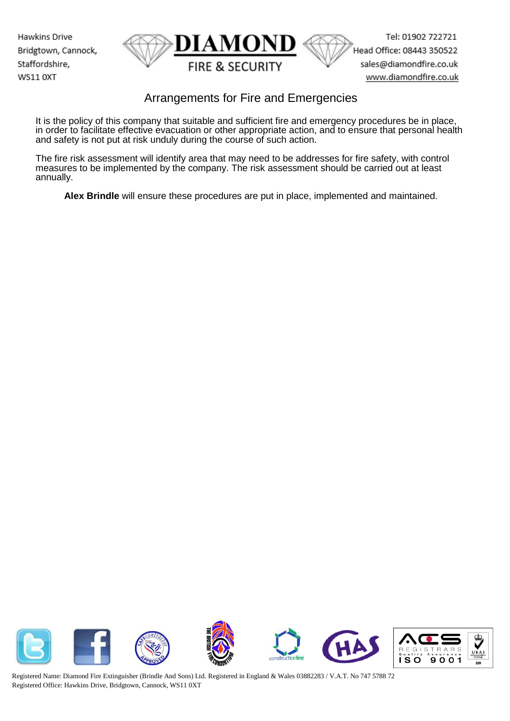

Tel: 01902 722721 Head Office: 08443 350522 sales@diamondfire.co.uk www.diamondfire.co.uk

### Arrangements for Fire and Emergencies

It is the policy of this company that suitable and sufficient fire and emergency procedures be in place, in order to facilitate effective evacuation or other appropriate action, and to ensure that personal health and safety is not put at risk unduly during the course of such action.

The fire risk assessment will identify area that may need to be addresses for fire safety, with control measures to be implemented by the company. The risk assessment should be carried out at least annually.

**Alex Brindle** will ensure these procedures are put in place, implemented and maintained.

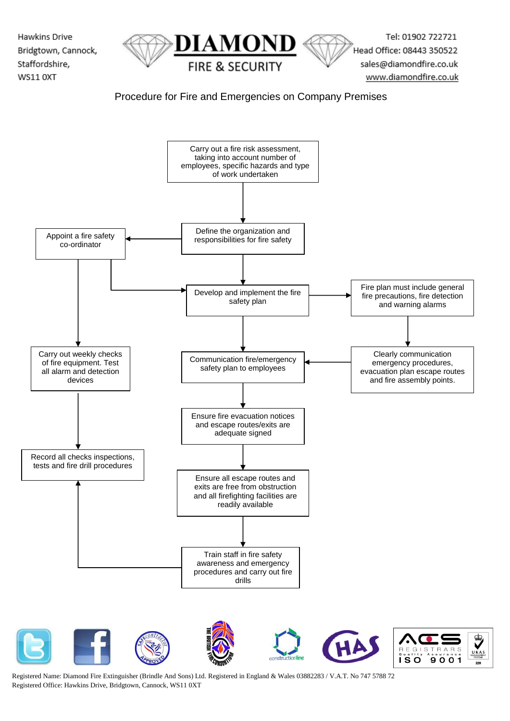

Tel: 01902 722721 Head Office: 08443 350522 sales@diamondfire.co.uk www.diamondfire.co.uk

Procedure for Fire and Emergencies on Company Premises



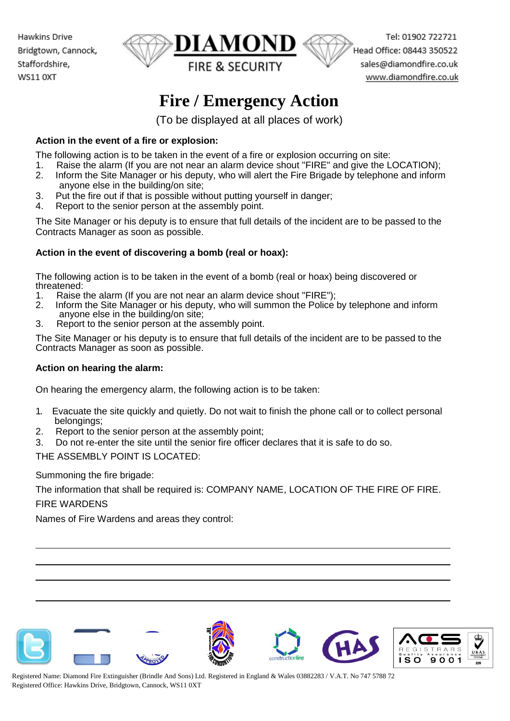

# **Fire / Emergency Action**

(To be displayed at all places of work)

#### **Action in the event of a fire or explosion:**

The following action is to be taken in the event of a fire or explosion occurring on site:

- 1. Raise the alarm (If you are not near an alarm device shout "FIRE" and give the LOCATION);
- 2. Inform the Site Manager or his deputy, who will alert the Fire Brigade by telephone and inform anyone else in the building/on site;
- 3. Put the fire out if that is possible without putting yourself in danger;
- 4. Report to the senior person at the assembly point.

The Site Manager or his deputy is to ensure that full details of the incident are to be passed to the Contracts Manager as soon as possible.

#### **Action in the event of discovering a bomb (real or hoax):**

The following action is to be taken in the event of a bomb (real or hoax) being discovered or threatened:

- 1. Raise the alarm (If you are not near an alarm device shout "FIRE");<br>2. Inform the Site Manager or his deputy, who will summon the Police
- 2. Inform the Site Manager or his deputy, who will summon the Police by telephone and inform anyone else in the building/on site;
- 3. Report to the senior person at the assembly point.

The Site Manager or his deputy is to ensure that full details of the incident are to be passed to the Contracts Manager as soon as possible.

#### **Action on hearing the alarm:**

On hearing the emergency alarm, the following action is to be taken:

- 1. Evacuate the site quickly and quietly. Do not wait to finish the phone call or to collect personal belongings;
- 2. Report to the senior person at the assembly point;
- 3. Do not re-enter the site until the senior fire officer declares that it is safe to do so.

THE ASSEMBLY POINT IS LOCATED:

Summoning the fire brigade:

The information that shall be required is: COMPANY NAME, LOCATION OF THE FIRE OF FIRE. FIRE WARDENS

Names of Fire Wardens and areas they control:

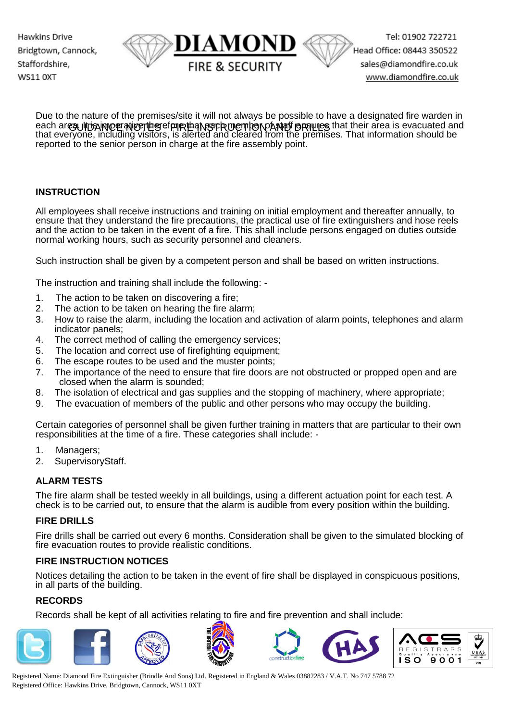

Tel: 01902 722721 Head Office: 08443 350522 sales@diamondfire.co.uk www.diamondfire.co.uk

Due to the nature of the premises/site it will not always be possible to have a designated fire warden in each area. It is imperative therefore that each member of staff ensures that their area is evacuated and each ar**caulips inneer ation the set pricitors from the property of and th**e area is evacuated an<br>that everyone, including visitors, is alerted and cleared from the premises. That information should be reported to the senior person in charge at the fire assembly point.

#### **INSTRUCTION**

All employees shall receive instructions and training on initial employment and thereafter annually, to ensure that they understand the fire precautions, the practical use of fire extinguishers and hose reels and the action to be taken in the event of a fire. This shall include persons engaged on duties outside normal working hours, such as security personnel and cleaners.

Such instruction shall be given by a competent person and shall be based on written instructions.

The instruction and training shall include the following: -

- 1. The action to be taken on discovering a fire;
- 2. The action to be taken on hearing the fire alarm;
- 3. How to raise the alarm, including the location and activation of alarm points, telephones and alarm indicator panels;
- 4. The correct method of calling the emergency services;
- 5. The location and correct use of firefighting equipment;
- 6. The escape routes to be used and the muster points;
- 7. The importance of the need to ensure that fire doors are not obstructed or propped open and are closed when the alarm is sounded;
- 8. The isolation of electrical and gas supplies and the stopping of machinery, where appropriate;
- 9. The evacuation of members of the public and other persons who may occupy the building.

Certain categories of personnel shall be given further training in matters that are particular to their own responsibilities at the time of a fire. These categories shall include: -

- 1. Managers;
- 2. SupervisoryStaff.

#### **ALARM TESTS**

The fire alarm shall be tested weekly in all buildings, using a different actuation point for each test. A check is to be carried out, to ensure that the alarm is audible from every position within the building.

#### **FIRE DRILLS**

Fire drills shall be carried out every 6 months. Consideration shall be given to the simulated blocking of fire evacuation routes to provide realistic conditions.

#### **FIRE INSTRUCTION NOTICES**

Notices detailing the action to be taken in the event of fire shall be displayed in conspicuous positions, in all parts of the building.

#### **RECORDS**

Records shall be kept of all activities relating to fire and fire prevention and shall include:

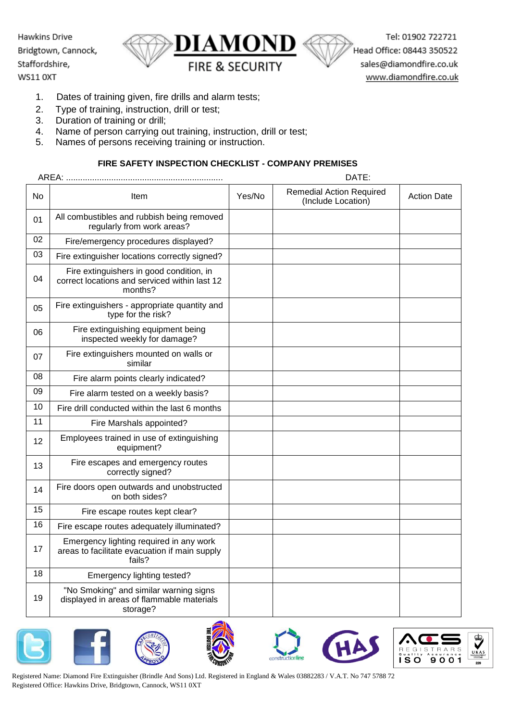

Tel: 01902 722721 Head Office: 08443 350522 sales@diamondfire.co.uk www.diamondfire.co.uk

- 1. Dates of training given, fire drills and alarm tests;
- 2. Type of training, instruction, drill or test;
- 3. Duration of training or drill;
- 4. Name of person carrying out training, instruction, drill or test;
- 5. Names of persons receiving training or instruction.

#### **FIRE SAFETY INSPECTION CHECKLIST - COMPANY PREMISES**

AREA: .................................................................. DATE:

| No | Item                                                                                                 | Yes/No | <b>Remedial Action Required</b><br>(Include Location) | <b>Action Date</b> |
|----|------------------------------------------------------------------------------------------------------|--------|-------------------------------------------------------|--------------------|
| 01 | All combustibles and rubbish being removed<br>regularly from work areas?                             |        |                                                       |                    |
| 02 | Fire/emergency procedures displayed?                                                                 |        |                                                       |                    |
| 03 | Fire extinguisher locations correctly signed?                                                        |        |                                                       |                    |
| 04 | Fire extinguishers in good condition, in<br>correct locations and serviced within last 12<br>months? |        |                                                       |                    |
| 05 | Fire extinguishers - appropriate quantity and<br>type for the risk?                                  |        |                                                       |                    |
| 06 | Fire extinguishing equipment being<br>inspected weekly for damage?                                   |        |                                                       |                    |
| 07 | Fire extinguishers mounted on walls or<br>similar                                                    |        |                                                       |                    |
| 08 | Fire alarm points clearly indicated?                                                                 |        |                                                       |                    |
| 09 | Fire alarm tested on a weekly basis?                                                                 |        |                                                       |                    |
| 10 | Fire drill conducted within the last 6 months                                                        |        |                                                       |                    |
| 11 | Fire Marshals appointed?                                                                             |        |                                                       |                    |
| 12 | Employees trained in use of extinguishing<br>equipment?                                              |        |                                                       |                    |
| 13 | Fire escapes and emergency routes<br>correctly signed?                                               |        |                                                       |                    |
| 14 | Fire doors open outwards and unobstructed<br>on both sides?                                          |        |                                                       |                    |
| 15 | Fire escape routes kept clear?                                                                       |        |                                                       |                    |
| 16 | Fire escape routes adequately illuminated?                                                           |        |                                                       |                    |
| 17 | Emergency lighting required in any work<br>areas to facilitate evacuation if main supply<br>fails?   |        |                                                       |                    |
| 18 | Emergency lighting tested?                                                                           |        |                                                       |                    |
| 19 | "No Smoking" and similar warning signs<br>displayed in areas of flammable materials<br>storage?      |        |                                                       |                    |









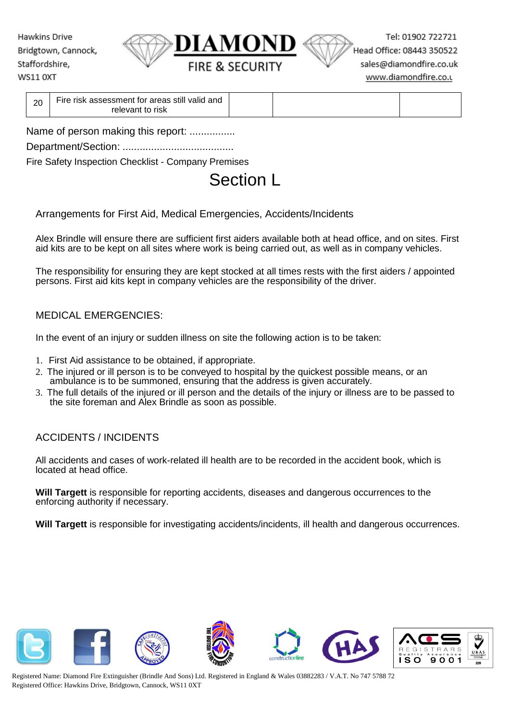

Tel: 01902 722721 Head Office: 08443 350522 sales@diamondfire.co.uk www.diamondfire.co.u

# **FIRE & SECURITY**

 $20$  Fire risk assessment for areas still valid and relevant to risk

Name of person making this report: ................

Department/Section: .......................................

Fire Safety Inspection Checklist - Company Premises

# Section L

Arrangements for First Aid, Medical Emergencies, Accidents/Incidents

Alex Brindle will ensure there are sufficient first aiders available both at head office, and on sites. First aid kits are to be kept on all sites where work is being carried out, as well as in company vehicles.

The responsibility for ensuring they are kept stocked at all times rests with the first aiders / appointed persons. First aid kits kept in company vehicles are the responsibility of the driver.

### MEDICAL EMERGENCIES:

In the event of an injury or sudden illness on site the following action is to be taken:

- 1. First Aid assistance to be obtained, if appropriate.
- 2. The injured or ill person is to be conveyed to hospital by the quickest possible means, or an ambulance is to be summoned, ensuring that the address is given accurately.
- 3. The full details of the injured or ill person and the details of the injury or illness are to be passed to the site foreman and Alex Brindle as soon as possible.

### ACCIDENTS / INCIDENTS

All accidents and cases of work-related ill health are to be recorded in the accident book, which is located at head office.

**Will Targett** is responsible for reporting accidents, diseases and dangerous occurrences to the enforcing authority if necessary.

**Will Targett** is responsible for investigating accidents/incidents, ill health and dangerous occurrences.

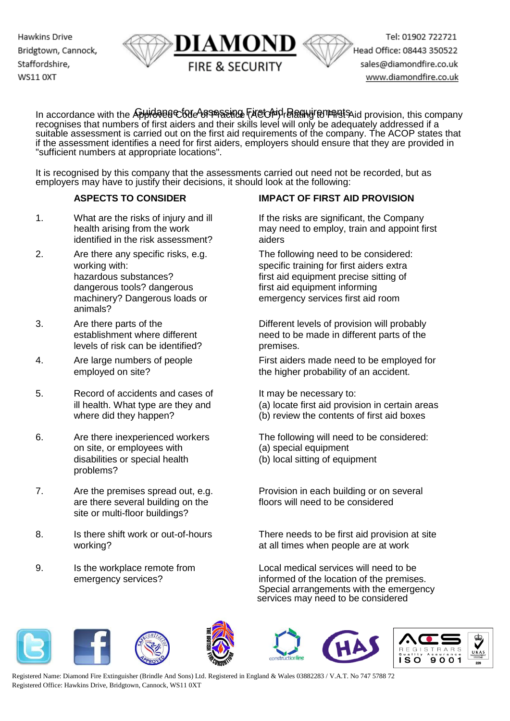

Tel: 01902 722721 Head Office: 08443 350522 sales@diamondfire.co.uk www.diamondfire.co.uk

In accordance with the Appide and Code Assessing **First Aid Aid Aid Analy remains that also a** company recognises that numbers of first aiders and their skills level will only be adequately addressed if a suitable assessment is carried out on the first aid requirements of the company. The ACOP states that if the assessment identifies a need for first aiders, employers should ensure that they are provided in "sufficient numbers at appropriate locations".

It is recognised by this company that the assessments carried out need not be recorded, but as employers may have to justify their decisions, it should look at the following:

- 1. What are the risks of injury and ill If the risks are significant, the Company identified in the risk assessment? aiders
- 2. Are there any specific risks, e.g. The following need to be considered: dangerous tools? dangerous first aid equipment informing animals?
- levels of risk can be identified? premises.
- 
- 5. Record of accidents and cases of The It may be necessary to:
- 6. Are there inexperienced workers The following will need to be considered: on site, or employees with (a) special equipment disabilities or special health (b) local sitting of equipment problems?
- 7. Are the premises spread out, e.g. Provision in each building or on several are there several building on the floors will need to be considered site or multi-floor buildings?
- 
- 9. Is the workplace remote from Local medical services will need to be

#### **ASPECTS TO CONSIDER IMPACT OF FIRST AID PROVISION**

health arising from the work may need to employ, train and appoint first

working with: specific training for first aiders extra hazardous substances? first aid equipment precise sitting of machinery? Dangerous loads or emergency services first aid room

3. Are there parts of the Different levels of provision will probably establishment where different need to be made in different parts of the

4. Are large numbers of people First aiders made need to be employed for employed on site? the higher probability of an accident.

- ill health. What type are they and (a) locate first aid provision in certain areas
- where did they happen? (b) review the contents of first aid boxes

8. Is there shift work or out-of-hours There needs to be first aid provision at site working? at all times when people are at work

emergency services? informed of the location of the premises. Special arrangements with the emergency services may need to be considered



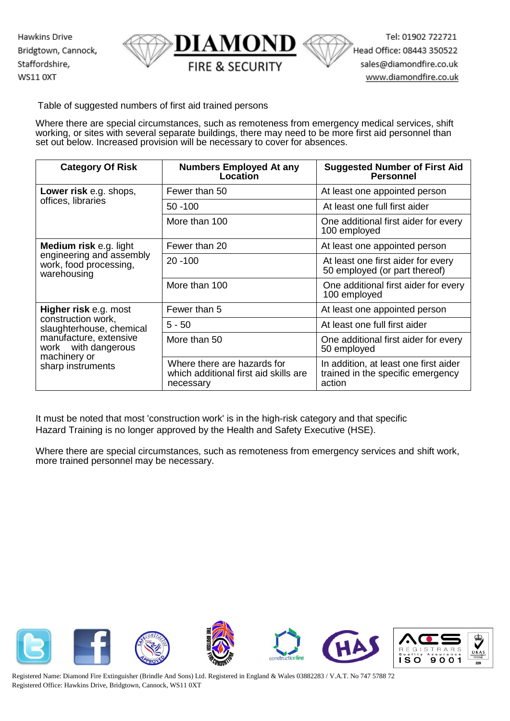

Tel: 01902 722721 Head Office: 08443 350522 sales@diamondfire.co.uk www.diamondfire.co.uk

Table of suggested numbers of first aid trained persons

Where there are special circumstances, such as remoteness from emergency medical services, shift working, or sites with several separate buildings, there may need to be more first aid personnel than set out below. Increased provision will be necessary to cover for absences.

| <b>Category Of Risk</b>                                           | <b>Numbers Employed At any</b><br>Location                                        | <b>Suggested Number of First Aid</b><br><b>Personnel</b>                             |  |
|-------------------------------------------------------------------|-----------------------------------------------------------------------------------|--------------------------------------------------------------------------------------|--|
| Lower risk e.g. shops,                                            | Fewer than 50                                                                     | At least one appointed person                                                        |  |
| offices, libraries                                                | $50 - 100$                                                                        | At least one full first aider                                                        |  |
|                                                                   | More than 100                                                                     | One additional first aider for every<br>100 employed                                 |  |
| Medium risk e.g. light                                            | Fewer than 20                                                                     | At least one appointed person                                                        |  |
| engineering and assembly<br>work, food processing,<br>warehousing | $20 - 100$                                                                        | At least one first aider for every<br>50 employed (or part thereof)                  |  |
|                                                                   | More than 100                                                                     | One additional first aider for every<br>100 employed                                 |  |
| Higher risk e.g. most                                             | Fewer than 5                                                                      | At least one appointed person                                                        |  |
| construction work,<br>slaughterhouse, chemical                    | 5 - 50                                                                            | At least one full first aider                                                        |  |
| manufacture, extensive<br>work with dangerous                     | More than 50                                                                      | One additional first aider for every<br>50 employed                                  |  |
| machinery or<br>sharp instruments                                 | Where there are hazards for<br>which additional first aid skills are<br>necessary | In addition, at least one first aider<br>trained in the specific emergency<br>action |  |

It must be noted that most 'construction work' is in the high-risk category and that specific Hazard Training is no longer approved by the Health and Safety Executive (HSE).

Where there are special circumstances, such as remoteness from emergency services and shift work, more trained personnel may be necessary.

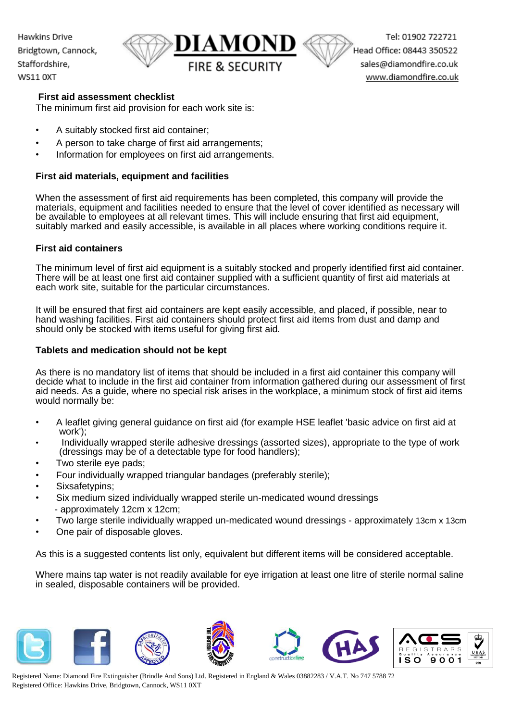

Tel: 01902 722721 Head Office: 08443 350522 sales@diamondfire.co.uk www.diamondfire.co.uk

#### **First aid assessment checklist**

The minimum first aid provision for each work site is:

- A suitably stocked first aid container;
- A person to take charge of first aid arrangements;
- Information for employees on first aid arrangements.

#### **First aid materials, equipment and facilities**

When the assessment of first aid requirements has been completed, this company will provide the materials, equipment and facilities needed to ensure that the level of cover identified as necessary will be available to employees at all relevant times. This will include ensuring that first aid equipment, suitably marked and easily accessible, is available in all places where working conditions require it.

#### **First aid containers**

The minimum level of first aid equipment is a suitably stocked and properly identified first aid container. There will be at least one first aid container supplied with a sufficient quantity of first aid materials at each work site, suitable for the particular circumstances.

It will be ensured that first aid containers are kept easily accessible, and placed, if possible, near to hand washing facilities. First aid containers should protect first aid items from dust and damp and should only be stocked with items useful for giving first aid.

#### **Tablets and medication should not be kept**

As there is no mandatory list of items that should be included in a first aid container this company will decide what to include in the first aid container from information gathered during our assessment of first aid needs. As a guide, where no special risk arises in the workplace, a minimum stock of first aid items would normally be:

- A leaflet giving general guidance on first aid (for example HSE leaflet 'basic advice on first aid at work');
- Individually wrapped sterile adhesive dressings (assorted sizes), appropriate to the type of work (dressings may be of a detectable type for food handlers);
- Two sterile eve pads:
- Four individually wrapped triangular bandages (preferably sterile);
- Sixsafetypins;
- Six medium sized individually wrapped sterile un-medicated wound dressings - approximately 12cm x 12cm;
- Two large sterile individually wrapped un-medicated wound dressings approximately 13cm x 13cm
- One pair of disposable gloves.

As this is a suggested contents list only, equivalent but different items will be considered acceptable.

Where mains tap water is not readily available for eye irrigation at least one litre of sterile normal saline in sealed, disposable containers will be provided.

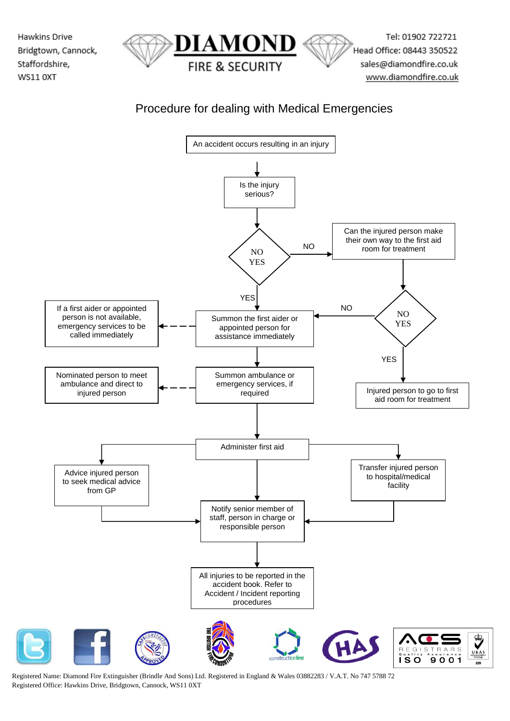

Tel: 01902 722721 Head Office: 08443 350522 sales@diamondfire.co.uk www.diamondfire.co.uk

# Procedure for dealing with Medical Emergencies



Registered Name: Diamond Fire Extinguisher (Brindle And Sons) Ltd. Registered in England & Wales 03882283 / V.A.T. No 747 5788 72 Registered Office: Hawkins Drive, Bridgtown, Cannock, WS11 0XT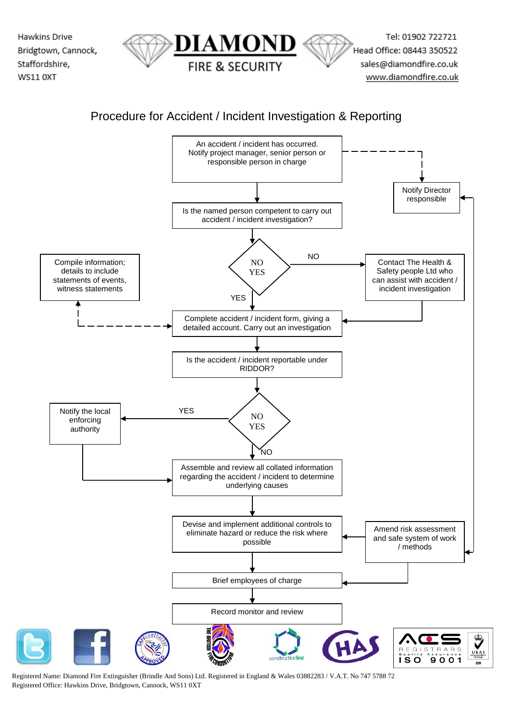

Tel: 01902 722721 Head Office: 08443 350522 sales@diamondfire.co.uk www.diamondfire.co.uk

### Procedure for Accident / Incident Investigation & Reporting

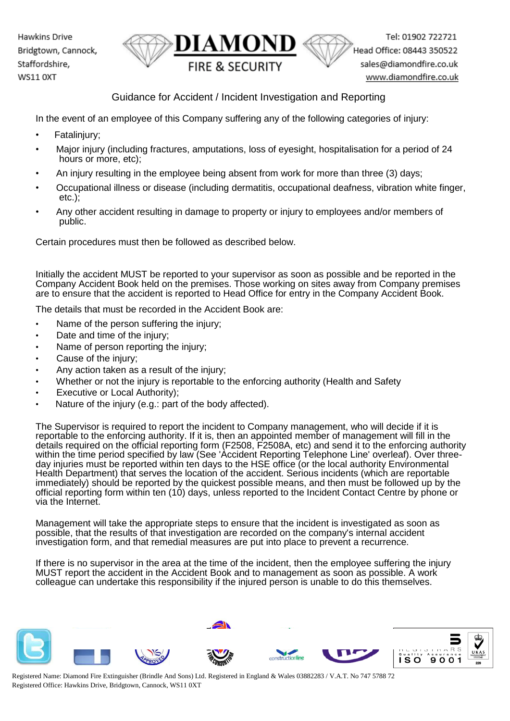

Tel: 01902 722721 Head Office: 08443 350522 sales@diamondfire.co.uk www.diamondfire.co.uk

Guidance for Accident / Incident Investigation and Reporting

In the event of an employee of this Company suffering any of the following categories of injury:

- Fatalinjury;
- Major injury (including fractures, amputations, loss of eyesight, hospitalisation for a period of 24 hours or more, etc);
- An injury resulting in the employee being absent from work for more than three (3) days;
- Occupational illness or disease (including dermatitis, occupational deafness, vibration white finger, etc.);
- Any other accident resulting in damage to property or injury to employees and/or members of public.

Certain procedures must then be followed as described below.

Initially the accident MUST be reported to your supervisor as soon as possible and be reported in the Company Accident Book held on the premises. Those working on sites away from Company premises are to ensure that the accident is reported to Head Office for entry in the Company Accident Book.

The details that must be recorded in the Accident Book are:

- Name of the person suffering the injury;
- Date and time of the injury;
- Name of person reporting the injury;
- Cause of the injury;
- Any action taken as a result of the injury;
- Whether or not the injury is reportable to the enforcing authority (Health and Safety
- Executive or Local Authority):
- Nature of the injury (e.g.: part of the body affected).

The Supervisor is required to report the incident to Company management, who will decide if it is reportable to the enforcing authority. If it is, then an appointed member of management will fill in the details required on the official reporting form (F2508, F2508A, etc) and send it to the enforcing authority within the time period specified by law (See 'Accident Reporting Telephone Line' overleaf). Over threeday injuries must be reported within ten days to the HSE office (or the local authority Environmental Health Department) that serves the location of the accident. Serious incidents (which are reportable immediately) should be reported by the quickest possible means, and then must be followed up by the official reporting form within ten (10) days, unless reported to the Incident Contact Centre by phone or via the Internet.

Management will take the appropriate steps to ensure that the incident is investigated as soon as possible, that the results of that investigation are recorded on the company's internal accident investigation form, and that remedial measures are put into place to prevent a recurrence.

If there is no supervisor in the area at the time of the incident, then the employee suffering the injury MUST report the accident in the Accident Book and to management as soon as possible. A work colleague can undertake this responsibility if the injured person is unable to do this themselves.

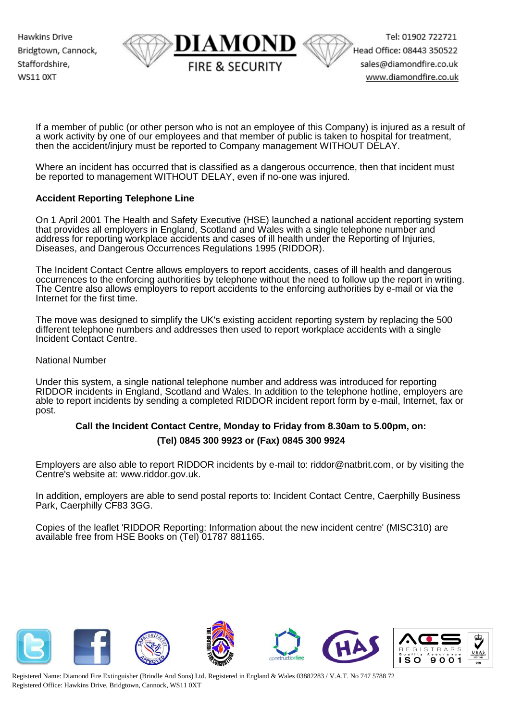

Tel: 01902 722721 Head Office: 08443 350522 sales@diamondfire.co.uk www.diamondfire.co.uk

If a member of public (or other person who is not an employee of this Company) is injured as a result of a work activity by one of our employees and that member of public is taken to hospital for treatment, then the accident/injury must be reported to Company management WITHOUT DELAY.

Where an incident has occurred that is classified as a dangerous occurrence, then that incident must be reported to management WITHOUT DELAY, even if no-one was injured.

#### **Accident Reporting Telephone Line**

On 1 April 2001 The Health and Safety Executive (HSE) launched a national accident reporting system that provides all employers in England, Scotland and Wales with a single telephone number and address for reporting workplace accidents and cases of ill health under the Reporting of Injuries, Diseases, and Dangerous Occurrences Regulations 1995 (RIDDOR).

The Incident Contact Centre allows employers to report accidents, cases of ill health and dangerous occurrences to the enforcing authorities by telephone without the need to follow up the report in writing. The Centre also allows employers to report accidents to the enforcing authorities by e-mail or via the Internet for the first time.

The move was designed to simplify the UK's existing accident reporting system by replacing the 500 different telephone numbers and addresses then used to report workplace accidents with a single Incident Contact Centre.

#### National Number

Under this system, a single national telephone number and address was introduced for reporting RIDDOR incidents in England, Scotland and Wales. In addition to the telephone hotline, employers are able to report incidents by sending a completed RIDDOR incident report form by e-mail, Internet, fax or post.

#### **Call the Incident Contact Centre, Monday to Friday from 8.30am to 5.00pm, on: (Tel) 0845 300 9923 or (Fax) 0845 300 9924**

Employers are also able to report RIDDOR incidents by e-mail to: riddor@natbrit.com, or by visiting the Centre's website at: www.riddor.gov.uk.

In addition, employers are able to send postal reports to: Incident Contact Centre, Caerphilly Business Park, Caerphilly CF83 3GG.

Copies of the leaflet 'RIDDOR Reporting: Information about the new incident centre' (MISC310) are available free from HSE Books on (Tel) 01787 881165.

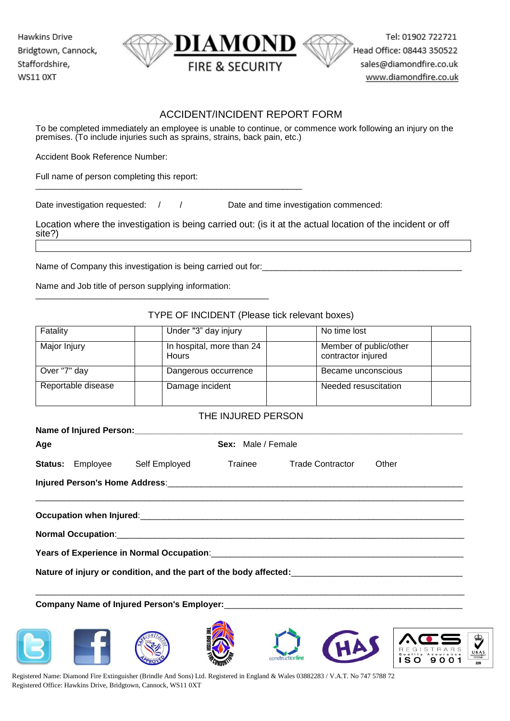

Tel: 01902 722721 Head Office: 08443 350522 sales@diamondfire.co.uk www.diamondfire.co.uk

#### ACCIDENT/INCIDENT REPORT FORM

To be completed immediately an employee is unable to continue, or commence work following an injury on the premises. (To include injuries such as sprains, strains, back pain, etc.)

Accident Book Reference Number:

Full name of person completing this report: \_\_\_\_\_\_\_\_\_\_\_\_\_\_\_\_\_\_\_\_\_\_\_\_\_\_\_\_\_\_\_\_\_\_\_\_\_\_\_\_\_\_\_\_\_\_\_\_\_\_\_\_\_\_\_\_

Date investigation requested: / / / Date and time investigation commenced:

Location where the investigation is being carried out: (is it at the actual location of the incident or off site?)

Name of Company this investigation is being carried out for:

Name and Job title of person supplying information: \_\_\_\_\_\_\_\_\_\_\_\_\_\_\_\_\_\_\_\_\_\_\_\_\_\_\_\_\_\_\_\_\_\_\_\_\_\_\_\_\_\_\_\_\_\_\_\_\_

#### TYPE OF INCIDENT (Please tick relevant boxes)

| Fatality           | Under "3" day injury                      | No time lost                                 |  |
|--------------------|-------------------------------------------|----------------------------------------------|--|
| Major Injury       | In hospital, more than 24<br><b>Hours</b> | Member of public/other<br>contractor injured |  |
| Over "7" day       | Dangerous occurrence                      | Became unconscious                           |  |
| Reportable disease | Damage incident                           | Needed resuscitation                         |  |

#### THE INJURED PERSON

| Age                                                                                                                                                | Sex: Male / Female      |               |         |                         |       |  |  |
|----------------------------------------------------------------------------------------------------------------------------------------------------|-------------------------|---------------|---------|-------------------------|-------|--|--|
|                                                                                                                                                    | <b>Status:</b> Employee | Self Employed | Trainee | <b>Trade Contractor</b> | Other |  |  |
|                                                                                                                                                    |                         |               |         |                         |       |  |  |
|                                                                                                                                                    |                         |               |         |                         |       |  |  |
|                                                                                                                                                    |                         |               |         |                         |       |  |  |
|                                                                                                                                                    |                         |               |         |                         |       |  |  |
| Years of Experience in Normal Occupation: Version of Experience of Security Press, 1980.                                                           |                         |               |         |                         |       |  |  |
| Nature of injury or condition, and the part of the body affected: <b>with the same of injury or condition</b> , and the part of the body affected: |                         |               |         |                         |       |  |  |
|                                                                                                                                                    |                         |               |         |                         |       |  |  |

#### Company Name of Injured Person's Employer:

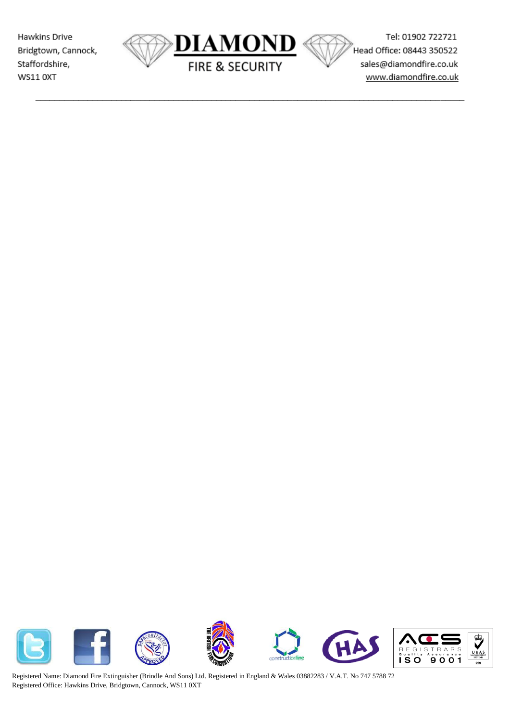

\_\_\_\_\_\_\_\_\_\_\_\_\_\_\_\_\_\_\_\_\_\_\_\_\_\_\_\_\_\_\_\_\_\_\_\_\_\_\_\_\_\_\_\_\_\_\_\_\_\_\_\_\_\_\_\_\_\_\_\_\_\_\_\_\_\_\_\_\_\_\_\_\_\_\_\_\_\_\_\_\_\_\_\_\_\_\_\_\_\_

Tel: 01902 722721 Head Office: 08443 350522 sales@diamondfire.co.uk www.diamondfire.co.uk

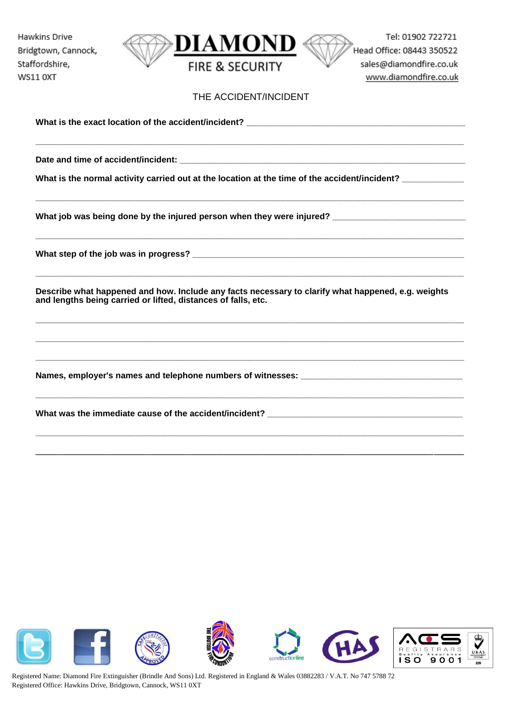

Tel: 01902 722721 Head Office: 08443 350522 sales@diamondfire.co.uk www.diamondfire.co.uk

# THE ACCIDENT/INCIDENT

**\_\_\_\_\_\_\_\_\_\_\_\_\_\_\_\_\_\_\_\_\_\_\_\_\_\_\_\_\_\_\_\_\_\_\_\_\_\_\_\_\_\_\_\_\_\_\_\_\_\_\_\_\_\_\_\_\_\_\_\_\_\_\_\_\_\_\_\_\_\_\_\_\_\_\_\_\_\_\_\_\_\_\_\_\_\_\_\_\_\_**

**\_\_\_\_\_\_\_\_\_\_\_\_\_\_\_\_\_\_\_\_\_\_\_\_\_\_\_\_\_\_\_\_\_\_\_\_\_\_\_\_\_\_\_\_\_\_\_\_\_\_\_\_\_\_\_\_\_\_\_\_\_\_\_\_\_\_\_\_\_\_\_\_\_\_\_\_\_\_\_\_\_\_\_\_\_\_\_\_\_\_**

**\_\_\_\_\_\_\_\_\_\_\_\_\_\_\_\_\_\_\_\_\_\_\_\_\_\_\_\_\_\_\_\_\_\_\_\_\_\_\_\_\_\_\_\_\_\_\_\_\_\_\_\_\_\_\_\_\_\_\_\_\_\_\_\_\_\_\_\_\_\_\_\_\_\_\_\_\_\_\_\_\_\_\_\_\_\_\_\_\_\_**

**\_\_\_\_\_\_\_\_\_\_\_\_\_\_\_\_\_\_\_\_\_\_\_\_\_\_\_\_\_\_\_\_\_\_\_\_\_\_\_\_\_\_\_\_\_\_\_\_\_\_\_\_\_\_\_\_\_\_\_\_\_\_\_\_\_\_\_\_\_\_\_\_\_\_\_\_\_\_\_\_\_\_\_\_\_\_\_\_\_\_**

**\_\_\_\_\_\_\_\_\_\_\_\_\_\_\_\_\_\_\_\_\_\_\_\_\_\_\_\_\_\_\_\_\_\_\_\_\_\_\_\_\_\_\_\_\_\_\_\_\_\_\_\_\_\_\_\_\_\_\_\_\_\_\_\_\_\_\_\_\_\_\_\_\_\_\_\_\_\_\_\_\_\_\_\_\_\_\_\_\_\_**

**\_\_\_\_\_\_\_\_\_\_\_\_\_\_\_\_\_\_\_\_\_\_\_\_\_\_\_\_\_\_\_\_\_\_\_\_\_\_\_\_\_\_\_\_\_\_\_\_\_\_\_\_\_\_\_\_\_\_\_\_\_\_\_\_\_\_\_\_\_\_\_\_\_\_\_\_\_\_\_\_\_\_\_\_\_\_\_\_\_\_**

**\_\_\_\_\_\_\_\_\_\_\_\_\_\_\_\_\_\_\_\_\_\_\_\_\_\_\_\_\_\_\_\_\_\_\_\_\_\_\_\_\_\_\_\_\_\_\_\_\_\_\_\_\_\_\_\_\_\_\_\_\_\_\_\_\_\_\_\_\_\_\_\_\_\_\_\_\_\_\_\_\_\_\_\_\_\_\_\_\_\_**

**\_\_\_\_\_\_\_\_\_\_\_\_\_\_\_\_\_\_\_\_\_\_\_\_\_\_\_\_\_\_\_\_\_\_\_\_\_\_\_\_\_\_\_\_\_\_\_\_\_\_\_\_\_\_\_\_\_\_\_\_\_\_\_\_\_\_\_\_\_\_\_\_\_\_\_\_\_\_\_\_\_\_\_\_\_\_\_\_\_\_**

**\_\_\_\_\_\_\_\_\_\_\_\_\_\_\_\_\_\_\_\_\_\_\_\_\_\_\_\_\_\_\_\_\_\_\_\_\_\_\_\_\_\_\_\_\_\_\_\_\_\_\_\_\_\_\_\_\_\_\_\_\_\_\_\_\_\_\_\_\_\_\_\_\_\_\_\_\_\_\_\_\_\_\_\_\_\_\_\_\_\_**

**\_\_\_\_\_\_\_\_\_\_\_\_\_\_\_\_\_\_\_\_\_\_\_\_\_\_\_\_\_\_\_\_\_\_\_\_\_\_\_\_\_\_\_\_\_\_\_\_\_\_\_\_\_\_\_\_\_\_\_\_\_\_\_\_\_\_\_\_\_\_\_\_\_\_\_\_\_\_\_\_\_\_\_\_\_\_\_\_\_\_\_\_\_\_\_\_\_\_\_\_**

**What is the exact location of the accident/incident? \_\_\_\_\_\_\_\_\_\_\_\_\_\_\_\_\_\_\_\_\_\_\_\_\_\_\_\_\_\_\_\_\_\_\_\_\_\_\_\_\_\_\_\_\_\_**

**Date and time of accident/incident: \_\_\_\_\_\_\_\_\_\_\_\_\_\_\_\_\_\_\_\_\_\_\_\_\_\_\_\_\_\_\_\_\_\_\_\_\_\_\_\_\_\_\_\_\_\_\_\_\_\_\_\_\_\_\_\_\_\_\_\_**

**What is the normal activity carried out at the location at the time of the accident/incident? \_\_\_\_\_\_\_\_\_\_\_\_\_**

**What job was being done by the injured person when they were injured? \_\_\_\_\_\_\_\_\_\_\_\_\_\_\_\_\_\_\_\_\_\_\_\_\_\_\_\_**

**What step of the job was in progress? \_\_\_\_\_\_\_\_\_\_\_\_\_\_\_\_\_\_\_\_\_\_\_\_\_\_\_\_\_\_\_\_\_\_\_\_\_\_\_\_\_\_\_\_\_\_\_\_\_\_\_\_\_\_\_\_\_**

**Describe what happened and how. Include any facts necessary to clarify what happened, e.g. weights and lengths being carried or lifted, distances of falls, etc.** 

Names, employer's names and telephone numbers of witnesses: *\_\_\_\_\_\_\_\_\_\_\_\_\_\_\_\_\_\_\_***\_** 

What was the immediate cause of the accident/incident?

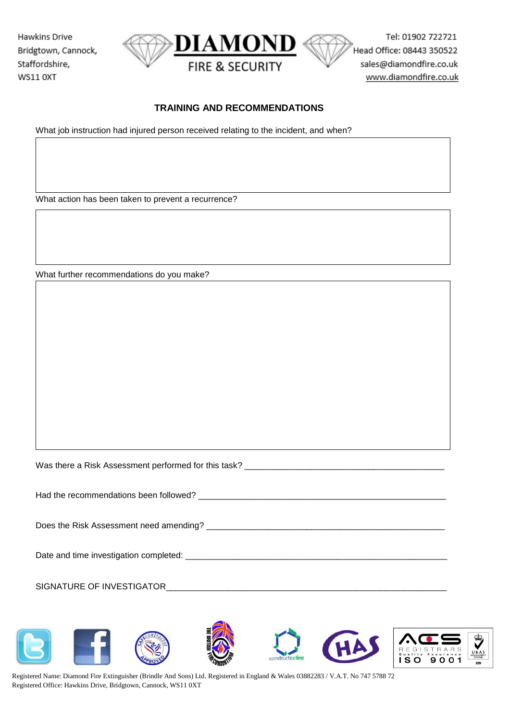

Tel: 01902 722721 Head Office: 08443 350522 sales@diamondfire.co.uk www.diamondfire.co.uk

# **TRAINING AND RECOMMENDATIONS**

What job instruction had injured person received relating to the incident, and when?

What action has been taken to prevent a recurrence?

What further recommendations do you make?

Was there a Risk Assessment performed for this task?

Had the recommendations been followed?  $\Box$ 

Does the Risk Assessment need amending? \_\_\_\_\_\_\_\_\_\_\_\_\_\_\_\_\_\_\_\_\_\_\_\_\_\_\_\_\_\_\_\_\_\_\_\_\_\_\_\_\_\_\_\_\_\_\_\_\_\_

Date and time investigation completed: \_\_\_\_\_\_\_\_\_\_\_\_\_\_\_\_\_\_\_\_\_\_\_\_\_\_\_\_\_\_\_\_\_\_\_\_\_\_\_\_\_\_\_\_\_\_\_\_\_\_\_\_\_\_\_

SIGNATURE OF INVESTIGATOR

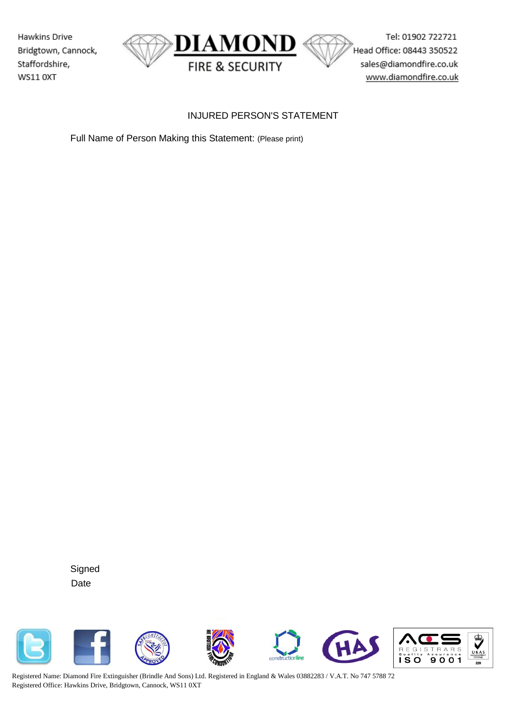

Tel: 01902 722721 Head Office: 08443 350522 sales@diamondfire.co.uk www.diamondfire.co.uk

# INJURED PERSON'S STATEMENT

Full Name of Person Making this Statement: (Please print)

**Signed** Date

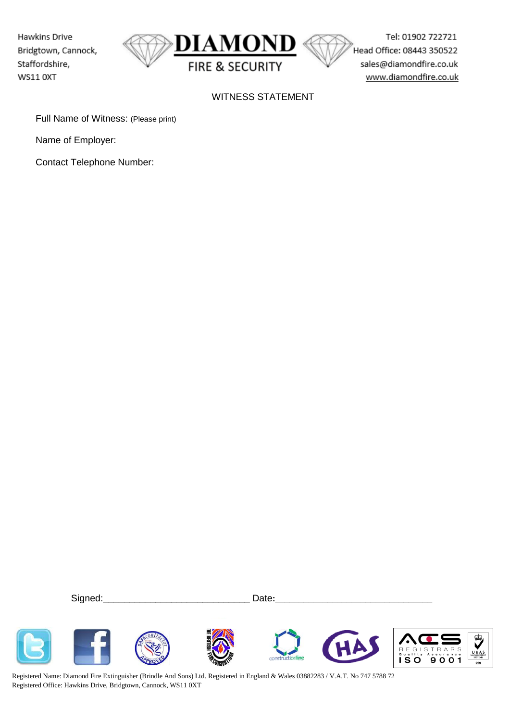

Tel: 01902 722721 Head Office: 08443 350522 sales@diamondfire.co.uk www.diamondfire.co.uk

# WITNESS STATEMENT

Full Name of Witness: (Please print)

Name of Employer:

Contact Telephone Number:

Signed:\_\_\_\_\_\_\_\_\_\_\_\_\_\_\_\_\_\_\_\_\_\_\_\_\_\_\_\_ Date**:\_\_\_\_\_\_\_\_\_\_\_\_\_\_\_\_\_\_\_\_\_\_\_\_\_\_\_\_\_\_\_\_\_**

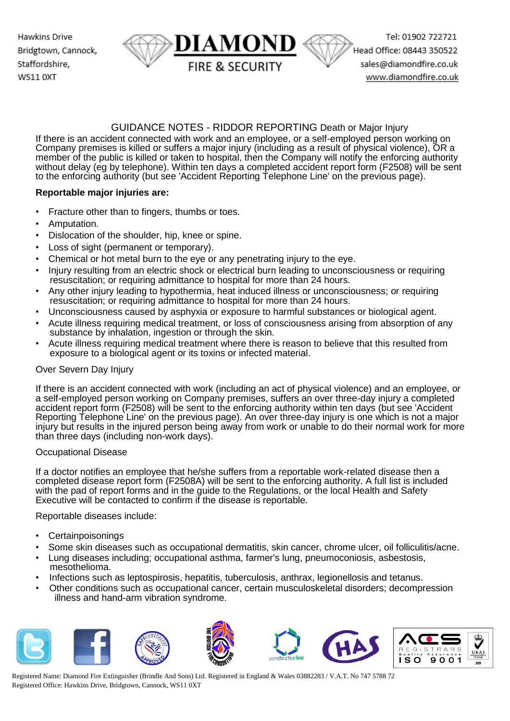

# GUIDANCE NOTES - RIDDOR REPORTING Death or Major Injury

If there is an accident connected with work and an employee, or a self-employed person working on Company premises is killed or suffers a major injury (including as a result of physical violence), OR a member of the public is killed or taken to hospital, then the Company will notify the enforcing authority without delay (eg by telephone). Within ten days a completed accident report form (F2508) will be sent to the enforcing authority (but see 'Accident Reporting Telephone Line' on the previous page).

# **Reportable major injuries are:**

- Fracture other than to fingers, thumbs or toes.
- Amputation.
- Dislocation of the shoulder, hip, knee or spine.
- Loss of sight (permanent or temporary).
- Chemical or hot metal burn to the eye or any penetrating injury to the eye.
- Injury resulting from an electric shock or electrical burn leading to unconsciousness or requiring resuscitation; or requiring admittance to hospital for more than 24 hours.
- Any other injury leading to hypothermia, heat induced illness or unconsciousness; or requiring resuscitation; or requiring admittance to hospital for more than 24 hours.
- Unconsciousness caused by asphyxia or exposure to harmful substances or biological agent.
- Acute illness requiring medical treatment, or loss of consciousness arising from absorption of any substance by inhalation, ingestion or through the skin.
- Acute illness requiring medical treatment where there is reason to believe that this resulted from exposure to a biological agent or its toxins or infected material.

# Over Severn Day Injury

If there is an accident connected with work (including an act of physical violence) and an employee, or a self-employed person working on Company premises, suffers an over three-day injury a completed accident report form (F2508) will be sent to the enforcing authority within ten days (but see 'Accident Reporting Telephone Line' on the previous page). An over three-day injury is one which is not a major injury but results in the injured person being away from work or unable to do their normal work for more than three days (including non-work days).

# Occupational Disease

If a doctor notifies an employee that he/she suffers from a reportable work-related disease then a completed disease report form (F2508A) will be sent to the enforcing authority. A full list is included with the pad of report forms and in the guide to the Regulations, or the local Health and Safety Executive will be contacted to confirm if the disease is reportable.

# Reportable diseases include:

- Certainpoisonings
- Some skin diseases such as occupational dermatitis, skin cancer, chrome ulcer, oil folliculitis/acne.
- Lung diseases including; occupational asthma, farmer's lung, pneumoconiosis, asbestosis, mesothelioma.
- Infections such as leptospirosis, hepatitis, tuberculosis, anthrax, legionellosis and tetanus.
- Other conditions such as occupational cancer, certain musculoskeletal disorders; decompression illness and hand-arm vibration syndrome.

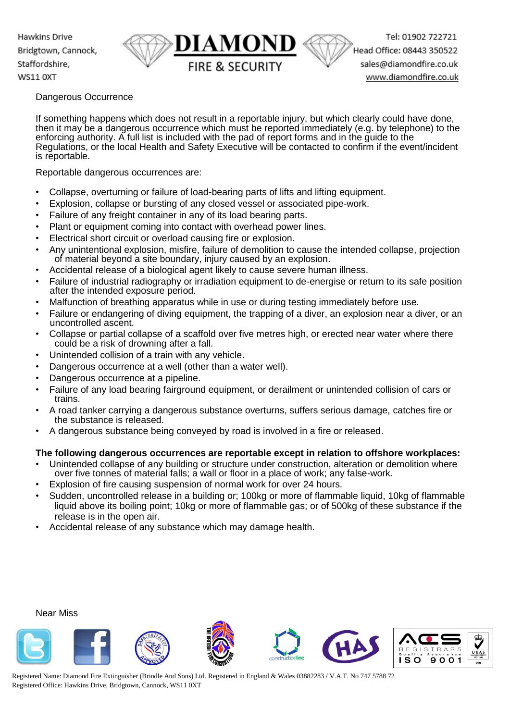

# Dangerous Occurrence

If something happens which does not result in a reportable injury, but which clearly could have done, then it may be a dangerous occurrence which must be reported immediately (e.g. by telephone) to the enforcing authority. A full list is included with the pad of report forms and in the guide to the Regulations, or the local Health and Safety Executive will be contacted to confirm if the event/incident is reportable.

Reportable dangerous occurrences are:

- Collapse, overturning or failure of load-bearing parts of lifts and lifting equipment.
- Explosion, collapse or bursting of any closed vessel or associated pipe-work.
- Failure of any freight container in any of its load bearing parts.
- Plant or equipment coming into contact with overhead power lines.
- Electrical short circuit or overload causing fire or explosion.
- Any unintentional explosion, misfire, failure of demolition to cause the intended collapse, projection of material beyond a site boundary, injury caused by an explosion.
- Accidental release of a biological agent likely to cause severe human illness.
- Failure of industrial radiography or irradiation equipment to de-energise or return to its safe position after the intended exposure period.
- Malfunction of breathing apparatus while in use or during testing immediately before use.
- Failure or endangering of diving equipment, the trapping of a diver, an explosion near a diver, or an uncontrolled ascent.
- Collapse or partial collapse of a scaffold over five metres high, or erected near water where there could be a risk of drowning after a fall.
- Unintended collision of a train with any vehicle.
- Dangerous occurrence at a well (other than a water well).
- Dangerous occurrence at a pipeline.

Near Miss

- Failure of any load bearing fairground equipment, or derailment or unintended collision of cars or trains.
- A road tanker carrying a dangerous substance overturns, suffers serious damage, catches fire or the substance is released.
- A dangerous substance being conveyed by road is involved in a fire or released.

# **The following dangerous occurrences are reportable except in relation to offshore workplaces:**

- Unintended collapse of any building or structure under construction, alteration or demolition where over five tonnes of material falls; a wall or floor in a place of work; any false-work.
- Explosion of fire causing suspension of normal work for over 24 hours.
- Sudden, uncontrolled release in a building or; 100kg or more of flammable liquid, 10kg of flammable liquid above its boiling point; 10kg or more of flammable gas; or of 500kg of these substance if the release is in the open air.
- Accidental release of any substance which may damage health.

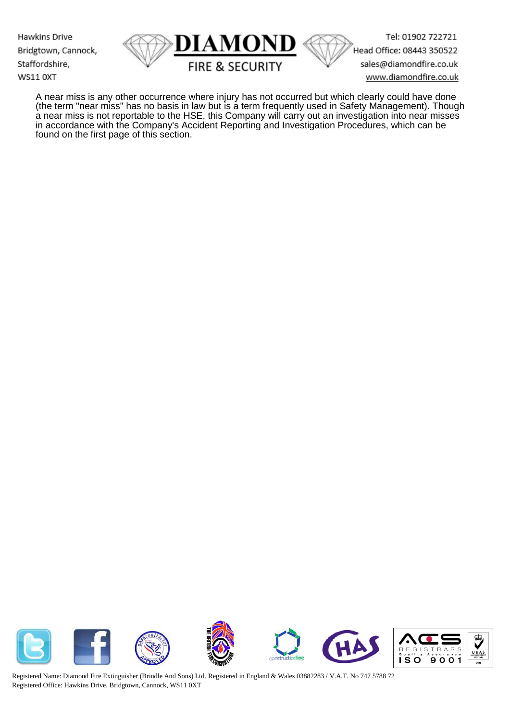

Tel: 01902 722721 Head Office: 08443 350522 sales@diamondfire.co.uk www.diamondfire.co.uk

A near miss is any other occurrence where injury has not occurred but which clearly could have done (the term "near miss" has no basis in law but is a term frequently used in Safety Management). Though a near miss is not reportable to the HSE, this Company will carry out an investigation into near misses in accordance with the Company's Accident Reporting and Investigation Procedures, which can be found on the first page of this section.

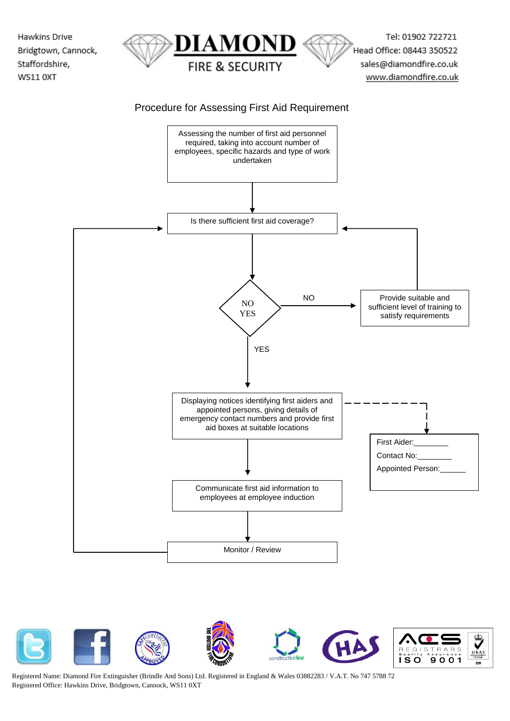

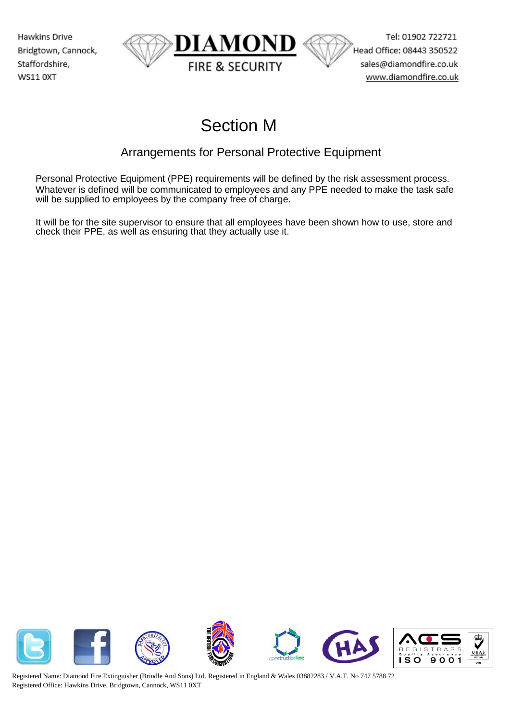

Tel: 01902 722721 Head Office: 08443 350522 sales@diamondfire.co.uk www.diamondfire.co.uk

# Section M

# Arrangements for Personal Protective Equipment

Personal Protective Equipment (PPE) requirements will be defined by the risk assessment process. Whatever is defined will be communicated to employees and any PPE needed to make the task safe will be supplied to employees by the company free of charge.

It will be for the site supervisor to ensure that all employees have been shown how to use, store and check their PPE, as well as ensuring that they actually use it.

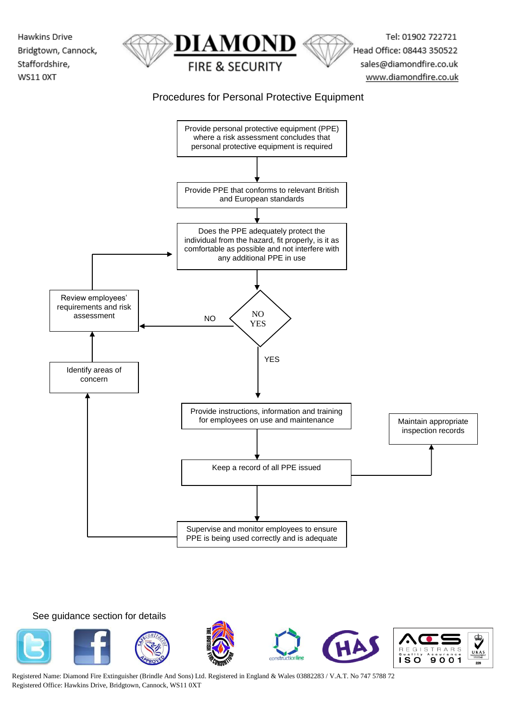

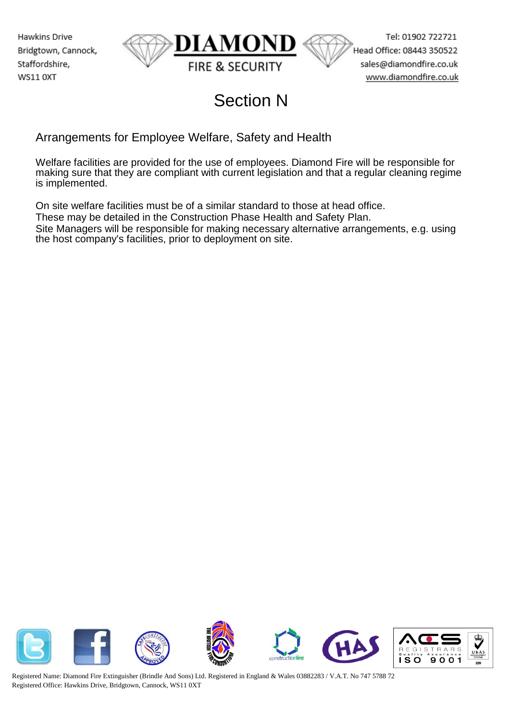

Tel: 01902 722721 Head Office: 08443 350522 sales@diamondfire.co.uk www.diamondfire.co.uk

# Section N

Arrangements for Employee Welfare, Safety and Health

Welfare facilities are provided for the use of employees. Diamond Fire will be responsible for making sure that they are compliant with current legislation and that a regular cleaning regime is implemented.

On site welfare facilities must be of a similar standard to those at head office. These may be detailed in the Construction Phase Health and Safety Plan. Site Managers will be responsible for making necessary alternative arrangements, e.g. using the host company's facilities, prior to deployment on site.

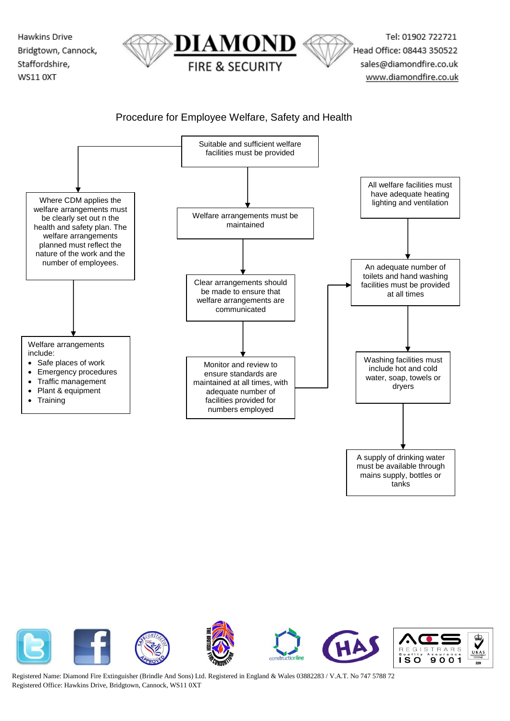

Tel: 01902 722721 Head Office: 08443 350522 sales@diamondfire.co.uk www.diamondfire.co.uk

# Procedure for Employee Welfare, Safety and Health



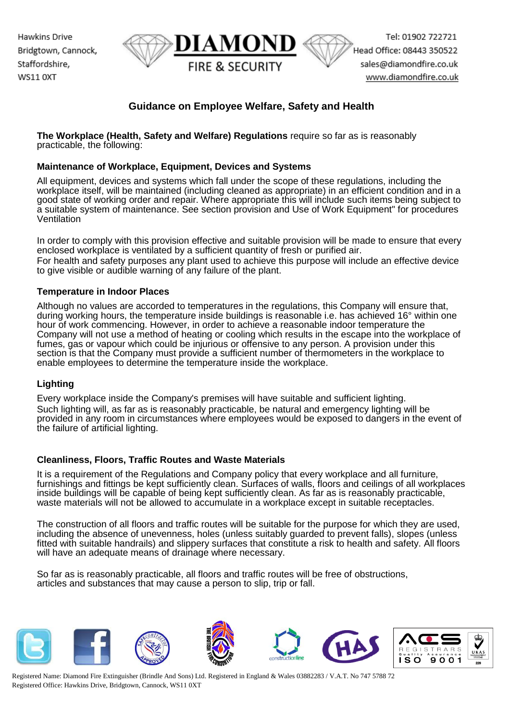

Tel: 01902 722721 Head Office: 08443 350522 sales@diamondfire.co.uk www.diamondfire.co.uk

# **Guidance on Employee Welfare, Safety and Health**

**The Workplace (Health, Safety and Welfare) Regulations** require so far as is reasonably practicable, the following:

# **Maintenance of Workplace, Equipment, Devices and Systems**

All equipment, devices and systems which fall under the scope of these regulations, including the workplace itself, will be maintained (including cleaned as appropriate) in an efficient condition and in a good state of working order and repair. Where appropriate this will include such items being subject to a suitable system of maintenance. See section provision and Use of Work Equipment" for procedures Ventilation

In order to comply with this provision effective and suitable provision will be made to ensure that every enclosed workplace is ventilated by a sufficient quantity of fresh or purified air.

For health and safety purposes any plant used to achieve this purpose will include an effective device to give visible or audible warning of any failure of the plant.

#### **Temperature in Indoor Places**

Although no values are accorded to temperatures in the regulations, this Company will ensure that, during working hours, the temperature inside buildings is reasonable i.e. has achieved 16° within one hour of work commencing. However, in order to achieve a reasonable indoor temperature the Company will not use a method of heating or cooling which results in the escape into the workplace of fumes, gas or vapour which could be injurious or offensive to any person. A provision under this section is that the Company must provide a sufficient number of thermometers in the workplace to enable employees to determine the temperature inside the workplace.

# **Lighting**

Every workplace inside the Company's premises will have suitable and sufficient lighting. Such lighting will, as far as is reasonably practicable, be natural and emergency lighting will be provided in any room in circumstances where employees would be exposed to dangers in the event of the failure of artificial lighting.

#### **Cleanliness, Floors, Traffic Routes and Waste Materials**

It is a requirement of the Regulations and Company policy that every workplace and all furniture, furnishings and fittings be kept sufficiently clean. Surfaces of walls, floors and ceilings of all workplaces inside buildings will be capable of being kept sufficiently clean. As far as is reasonably practicable, waste materials will not be allowed to accumulate in a workplace except in suitable receptacles.

The construction of all floors and traffic routes will be suitable for the purpose for which they are used, including the absence of unevenness, holes (unless suitably guarded to prevent falls), slopes (unless fitted with suitable handrails) and slippery surfaces that constitute a risk to health and safety. All floors will have an adequate means of drainage where necessary.

So far as is reasonably practicable, all floors and traffic routes will be free of obstructions, articles and substances that may cause a person to slip, trip or fall.

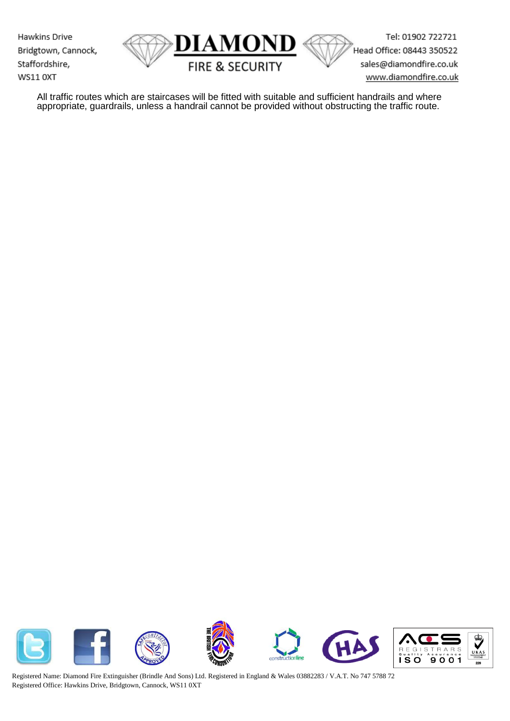

Tel: 01902 722721 Head Office: 08443 350522 sales@diamondfire.co.uk www.diamondfire.co.uk

All traffic routes which are staircases will be fitted with suitable and sufficient handrails and where appropriate, guardrails, unless a handrail cannot be provided without obstructing the traffic route.

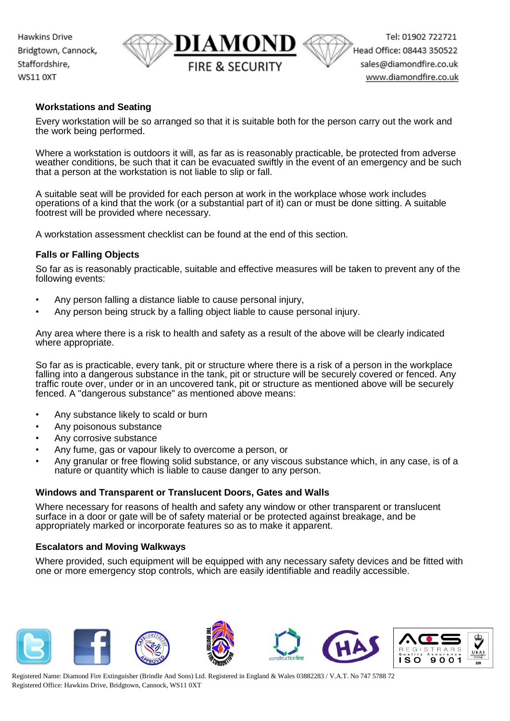

# **Workstations and Seating**

Every workstation will be so arranged so that it is suitable both for the person carry out the work and the work being performed.

Where a workstation is outdoors it will, as far as is reasonably practicable, be protected from adverse weather conditions, be such that it can be evacuated swiftly in the event of an emergency and be such that a person at the workstation is not liable to slip or fall.

A suitable seat will be provided for each person at work in the workplace whose work includes operations of a kind that the work (or a substantial part of it) can or must be done sitting. A suitable footrest will be provided where necessary.

A workstation assessment checklist can be found at the end of this section.

# **Falls or Falling Objects**

So far as is reasonably practicable, suitable and effective measures will be taken to prevent any of the following events:

- Any person falling a distance liable to cause personal injury,
- Any person being struck by a falling object liable to cause personal injury.

Any area where there is a risk to health and safety as a result of the above will be clearly indicated where appropriate.

So far as is practicable, every tank, pit or structure where there is a risk of a person in the workplace falling into a dangerous substance in the tank, pit or structure will be securely covered or fenced. Any traffic route over, under or in an uncovered tank, pit or structure as mentioned above will be securely fenced. A "dangerous substance" as mentioned above means:

- Any substance likely to scald or burn
- Any poisonous substance
- Any corrosive substance
- Any fume, gas or vapour likely to overcome a person, or
- Any granular or free flowing solid substance, or any viscous substance which, in any case, is of a nature or quantity which is liable to cause danger to any person.

# **Windows and Transparent or Translucent Doors, Gates and Walls**

Where necessary for reasons of health and safety any window or other transparent or translucent surface in a door or gate will be of safety material or be protected against breakage, and be appropriately marked or incorporate features so as to make it apparent.

# **Escalators and Moving Walkways**

Where provided, such equipment will be equipped with any necessary safety devices and be fitted with one or more emergency stop controls, which are easily identifiable and readily accessible.

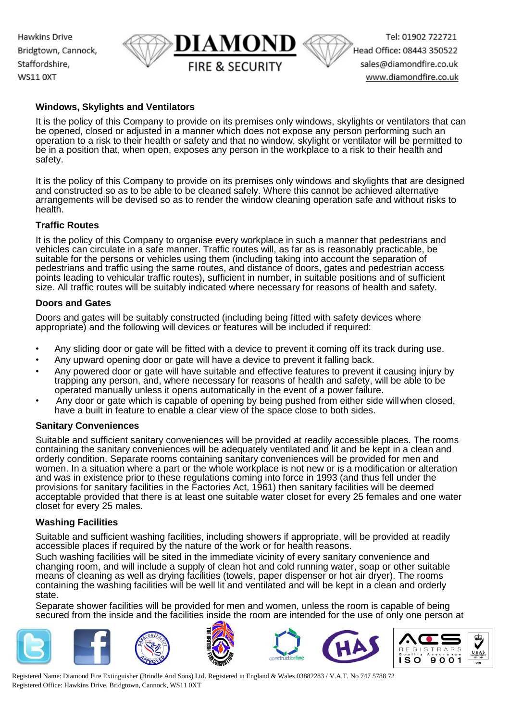

Tel: 01902 722721 Head Office: 08443 350522 sales@diamondfire.co.uk www.diamondfire.co.uk

# **Windows, Skylights and Ventilators**

It is the policy of this Company to provide on its premises only windows, skylights or ventilators that can be opened, closed or adjusted in a manner which does not expose any person performing such an operation to a risk to their health or safety and that no window, skylight or ventilator will be permitted to be in a position that, when open, exposes any person in the workplace to a risk to their health and safety.

It is the policy of this Company to provide on its premises only windows and skylights that are designed and constructed so as to be able to be cleaned safely. Where this cannot be achieved alternative arrangements will be devised so as to render the window cleaning operation safe and without risks to health.

# **Traffic Routes**

It is the policy of this Company to organise every workplace in such a manner that pedestrians and vehicles can circulate in a safe manner. Traffic routes will, as far as is reasonably practicable, be suitable for the persons or vehicles using them (including taking into account the separation of pedestrians and traffic using the same routes, and distance of doors, gates and pedestrian access points leading to vehicular traffic routes), sufficient in number, in suitable positions and of sufficient size. All traffic routes will be suitably indicated where necessary for reasons of health and safety.

# **Doors and Gates**

Doors and gates will be suitably constructed (including being fitted with safety devices where appropriate) and the following will devices or features will be included if required:

- Any sliding door or gate will be fitted with a device to prevent it coming off its track during use.
- Any upward opening door or gate will have a device to prevent it falling back.
- Any powered door or gate will have suitable and effective features to prevent it causing injury by trapping any person, and, where necessary for reasons of health and safety, will be able to be operated manually unless it opens automatically in the event of a power failure.
- Any door or gate which is capable of opening by being pushed from either side willwhen closed, have a built in feature to enable a clear view of the space close to both sides.

# **Sanitary Conveniences**

Suitable and sufficient sanitary conveniences will be provided at readily accessible places. The rooms containing the sanitary conveniences will be adequately ventilated and lit and be kept in a clean and orderly condition. Separate rooms containing sanitary conveniences will be provided for men and women. In a situation where a part or the whole workplace is not new or is a modification or alteration and was in existence prior to these regulations coming into force in 1993 (and thus fell under the provisions for sanitary facilities in the Factories Act, 1961) then sanitary facilities will be deemed acceptable provided that there is at least one suitable water closet for every 25 females and one water closet for every 25 males.

# **Washing Facilities**

Suitable and sufficient washing facilities, including showers if appropriate, will be provided at readily accessible places if required by the nature of the work or for health reasons.

Such washing facilities will be sited in the immediate vicinity of every sanitary convenience and changing room, and will include a supply of clean hot and cold running water, soap or other suitable means of cleaning as well as drying facilities (towels, paper dispenser or hot air dryer). The rooms containing the washing facilities will be well lit and ventilated and will be kept in a clean and orderly state.

Separate shower facilities will be provided for men and women, unless the room is capable of being secured from the inside and the facilities inside the room are intended for the use of only one person at

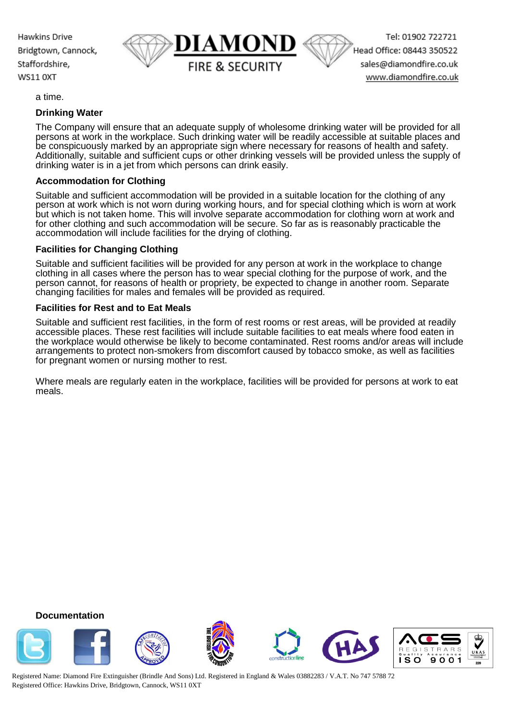

Tel: 01902 722721 Head Office: 08443 350522 sales@diamondfire.co.uk www.diamondfire.co.uk

a time.

#### **Drinking Water**

The Company will ensure that an adequate supply of wholesome drinking water will be provided for all persons at work in the workplace. Such drinking water will be readily accessible at suitable places and be conspicuously marked by an appropriate sign where necessary for reasons of health and safety. Additionally, suitable and sufficient cups or other drinking vessels will be provided unless the supply of drinking water is in a jet from which persons can drink easily.

#### **Accommodation for Clothing**

Suitable and sufficient accommodation will be provided in a suitable location for the clothing of any person at work which is not worn during working hours, and for special clothing which is worn at work but which is not taken home. This will involve separate accommodation for clothing worn at work and for other clothing and such accommodation will be secure. So far as is reasonably practicable the accommodation will include facilities for the drying of clothing.

#### **Facilities for Changing Clothing**

Suitable and sufficient facilities will be provided for any person at work in the workplace to change clothing in all cases where the person has to wear special clothing for the purpose of work, and the person cannot, for reasons of health or propriety, be expected to change in another room. Separate changing facilities for males and females will be provided as required.

#### **Facilities for Rest and to Eat Meals**

Suitable and sufficient rest facilities, in the form of rest rooms or rest areas, will be provided at readily accessible places. These rest facilities will include suitable facilities to eat meals where food eaten in the workplace would otherwise be likely to become contaminated. Rest rooms and/or areas will include arrangements to protect non-smokers from discomfort caused by tobacco smoke, as well as facilities for pregnant women or nursing mother to rest.

Where meals are regularly eaten in the workplace, facilities will be provided for persons at work to eat meals.

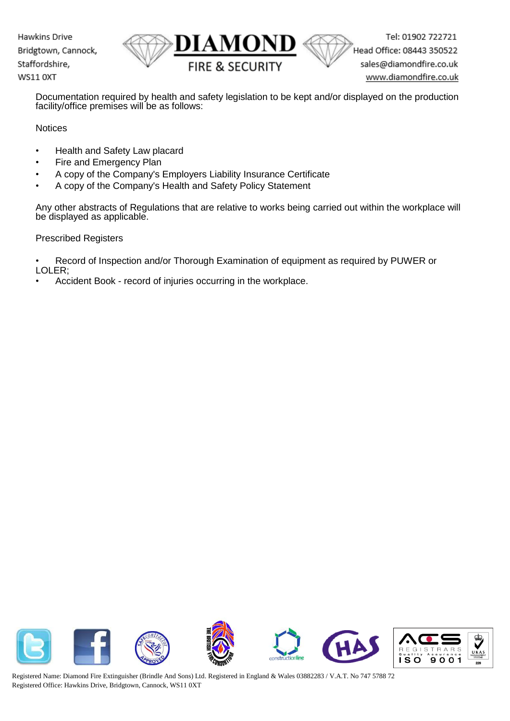

Tel: 01902 722721 Head Office: 08443 350522 sales@diamondfire.co.uk www.diamondfire.co.uk

Documentation required by health and safety legislation to be kept and/or displayed on the production facility/office premises will be as follows:

#### **Notices**

- Health and Safety Law placard
- Fire and Emergency Plan
- A copy of the Company's Employers Liability Insurance Certificate
- A copy of the Company's Health and Safety Policy Statement

Any other abstracts of Regulations that are relative to works being carried out within the workplace will be displayed as applicable.

Prescribed Registers

• Record of Inspection and/or Thorough Examination of equipment as required by PUWER or LOLER;

• Accident Book - record of injuries occurring in the workplace.

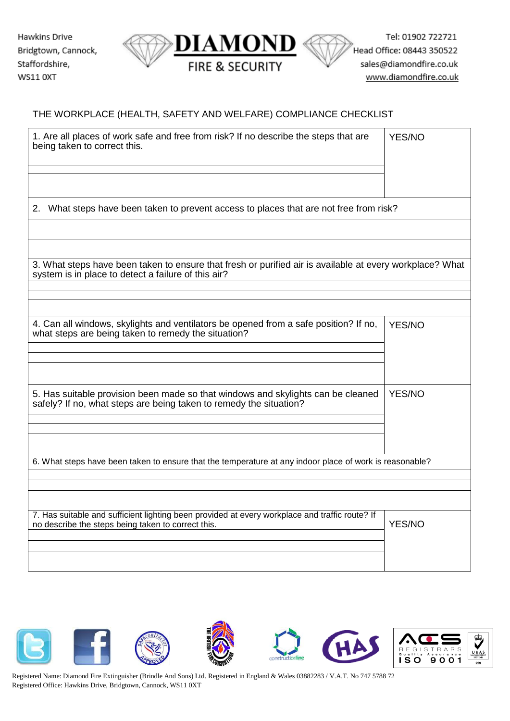

# THE WORKPLACE (HEALTH, SAFETY AND WELFARE) COMPLIANCE CHECKLIST

| 1. Are all places of work safe and free from risk? If no describe the steps that are<br>being taken to correct this.                                            | YES/NO        |
|-----------------------------------------------------------------------------------------------------------------------------------------------------------------|---------------|
| 2. What steps have been taken to prevent access to places that are not free from risk?                                                                          |               |
| 3. What steps have been taken to ensure that fresh or purified air is available at every workplace? What<br>system is in place to detect a failure of this air? |               |
| 4. Can all windows, skylights and ventilators be opened from a safe position? If no,<br>what steps are being taken to remedy the situation?                     | YES/NO        |
| 5. Has suitable provision been made so that windows and skylights can be cleaned<br>safely? If no, what steps are being taken to remedy the situation?          | <b>YES/NO</b> |
| 6. What steps have been taken to ensure that the temperature at any indoor place of work is reasonable?                                                         |               |
| 7. Has suitable and sufficient lighting been provided at every workplace and traffic route? If<br>no describe the steps being taken to correct this.            | <b>YES/NO</b> |

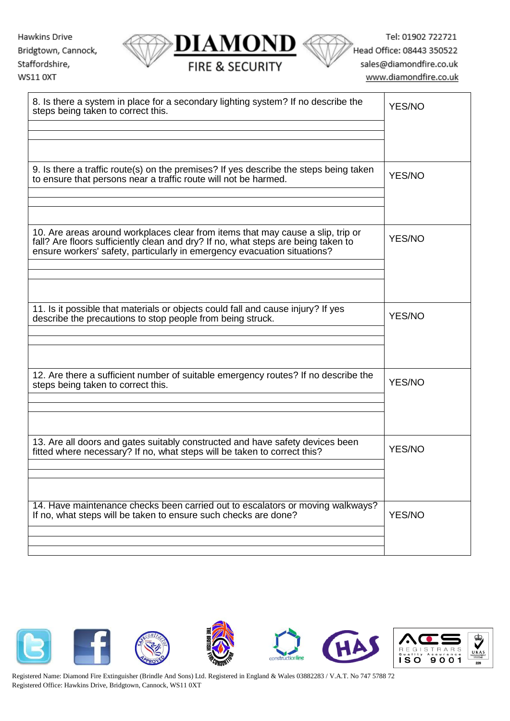

Tel: 01902 722721 Head Office: 08443 350522 sales@diamondfire.co.uk www.diamondfire.co.uk

| 8. Is there a system in place for a secondary lighting system? If no describe the<br>steps being taken to correct this.                                                                                                                          | <b>YES/NO</b> |
|--------------------------------------------------------------------------------------------------------------------------------------------------------------------------------------------------------------------------------------------------|---------------|
| 9. Is there a traffic route(s) on the premises? If yes describe the steps being taken<br>to ensure that persons near a traffic route will not be harmed.                                                                                         | YES/NO        |
| 10. Are areas around workplaces clear from items that may cause a slip, trip or<br>fall? Are floors sufficiently clean and dry? If no, what steps are being taken to<br>ensure workers' safety, particularly in emergency evacuation situations? | <b>YES/NO</b> |
| 11. Is it possible that materials or objects could fall and cause injury? If yes<br>describe the precautions to stop people from being struck.                                                                                                   | YES/NO        |
| 12. Are there a sufficient number of suitable emergency routes? If no describe the<br>steps being taken to correct this.                                                                                                                         | <b>YES/NO</b> |
| 13. Are all doors and gates suitably constructed and have safety devices been<br>fitted where necessary? If no, what steps will be taken to correct this?                                                                                        | YES/NO        |
| 14. Have maintenance checks been carried out to escalators or moving walkways?<br>If no, what steps will be taken to ensure such checks are done?                                                                                                | YES/NO        |

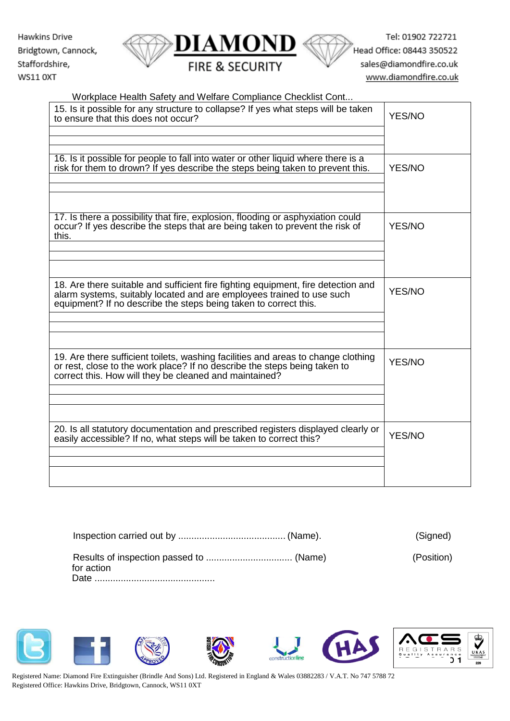

Tel: 01902 722721 Head Office: 08443 350522 sales@diamondfire.co.uk www.diamondfire.co.uk

# **FIRE & SECURITY**

#### Workplace Health Safety and Welfare Compliance Checklist Cont...

| 15. Is it possible for any structure to collapse? If yes what steps will be taken<br>to ensure that this does not occur?                                                                                                       | <b>YES/NO</b> |
|--------------------------------------------------------------------------------------------------------------------------------------------------------------------------------------------------------------------------------|---------------|
| 16. Is it possible for people to fall into water or other liquid where there is a<br>risk for them to drown? If yes describe the steps being taken to prevent this.                                                            | YES/NO        |
|                                                                                                                                                                                                                                |               |
| 17. Is there a possibility that fire, explosion, flooding or asphyxiation could<br>occur? If yes describe the steps that are being taken to prevent the risk of<br>this.                                                       | YES/NO        |
| 18. Are there suitable and sufficient fire fighting equipment, fire detection and<br>alarm systems, suitably located and are employees trained to use such<br>equipment? If no describe the steps being taken to correct this. | <b>YES/NO</b> |
| 19. Are there sufficient toilets, washing facilities and areas to change clothing<br>or rest, close to the work place? If no describe the steps being taken to<br>correct this. How will they be cleaned and maintained?       | <b>YES/NO</b> |
| 20. Is all statutory documentation and prescribed registers displayed clearly or<br>easily accessible? If no, what steps will be taken to correct this?                                                                        | YES/NO        |

|            | (Signed)   |
|------------|------------|
| for action | (Position) |

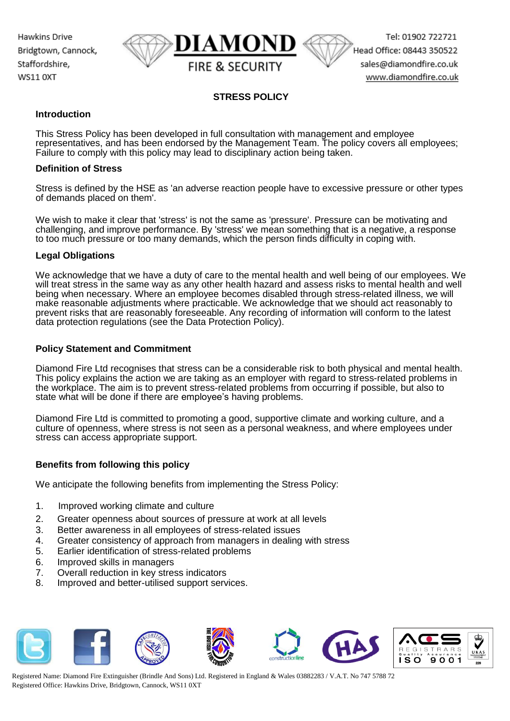

Tel: 01902 722721 Head Office: 08443 350522 sales@diamondfire.co.uk www.diamondfire.co.uk

# **STRESS POLICY**

#### **Introduction**

This Stress Policy has been developed in full consultation with management and employee representatives, and has been endorsed by the Management Team. The policy covers all employees; Failure to comply with this policy may lead to disciplinary action being taken.

# **Definition of Stress**

Stress is defined by the HSE as 'an adverse reaction people have to excessive pressure or other types of demands placed on them'.

We wish to make it clear that 'stress' is not the same as 'pressure'. Pressure can be motivating and challenging, and improve performance. By 'stress' we mean something that is a negative, a response to too much pressure or too many demands, which the person finds difficulty in coping with.

# **Legal Obligations**

We acknowledge that we have a duty of care to the mental health and well being of our employees. We will treat stress in the same way as any other health hazard and assess risks to mental health and well being when necessary. Where an employee becomes disabled through stress-related illness, we will make reasonable adjustments where practicable. We acknowledge that we should act reasonably to prevent risks that are reasonably foreseeable. Any recording of information will conform to the latest data protection regulations (see the Data Protection Policy).

# **Policy Statement and Commitment**

Diamond Fire Ltd recognises that stress can be a considerable risk to both physical and mental health. This policy explains the action we are taking as an employer with regard to stress-related problems in the workplace. The aim is to prevent stress-related problems from occurring if possible, but also to state what will be done if there are employee's having problems.

Diamond Fire Ltd is committed to promoting a good, supportive climate and working culture, and a culture of openness, where stress is not seen as a personal weakness, and where employees under stress can access appropriate support.

# **Benefits from following this policy**

We anticipate the following benefits from implementing the Stress Policy:

- 1. Improved working climate and culture
- 2. Greater openness about sources of pressure at work at all levels
- 3. Better awareness in all employees of stress-related issues
- 4. Greater consistency of approach from managers in dealing with stress
- 5. Earlier identification of stress-related problems
- 6. Improved skills in managers
- 7. Overall reduction in key stress indicators
- 8. Improved and better-utilised support services.

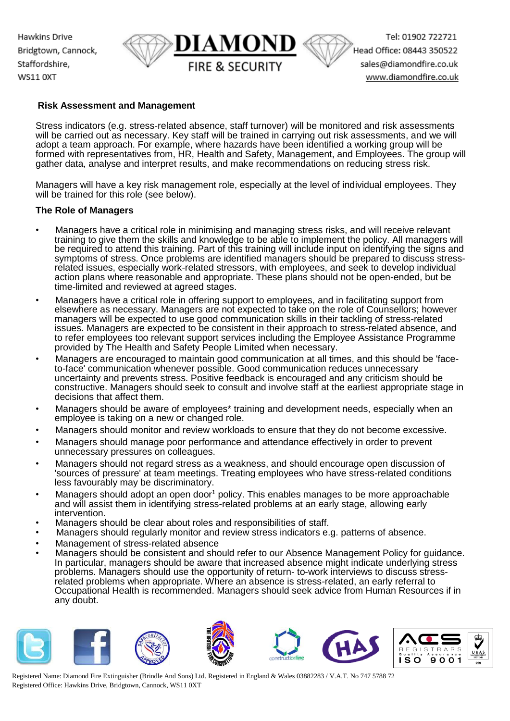

Tel: 01902 722721 Head Office: 08443 350522 sales@diamondfire.co.uk www.diamondfire.co.uk

# **Risk Assessment and Management**

Stress indicators (e.g. stress-related absence, staff turnover) will be monitored and risk assessments will be carried out as necessary. Key staff will be trained in carrying out risk assessments, and we will adopt a team approach. For example, where hazards have been identified a working group will be formed with representatives from, HR, Health and Safety, Management, and Employees. The group will gather data, analyse and interpret results, and make recommendations on reducing stress risk.

Managers will have a key risk management role, especially at the level of individual employees. They will be trained for this role (see below).

# **The Role of Managers**

- Managers have a critical role in minimising and managing stress risks, and will receive relevant training to give them the skills and knowledge to be able to implement the policy. All managers will be required to attend this training. Part of this training will include input on identifying the signs and symptoms of stress. Once problems are identified managers should be prepared to discuss stressrelated issues, especially work-related stressors, with employees, and seek to develop individual action plans where reasonable and appropriate. These plans should not be open-ended, but be time-limited and reviewed at agreed stages.
- Managers have a critical role in offering support to employees, and in facilitating support from elsewhere as necessary. Managers are not expected to take on the role of Counsellors; however managers will be expected to use good communication skills in their tackling of stress-related issues. Managers are expected to be consistent in their approach to stress-related absence, and to refer employees too relevant support services including the Employee Assistance Programme provided by The Health and Safety People Limited when necessary.
- Managers are encouraged to maintain good communication at all times, and this should be 'faceto-face' communication whenever possible. Good communication reduces unnecessary uncertainty and prevents stress. Positive feedback is encouraged and any criticism should be constructive. Managers should seek to consult and involve staff at the earliest appropriate stage in decisions that affect them.
- Managers should be aware of employees\* training and development needs, especially when an employee is taking on a new or changed role.
- Managers should monitor and review workloads to ensure that they do not become excessive.
- Managers should manage poor performance and attendance effectively in order to prevent unnecessary pressures on colleagues.
- Managers should not regard stress as a weakness, and should encourage open discussion of 'sources of pressure' at team meetings. Treating employees who have stress-related conditions less favourably may be discriminatory.
- Managers should adopt an open door<sup>1</sup> policy. This enables manages to be more approachable and will assist them in identifying stress-related problems at an early stage, allowing early intervention.
- Managers should be clear about roles and responsibilities of staff.
- Managers should regularly monitor and review stress indicators e.g. patterns of absence.
- Management of stress-related absence
- Managers should be consistent and should refer to our Absence Management Policy for guidance. In particular, managers should be aware that increased absence might indicate underlying stress problems. Managers should use the opportunity of return- to-work interviews to discuss stressrelated problems when appropriate. Where an absence is stress-related, an early referral to Occupational Health is recommended. Managers should seek advice from Human Resources if in any doubt.

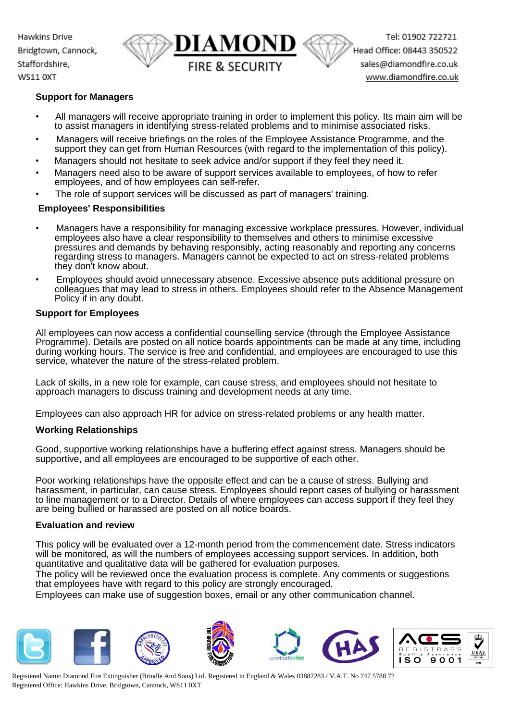

# **Support for Managers**

- All managers will receive appropriate training in order to implement this policy. Its main aim will be to assist managers in identifying stress-related problems and to minimise associated risks.
- Managers will receive briefings on the roles of the Employee Assistance Programme, and the support they can get from Human Resources (with regard to the implementation of this policy).
- Managers should not hesitate to seek advice and/or support if they feel they need it.
- Managers need also to be aware of support services available to employees, of how to refer employees, and of how employees can self-refer.
- The role of support services will be discussed as part of managers' training.

# **Employees' Responsibilities**

- Managers have a responsibility for managing excessive workplace pressures. However, individual employees also have a clear responsibility to themselves and others to minimise excessive pressures and demands by behaving responsibly, acting reasonably and reporting any concerns regarding stress to managers. Managers cannot be expected to act on stress-related problems they don't know about.
- Employees should avoid unnecessary absence. Excessive absence puts additional pressure on colleagues that may lead to stress in others. Employees should refer to the Absence Management Policy if in any doubt.

# **Support for Employees**

All employees can now access a confidential counselling service (through the Employee Assistance Programme). Details are posted on all notice boards appointments can be made at any time, including during working hours. The service is free and confidential, and employees are encouraged to use this service, whatever the nature of the stress-related problem.

Lack of skills, in a new role for example, can cause stress, and employees should not hesitate to approach managers to discuss training and development needs at any time.

Employees can also approach HR for advice on stress-related problems or any health matter.

#### **Working Relationships**

Good, supportive working relationships have a buffering effect against stress. Managers should be supportive, and all employees are encouraged to be supportive of each other.

Poor working relationships have the opposite effect and can be a cause of stress. Bullying and harassment, in particular, can cause stress. Employees should report cases of bullying or harassment to line management or to a Director. Details of where employees can access support if they feel they are being bullied or harassed are posted on all notice boards.

# **Evaluation and review**

This policy will be evaluated over a 12-month period from the commencement date. Stress indicators will be monitored, as will the numbers of employees accessing support services. In addition, both quantitative and qualitative data will be gathered for evaluation purposes.

The policy will be reviewed once the evaluation process is complete. Any comments or suggestions that employees have with regard to this policy are strongly encouraged.

Employees can make use of suggestion boxes, email or any other communication channel.

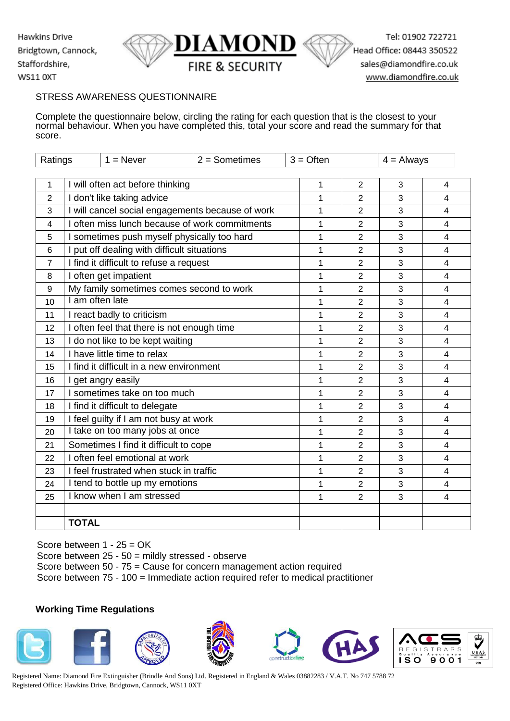

Tel: 01902 722721 Head Office: 08443 350522 sales@diamondfire.co.uk www.diamondfire.co.uk

# STRESS AWARENESS QUESTIONNAIRE

Complete the questionnaire below, circling the rating for each question that is the closest to your normal behaviour. When you have completed this, total your score and read the summary for that score.

|                | Ratings<br>$1 =$ Never                           |                                         | $2 =$ Sometimes | $3 =$ Often    |                | $4 =$ Always   |                         |
|----------------|--------------------------------------------------|-----------------------------------------|-----------------|----------------|----------------|----------------|-------------------------|
|                |                                                  |                                         |                 |                |                |                |                         |
| 1              | I will often act before thinking                 |                                         |                 | 1              | $\overline{2}$ | 3              | $\overline{4}$          |
| $\overline{2}$ | I don't like taking advice                       |                                         |                 | 1              | $\overline{2}$ | 3              | 4                       |
| 3              | I will cancel social engagements because of work |                                         |                 | 1              | $\overline{2}$ | 3              | 4                       |
| 4              | often miss lunch because of work commitments     |                                         |                 | 1              | $\overline{2}$ | 3              | 4                       |
| 5              | sometimes push myself physically too hard        |                                         |                 | 1              | $\overline{2}$ | 3              | 4                       |
| 6              | put off dealing with difficult situations        |                                         |                 | 1              | $\overline{2}$ | 3              | $\overline{4}$          |
| $\overline{7}$ | I find it difficult to refuse a request          |                                         |                 | 1              | $\overline{2}$ | 3              | 4                       |
| 8              | often get impatient                              |                                         |                 | $\mathbf 1$    | $\overline{2}$ | 3              | $\overline{\mathbf{4}}$ |
| 9              | My family sometimes comes second to work         |                                         |                 | 1              | $\overline{2}$ | 3              | 4                       |
| 10             | I am often late                                  |                                         |                 | 1              | $\overline{2}$ | 3              | 4                       |
| 11             | I react badly to criticism                       |                                         |                 | 1              | $\overline{2}$ | 3              | 4                       |
| 12             | often feel that there is not enough time         |                                         |                 | 1              | $\overline{2}$ | 3              | $\overline{4}$          |
| 13             | I do not like to be kept waiting                 |                                         |                 | 1              | $\overline{2}$ | 3              | $\overline{4}$          |
| 14             | I have little time to relax                      |                                         |                 | $\mathbf 1$    | $\overline{2}$ | 3              | 4                       |
| 15             | I find it difficult in a new environment         |                                         |                 | $\mathbf 1$    | $\overline{2}$ | 3              | $\overline{\mathbf{4}}$ |
| 16             | get angry easily                                 |                                         |                 | 1              | $\overline{2}$ | 3              | 4                       |
| 17             | sometimes take on too much                       |                                         |                 | 1              | $\overline{2}$ | 3              | 4                       |
| 18             | I find it difficult to delegate                  |                                         |                 | 1              | $\overline{2}$ | 3              | $\overline{4}$          |
| 19             | I feel guilty if I am not busy at work           |                                         | 1               | $\overline{2}$ | 3              | 4              |                         |
| 20             | I take on too many jobs at once                  |                                         | 1               | $\overline{2}$ | 3              | $\overline{4}$ |                         |
| 21             |                                                  | Sometimes I find it difficult to cope   |                 | 1              | $\overline{2}$ | 3              | 4                       |
| 22             | often feel emotional at work                     |                                         | 1               | $\overline{2}$ | 3              | $\overline{4}$ |                         |
| 23             |                                                  | I feel frustrated when stuck in traffic |                 | 1              | $\overline{2}$ | 3              | 4                       |
| 24             |                                                  | I tend to bottle up my emotions         |                 | 1              | $\overline{2}$ | 3              | 4                       |
| 25             |                                                  | I know when I am stressed               |                 | 1              | $\overline{2}$ | 3              | $\overline{4}$          |
|                |                                                  |                                         |                 |                |                |                |                         |
|                | <b>TOTAL</b>                                     |                                         |                 |                |                |                |                         |

Score between 1 - 25 = OK

Score between 25 - 50 = mildly stressed - observe

Score between 50 - 75 = Cause for concern management action required

Score between 75 - 100 = Immediate action required refer to medical practitioner

# **Working Time Regulations**

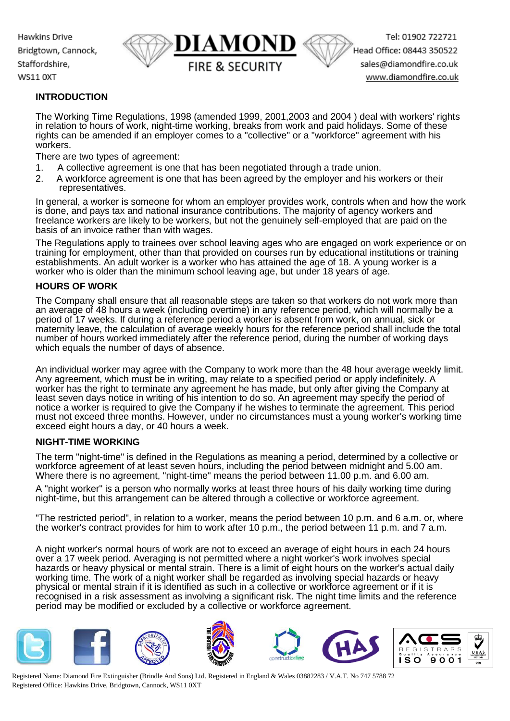

# **INTRODUCTION**

The Working Time Regulations, 1998 (amended 1999, 2001,2003 and 2004 ) deal with workers' rights in relation to hours of work, night-time working, breaks from work and paid holidays. Some of these rights can be amended if an employer comes to a "collective" or a "workforce" agreement with his workers.

There are two types of agreement:

- 1. A collective agreement is one that has been negotiated through a trade union.
- 2. A workforce agreement is one that has been agreed by the employer and his workers or their representatives.

In general, a worker is someone for whom an employer provides work, controls when and how the work is done, and pays tax and national insurance contributions. The majority of agency workers and freelance workers are likely to be workers, but not the genuinely self-employed that are paid on the basis of an invoice rather than with wages.

The Regulations apply to trainees over school leaving ages who are engaged on work experience or on training for employment, other than that provided on courses run by educational institutions or training establishments. An adult worker is a worker who has attained the age of 18. A young worker is a worker who is older than the minimum school leaving age, but under 18 years of age.

# **HOURS OF WORK**

The Company shall ensure that all reasonable steps are taken so that workers do not work more than an average of 48 hours a week (including overtime) in any reference period, which will normally be a period of 17 weeks. If during a reference period a worker is absent from work, on annual, sick or maternity leave, the calculation of average weekly hours for the reference period shall include the total number of hours worked immediately after the reference period, during the number of working days which equals the number of days of absence.

An individual worker may agree with the Company to work more than the 48 hour average weekly limit. Any agreement, which must be in writing, may relate to a specified period or apply indefinitely. A worker has the right to terminate any agreement he has made, but only after giving the Company at least seven days notice in writing of his intention to do so. An agreement may specify the period of notice a worker is required to give the Company if he wishes to terminate the agreement. This period must not exceed three months. However, under no circumstances must a young worker's working time exceed eight hours a day, or 40 hours a week.

# **NIGHT-TIME WORKING**

The term "night-time" is defined in the Regulations as meaning a period, determined by a collective or workforce agreement of at least seven hours, including the period between midnight and 5.00 am. Where there is no agreement, "night-time" means the period between 11.00 p.m. and 6.00 am.

A "night worker" is a person who normally works at least three hours of his daily working time during night-time, but this arrangement can be altered through a collective or workforce agreement.

"The restricted period", in relation to a worker, means the period between 10 p.m. and 6 a.m. or, where the worker's contract provides for him to work after 10 p.m., the period between 11 p.m. and 7 a.m.

A night worker's normal hours of work are not to exceed an average of eight hours in each 24 hours over a 17 week period. Averaging is not permitted where a night worker's work involves special hazards or heavy physical or mental strain. There is a limit of eight hours on the worker's actual daily working time. The work of a night worker shall be regarded as involving special hazards or heavy physical or mental strain if it is identified as such in a collective or workforce agreement or if it is recognised in a risk assessment as involving a significant risk. The night time limits and the reference period may be modified or excluded by a collective or workforce agreement.

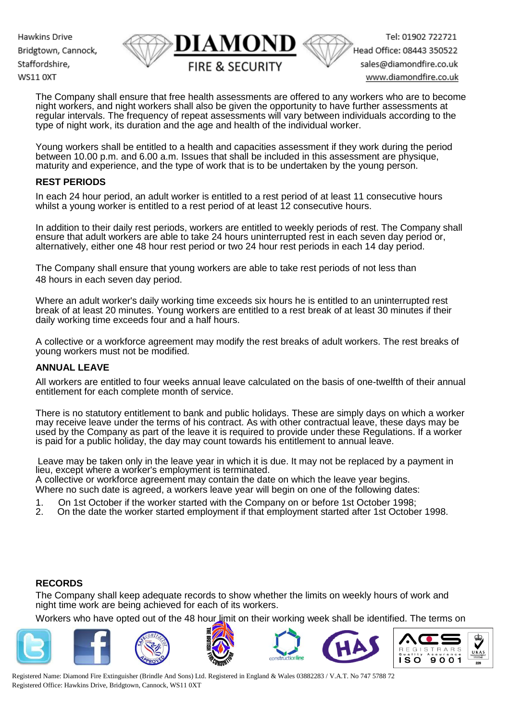

Tel: 01902 722721 Head Office: 08443 350522 sales@diamondfire.co.uk www.diamondfire.co.uk

The Company shall ensure that free health assessments are offered to any workers who are to become night workers, and night workers shall also be given the opportunity to have further assessments at regular intervals. The frequency of repeat assessments will vary between individuals according to the type of night work, its duration and the age and health of the individual worker.

Young workers shall be entitled to a health and capacities assessment if they work during the period between 10.00 p.m. and 6.00 a.m. Issues that shall be included in this assessment are physique, maturity and experience, and the type of work that is to be undertaken by the young person.

# **REST PERIODS**

In each 24 hour period, an adult worker is entitled to a rest period of at least 11 consecutive hours whilst a young worker is entitled to a rest period of at least 12 consecutive hours.

In addition to their daily rest periods, workers are entitled to weekly periods of rest. The Company shall ensure that adult workers are able to take 24 hours uninterrupted rest in each seven day period or, alternatively, either one 48 hour rest period or two 24 hour rest periods in each 14 day period.

The Company shall ensure that young workers are able to take rest periods of not less than 48 hours in each seven day period.

Where an adult worker's daily working time exceeds six hours he is entitled to an uninterrupted rest break of at least 20 minutes. Young workers are entitled to a rest break of at least 30 minutes if their daily working time exceeds four and a half hours.

A collective or a workforce agreement may modify the rest breaks of adult workers. The rest breaks of young workers must not be modified.

# **ANNUAL LEAVE**

All workers are entitled to four weeks annual leave calculated on the basis of one-twelfth of their annual entitlement for each complete month of service.

There is no statutory entitlement to bank and public holidays. These are simply days on which a worker may receive leave under the terms of his contract. As with other contractual leave, these days may be used by the Company as part of the leave it is required to provide under these Regulations. If a worker is paid for a public holiday, the day may count towards his entitlement to annual leave.

Leave may be taken only in the leave year in which it is due. It may not be replaced by a payment in lieu, except where a worker's employment is terminated.

A collective or workforce agreement may contain the date on which the leave year begins. Where no such date is agreed, a workers leave year will begin on one of the following dates:

- 1. On 1st October if the worker started with the Company on or before 1st October 1998;<br>2. On the date the worker started employment if that employment started after 1st October
- 2. On the date the worker started employment if that employment started after 1st October 1998.

# **RECORDS**

The Company shall keep adequate records to show whether the limits on weekly hours of work and night time work are being achieved for each of its workers.

Workers who have opted out of the 48 hour limit on their working week shall be identified. The terms on

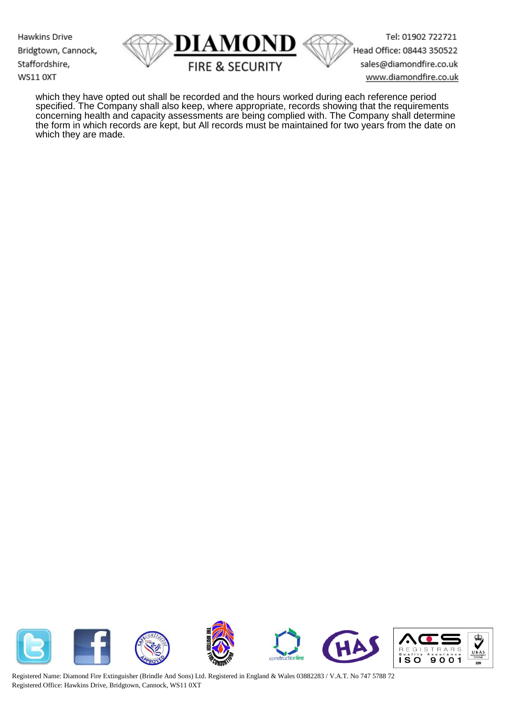

Tel: 01902 722721 Head Office: 08443 350522 sales@diamondfire.co.uk www.diamondfire.co.uk

which they have opted out shall be recorded and the hours worked during each reference period specified. The Company shall also keep, where appropriate, records showing that the requirements concerning health and capacity assessments are being complied with. The Company shall determine the form in which records are kept, but All records must be maintained for two years from the date on which they are made.

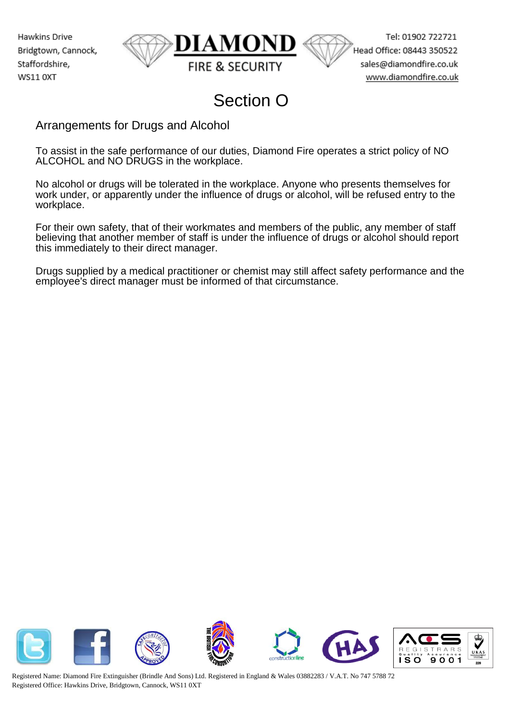

Tel: 01902 722721 Head Office: 08443 350522 sales@diamondfire.co.uk www.diamondfire.co.uk

# Section O

Arrangements for Drugs and Alcohol

To assist in the safe performance of our duties, Diamond Fire operates a strict policy of NO ALCOHOL and NO DRUGS in the workplace.

No alcohol or drugs will be tolerated in the workplace. Anyone who presents themselves for work under, or apparently under the influence of drugs or alcohol, will be refused entry to the workplace.

For their own safety, that of their workmates and members of the public, any member of staff believing that another member of staff is under the influence of drugs or alcohol should report this immediately to their direct manager.

Drugs supplied by a medical practitioner or chemist may still affect safety performance and the employee's direct manager must be informed of that circumstance.

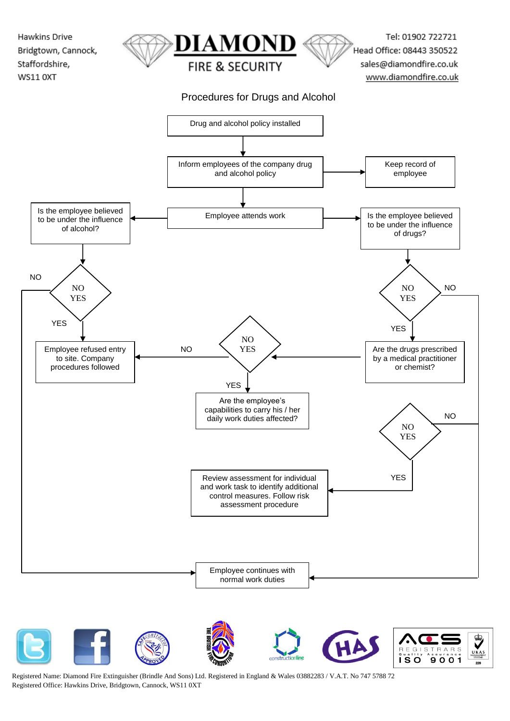

\$  $\underset{\text{S1SHEMS}}{\text{ULKAS}}$ 150 9001

Registered Name: Diamond Fire Extinguisher (Brindle And Sons) Ltd. Registered in England & Wales 03882283 / V.A.T. No 747 5788 72 Registered Office: Hawkins Drive, Bridgtown, Cannock, WS11 0XT